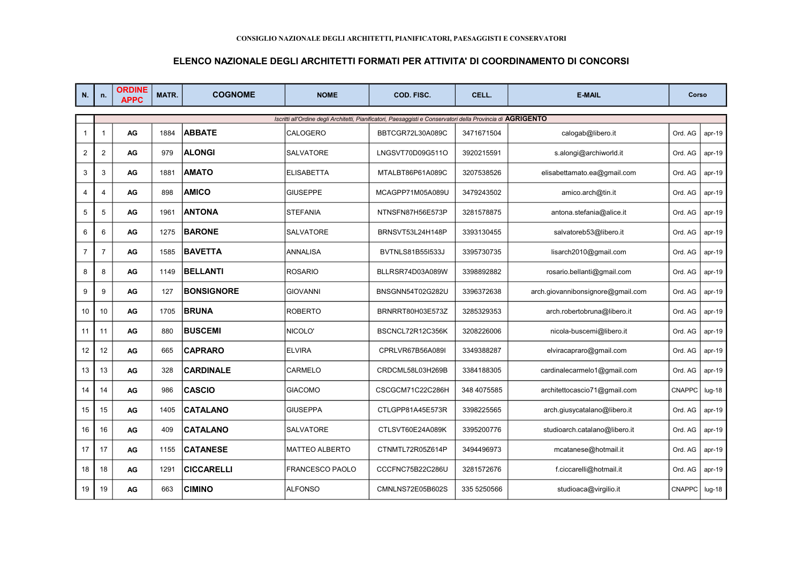## ELENCO NAZIONALE DEGLI ARCHITETTI FORMATI PER ATTIVITA' DI COORDINAMENTO DI CONCORSI

| N.             | n.             | <b>ORDINE</b><br><b>APPC</b> | <b>MATR.</b> | <b>COGNOME</b>    | <b>NOME</b>           | COD. FISC.                                                                                                   | CELL.       | <b>E-MAIL</b>                     | Corso         |          |
|----------------|----------------|------------------------------|--------------|-------------------|-----------------------|--------------------------------------------------------------------------------------------------------------|-------------|-----------------------------------|---------------|----------|
|                |                |                              |              |                   |                       | Iscritti all'Ordine degli Architetti, Pianificatori, Paesaggisti e Conservatori della Provincia di AGRIGENTO |             |                                   |               |          |
| $\mathbf{1}$   | -1             | AG                           | 1884         | <b>ABBATE</b>     | CALOGERO              | BBTCGR72L30A089C                                                                                             | 3471671504  | calogab@libero.it                 | Ord. AG       | $apr-19$ |
| $\overline{2}$ | $\overline{2}$ | AG                           | 979          | <b>ALONGI</b>     | <b>SALVATORE</b>      | LNGSVT70D09G511O                                                                                             | 3920215591  | s.alongi@archiworld.it            | Ord. AG       | $apr-19$ |
| 3              | 3              | AG                           | 1881         | <b>AMATO</b>      | <b>ELISABETTA</b>     | MTALBT86P61A089C                                                                                             | 3207538526  | elisabettamato.ea@gmail.com       | Ord. AG       | $apr-19$ |
| 4              | $\overline{4}$ | AG                           | 898          | <b>AMICO</b>      | <b>GIUSEPPE</b>       | MCAGPP71M05A089U                                                                                             | 3479243502  | amico.arch@tin.it                 | Ord. AG       | $apr-19$ |
| 5              | 5              | AG                           | 1961         | <b>ANTONA</b>     | <b>STEFANIA</b>       | NTNSFN87H56E573P                                                                                             | 3281578875  | antona.stefania@alice.it          | Ord. AG       | $apr-19$ |
| 6              | 6              | AG                           | 1275         | <b>BARONE</b>     | <b>SALVATORE</b>      | BRNSVT53L24H148P                                                                                             | 3393130455  | salvatoreb53@libero.it            | Ord. AG       | $apr-19$ |
| $\overline{7}$ | $\overline{7}$ | AG                           | 1585         | <b>BAVETTA</b>    | ANNALISA              | BVTNLS81B55I533J                                                                                             | 3395730735  | lisarch2010@gmail.com             | Ord. AG       | $apr-19$ |
| 8              | 8              | AG                           | 1149         | <b>BELLANTI</b>   | <b>ROSARIO</b>        | BLLRSR74D03A089W                                                                                             | 3398892882  | rosario.bellanti@gmail.com        | Ord. AG       | $apr-19$ |
| 9              | 9              | AG                           | 127          | <b>BONSIGNORE</b> | <b>GIOVANNI</b>       | BNSGNN54T02G282U                                                                                             | 3396372638  | arch.giovannibonsignore@gmail.com | Ord. AG       | $apr-19$ |
| 10             | 10             | AG                           | 1705         | <b>BRUNA</b>      | <b>ROBERTO</b>        | BRNRRT80H03E573Z                                                                                             | 3285329353  | arch.robertobruna@libero.it       | Ord. AG       | $apr-19$ |
| 11             | 11             | AG                           | 880          | <b>BUSCEMI</b>    | NICOLO'               | BSCNCL72R12C356K                                                                                             | 3208226006  | nicola-buscemi@libero.it          | Ord. AG       | $apr-19$ |
| 12             | 12             | AG                           | 665          | <b>CAPRARO</b>    | <b>ELVIRA</b>         | CPRLVR67B56A089I                                                                                             | 3349388287  | elviracapraro@gmail.com           | Ord. AG       | $apr-19$ |
| 13             | 13             | AG                           | 328          | <b>CARDINALE</b>  | CARMELO               | CRDCML58L03H269B                                                                                             | 3384188305  | cardinalecarmelo1@gmail.com       | Ord. AG       | $apr-19$ |
| 14             | 14             | AG                           | 986          | <b>CASCIO</b>     | <b>GIACOMO</b>        | CSCGCM71C22C286H                                                                                             | 348 4075585 | architettocascio71@gmail.com      | <b>CNAPPC</b> | $Iug-18$ |
| 15             | 15             | AG                           | 1405         | <b>CATALANO</b>   | <b>GIUSEPPA</b>       | CTLGPP81A45E573R                                                                                             | 3398225565  | arch.giusycatalano@libero.it      | Ord. AG       | $apr-19$ |
| 16             | 16             | AG                           | 409          | <b>CATALANO</b>   | SALVATORE             | CTLSVT60E24A089K                                                                                             | 3395200776  | studioarch.catalano@libero.it     | Ord. AG       | $apr-19$ |
| 17             | 17             | AG                           | 1155         | <b>CATANESE</b>   | <b>MATTEO ALBERTO</b> | CTNMTL72R05Z614P                                                                                             | 3494496973  | mcatanese@hotmail.it              | Ord. AG       | $apr-19$ |
| 18             | 18             | AG                           | 1291         | <b>CICCARELLI</b> | FRANCESCO PAOLO       | CCCFNC75B22C286U                                                                                             | 3281572676  | f.ciccarelli@hotmail.it           | Ord. AG       | $apr-19$ |
| 19             | 19             | AG                           | 663          | <b>CIMINO</b>     | <b>ALFONSO</b>        | CMNLNS72E05B602S                                                                                             | 335 5250566 | studioaca@virgilio.it             | <b>CNAPPC</b> | $lug-18$ |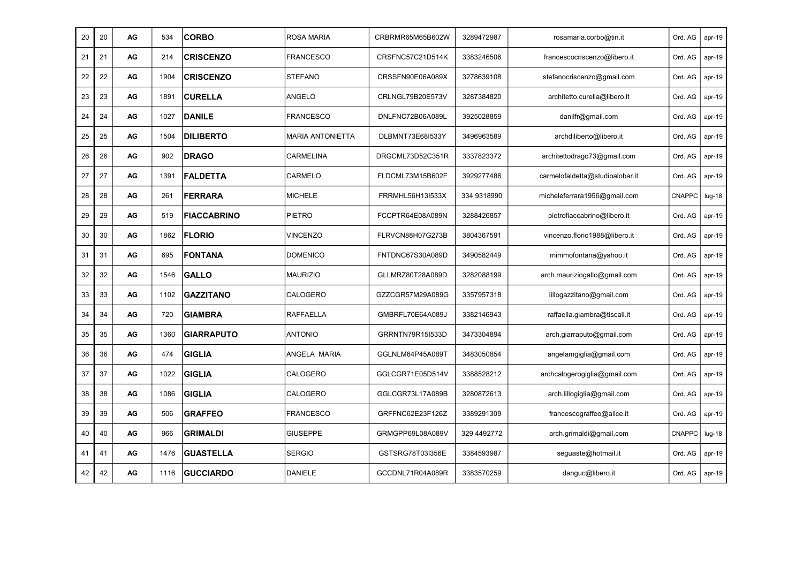| 20 | 20 | AG | 534  | <b>CORBO</b>       | <b>ROSA MARIA</b>       | CRBRMR65M65B602W | 3289472987  | rosamaria.corbo@tin.it          | Ord. AG | $apr-19$ |
|----|----|----|------|--------------------|-------------------------|------------------|-------------|---------------------------------|---------|----------|
| 21 | 21 | AG | 214  | <b>CRISCENZO</b>   | <b>FRANCESCO</b>        | CRSFNC57C21D514K | 3383246506  | francescocriscenzo@libero.it    | Ord. AG | apr-19   |
| 22 | 22 | AG | 1904 | <b>CRISCENZO</b>   | <b>STEFANO</b>          | CRSSFN90E06A089X | 3278639108  | stefanocriscenzo@gmail.com      | Ord. AG | $apr-19$ |
| 23 | 23 | AG | 1891 | <b>CURELLA</b>     | ANGELO                  | CRLNGL79B20E573V | 3287384820  | architetto.curella@libero.it    | Ord. AG | $apr-19$ |
| 24 | 24 | AG | 1027 | <b>DANILE</b>      | <b>FRANCESCO</b>        | DNLFNC72B06A089L | 3925028859  | danilfr@gmail.com               | Ord. AG | $apr-19$ |
| 25 | 25 | AG | 1504 | <b>DILIBERTO</b>   | <b>MARIA ANTONIETTA</b> | DLBMNT73E68I533Y | 3496963589  | archdiliberto@libero.it         | Ord. AG | $apr-19$ |
| 26 | 26 | AG | 902  | <b>DRAGO</b>       | <b>CARMELINA</b>        | DRGCML73D52C351R | 3337823372  | architettodrago73@gmail.com     | Ord. AG | $apr-19$ |
| 27 | 27 | AG | 1391 | <b>FALDETTA</b>    | CARMELO                 | FLDCML73M15B602F | 3929277486  | carmelofaldetta@studioalobar.it | Ord. AG | $apr-19$ |
| 28 | 28 | AG | 261  | <b>FERRARA</b>     | <b>MICHELE</b>          | FRRMHL56H13I533X | 334 9318990 | micheleferrara1956@gmail.com    | CNAPPC  | $Iug-18$ |
| 29 | 29 | AG | 519  | <b>FIACCABRINO</b> | PIETRO                  | FCCPTR64E08A089N | 3288426857  | pietrofiaccabrino@libero.it     | Ord. AG | $apr-19$ |
| 30 | 30 | AG | 1862 | <b>FLORIO</b>      | <b>VINCENZO</b>         | FLRVCN88H07G273B | 3804367591  | vincenzo.florio1988@libero.it   | Ord. AG | $apr-19$ |
| 31 | 31 | AG | 695  | <b>FONTANA</b>     | <b>DOMENICO</b>         | FNTDNC67S30A089D | 3490582449  | mimmofontana@yahoo.it           | Ord. AG | apr-19   |
| 32 | 32 | AG | 1546 | <b>GALLO</b>       | <b>MAURIZIO</b>         | GLLMRZ80T28A089D | 3282088199  | arch.mauriziogallo@gmail.com    | Ord. AG | $apr-19$ |
| 33 | 33 | AG | 1102 | <b>GAZZITANO</b>   | CALOGERO                | GZZCGR57M29A089G | 3357957318  | lillogazzitano@gmail.com        | Ord. AG | apr-19   |
| 34 | 34 | AG | 720  | <b>GIAMBRA</b>     | <b>RAFFAELLA</b>        | GMBRFL70E64A089J | 3382146943  | raffaella.giambra@tiscali.it    | Ord. AG | $apr-19$ |
| 35 | 35 | AG | 1360 | <b>GIARRAPUTO</b>  | <b>ANTONIO</b>          | GRRNTN79R15I533D | 3473304894  | arch.giarraputo@gmail.com       | Ord. AG | $apr-19$ |
| 36 | 36 | AG | 474  | <b>GIGLIA</b>      | ANGELA MARIA            | GGLNLM64P45A089T | 3483050854  | angelamgiglia@gmail.com         | Ord. AG | $apr-19$ |
| 37 | 37 | AG | 1022 | <b>GIGLIA</b>      | CALOGERO                | GGLCGR71E05D514V | 3388528212  | archcalogerogiglia@gmail.com    | Ord. AG | $apr-19$ |
| 38 | 38 | AG | 1086 | <b>GIGLIA</b>      | CALOGERO                | GGLCGR73L17A089B | 3280872613  | arch.lillogiglia@gmail.com      | Ord. AG | apr-19   |
| 39 | 39 | AG | 506  | <b>GRAFFEO</b>     | FRANCESCO               | GRFFNC62E23F126Z | 3389291309  | francescograffeo@alice.it       | Ord. AG | $apr-19$ |
| 40 | 40 | AG | 966  | <b>GRIMALDI</b>    | <b>GIUSEPPE</b>         | GRMGPP69L08A089V | 329 4492772 | arch.grimaldi@gmail.com         | CNAPPC  | $lug-18$ |
| 41 | 41 | AG | 1476 | <b>GUASTELLA</b>   | <b>SERGIO</b>           | GSTSRG78T03I356E | 3384593987  | seguaste@hotmail.it             | Ord. AG | $apr-19$ |
| 42 | 42 | AG | 1116 | <b>GUCCIARDO</b>   | <b>DANIELE</b>          | GCCDNL71R04A089R | 3383570259  | danguc@libero.it                | Ord. AG | $apr-19$ |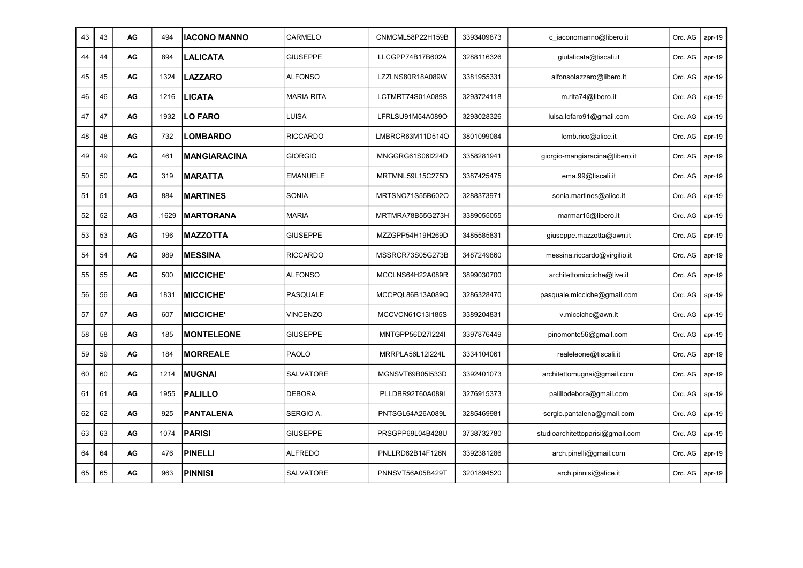| 43 | 43 | AG | 494   | <b>IACONO MANNO</b> | CARMELO           | CNMCML58P22H159B | 3393409873 | c iaconomanno@libero.it          | Ord. AG | $apr-19$ |
|----|----|----|-------|---------------------|-------------------|------------------|------------|----------------------------------|---------|----------|
| 44 | 44 | AG | 894   | <b>LALICATA</b>     | <b>GIUSEPPE</b>   | LLCGPP74B17B602A | 3288116326 | giulalicata@tiscali.it           | Ord. AG | $apr-19$ |
| 45 | 45 | AG | 1324  | <b>LAZZARO</b>      | <b>ALFONSO</b>    | LZZLNS80R18A089W | 3381955331 | alfonsolazzaro@libero.it         | Ord. AG | $apr-19$ |
| 46 | 46 | AG | 1216  | <b>LICATA</b>       | <b>MARIA RITA</b> | LCTMRT74S01A089S | 3293724118 | m.rita74@libero.it               | Ord. AG | $apr-19$ |
| 47 | 47 | AG | 1932  | <b>LO FARO</b>      | LUISA             | LFRLSU91M54A089O | 3293028326 | luisa.lofaro91@gmail.com         | Ord. AG | $apr-19$ |
| 48 | 48 | AG | 732   | <b>LOMBARDO</b>     | <b>RICCARDO</b>   | LMBRCR63M11D514O | 3801099084 | lomb.ricc@alice.it               | Ord. AG | $apr-19$ |
| 49 | 49 | AG | 461   | <b>MANGIARACINA</b> | <b>GIORGIO</b>    | MNGGRG61S06I224D | 3358281941 | giorgio-mangiaracina@libero.it   | Ord. AG | $apr-19$ |
| 50 | 50 | AG | 319   | <b>MARATTA</b>      | <b>EMANUELE</b>   | MRTMNL59L15C275D | 3387425475 | ema.99@tiscali.it                | Ord. AG | $apr-19$ |
| 51 | 51 | AG | 884   | <b>MARTINES</b>     | <b>SONIA</b>      | MRTSNO71S55B602O | 3288373971 | sonia.martines@alice.it          | Ord. AG | $apr-19$ |
| 52 | 52 | AG | .1629 | <b>MARTORANA</b>    | <b>MARIA</b>      | MRTMRA78B55G273H | 3389055055 | marmar15@libero.it               | Ord. AG | $apr-19$ |
| 53 | 53 | AG | 196   | <b>MAZZOTTA</b>     | <b>GIUSEPPE</b>   | MZZGPP54H19H269D | 3485585831 | giuseppe.mazzotta@awn.it         | Ord. AG | apr-19   |
| 54 | 54 | AG | 989   | <b>MESSINA</b>      | <b>RICCARDO</b>   | MSSRCR73S05G273B | 3487249860 | messina.riccardo@virgilio.it     | Ord. AG | $apr-19$ |
| 55 | 55 | AG | 500   | <b>MICCICHE'</b>    | <b>ALFONSO</b>    | MCCLNS64H22A089R | 3899030700 | architettomicciche@live.it       | Ord. AG | $apr-19$ |
| 56 | 56 | AG | 1831  | <b>MICCICHE'</b>    | PASQUALE          | MCCPQL86B13A089Q | 3286328470 | pasquale.micciche@gmail.com      | Ord. AG | $apr-19$ |
| 57 | 57 | AG | 607   | <b>MICCICHE'</b>    | <b>VINCENZO</b>   | MCCVCN61C13I185S | 3389204831 | v.micciche@awn.it                | Ord. AG | $apr-19$ |
| 58 | 58 | AG | 185   | <b>MONTELEONE</b>   | <b>GIUSEPPE</b>   | MNTGPP56D27I224I | 3397876449 | pinomonte56@gmail.com            | Ord. AG | $apr-19$ |
| 59 | 59 | AG | 184   | <b>MORREALE</b>     | PAOLO             | MRRPLA56L12I224L | 3334104061 | realeleone@tiscali.it            | Ord. AG | $apr-19$ |
| 60 | 60 | AG | 1214  | <b>MUGNAI</b>       | SALVATORE         | MGNSVT69B05I533D | 3392401073 | architettomugnai@gmail.com       | Ord. AG | $apr-19$ |
| 61 | 61 | AG | 1955  | <b>PALILLO</b>      | <b>DEBORA</b>     | PLLDBR92T60A089I | 3276915373 | palillodebora@gmail.com          | Ord. AG | $apr-19$ |
| 62 | 62 | AG | 925   | <b>PANTALENA</b>    | SERGIO A.         | PNTSGL64A26A089L | 3285469981 | sergio.pantalena@gmail.com       | Ord. AG | $apr-19$ |
| 63 | 63 | AG | 1074  | <b>PARISI</b>       | <b>GIUSEPPE</b>   | PRSGPP69L04B428U | 3738732780 | studioarchitettoparisi@gmail.com | Ord. AG | $apr-19$ |
| 64 | 64 | AG | 476   | PINELLI             | <b>ALFREDO</b>    | PNLLRD62B14F126N | 3392381286 | arch.pinelli@gmail.com           | Ord. AG | $apr-19$ |
| 65 | 65 | AG | 963   | <b>PINNISI</b>      | SALVATORE         | PNNSVT56A05B429T | 3201894520 | arch.pinnisi@alice.it            | Ord. AG | $apr-19$ |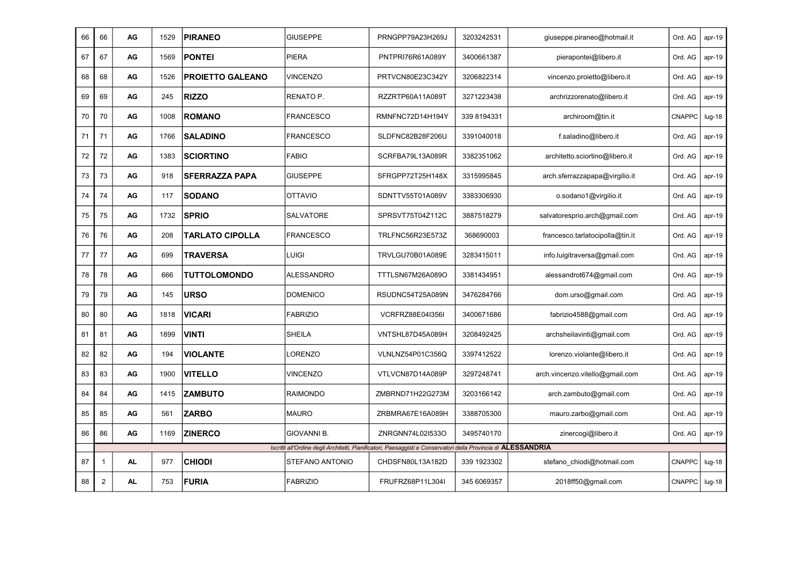| 66 | 66             | AG        | 1529 | <b>PIRANEO</b>          | <b>GIUSEPPE</b>    | PRNGPP79A23H269J                                                                                               | 3203242531  | giuseppe.piraneo@hotmail.it     | Ord. AG       | $apr-19$ |
|----|----------------|-----------|------|-------------------------|--------------------|----------------------------------------------------------------------------------------------------------------|-------------|---------------------------------|---------------|----------|
| 67 | 67             | AG        | 1569 | <b>PONTEI</b>           | <b>PIERA</b>       | PNTPRI76R61A089Y                                                                                               | 3400661387  | pierapontei@libero.it           | Ord. AG       | $apr-19$ |
| 68 | 68             | AG        | 1526 | <b>PROIETTO GALEANO</b> | <b>VINCENZO</b>    | PRTVCN80E23C342Y                                                                                               | 3206822314  | vincenzo.proietto@libero.it     | Ord. AG       | apr-19   |
| 69 | 69             | AG        | 245  | <b>RIZZO</b>            | RENATO P.          | RZZRTP60A11A089T                                                                                               | 3271223438  | archrizzorenato@libero.it       | Ord. AG       | $apr-19$ |
| 70 | 70             | AG        | 1008 | <b>ROMANO</b>           | <b>FRANCESCO</b>   | RMNFNC72D14H194Y                                                                                               | 339 8194331 | archiroom@tin.it                | CNAPPC        | $Iug-18$ |
| 71 | 71             | AG        | 1766 | <b>SALADINO</b>         | <b>FRANCESCO</b>   | SLDFNC82B28F206U                                                                                               | 3391040018  | f.saladino@libero.it            | Ord. AG       | apr-19   |
| 72 | 72             | AG        | 1383 | <b>SCIORTINO</b>        | FABIO              | SCRFBA79L13A089R                                                                                               | 3382351062  | architetto.sciortino@libero.it  | Ord. AG       | apr-19   |
| 73 | 73             | AG        | 918  | <b>SFERRAZZA PAPA</b>   | <b>GIUSEPPE</b>    | SFRGPP72T25H148X                                                                                               | 3315995845  | arch.sferrazzapapa@virgilio.it  | Ord. AG       | $apr-19$ |
| 74 | 74             | AG        | 117  | <b>SODANO</b>           | <b>OTTAVIO</b>     | SDNTTV55T01A089V                                                                                               | 3383306930  | o.sodano1@virgilio.it           | Ord. AG       | $apr-19$ |
| 75 | 75             | AG        | 1732 | <b>SPRIO</b>            | SALVATORE          | SPRSVT75T04Z112C                                                                                               | 3887518279  | salvatoresprio.arch@gmail.com   | Ord. AG       | $apr-19$ |
| 76 | 76             | AG        | 208  | <b>TARLATO CIPOLLA</b>  | <b>FRANCESCO</b>   | TRLFNC56R23E573Z                                                                                               | 368690003   | francesco.tarlatocipolla@tin.it | Ord. AG       | $apr-19$ |
| 77 | 77             | AG        | 699  | <b>TRAVERSA</b>         | LUIGI              | TRVLGU70B01A089E                                                                                               | 3283415011  | info.luigitraversa@gmail.com    | Ord. AG       | $apr-19$ |
| 78 | 78             | AG        | 666  | <b>TUTTOLOMONDO</b>     | <b>ALESSANDRO</b>  | TTTLSN67M26A089O                                                                                               | 3381434951  | alessandrot674@gmail.com        | Ord. AG       | $apr-19$ |
| 79 | 79             | AG        | 145  | <b>URSO</b>             | <b>DOMENICO</b>    | RSUDNC54T25A089N                                                                                               | 3476284766  | dom.urso@gmail.com              | Ord. AG       | $apr-19$ |
| 80 | 80             | AG        | 1818 | <b>VICARI</b>           | <b>FABRIZIO</b>    | <b>VCRFRZ88E04I356I</b>                                                                                        | 3400671686  | fabrizio4588@gmail.com          | Ord. AG       | apr-19   |
| 81 | 81             | AG        | 1899 | <b>VINTI</b>            | <b>SHEILA</b>      | VNTSHL87D45A089H                                                                                               | 3208492425  | archsheilavinti@gmail.com       | Ord. AG       | $apr-19$ |
| 82 | 82             | AG        | 194  | <b>VIOLANTE</b>         | LORENZO            | VLNLNZ54P01C356Q                                                                                               | 3397412522  | lorenzo.violante@libero.it      | Ord. AG       | $apr-19$ |
| 83 | 83             | AG        | 1900 | <b>VITELLO</b>          | <b>VINCENZO</b>    | VTLVCN87D14A089P                                                                                               | 3297248741  | arch.vincenzo.vitello@gmail.com | Ord. AG       | $apr-19$ |
| 84 | 84             | AG        | 1415 | <b>ZAMBUTO</b>          | <b>RAIMONDO</b>    | ZMBRND71H22G273M                                                                                               | 3203166142  | arch.zambuto@gmail.com          | Ord. AG       | $apr-19$ |
| 85 | 85             | AG        | 561  | <b>ZARBO</b>            | <b>MAURO</b>       | ZRBMRA67E16A089H                                                                                               | 3388705300  | mauro.zarbo@gmail.com           | Ord. AG       | $apr-19$ |
| 86 | 86             | AG        | 1169 | <b>ZINERCO</b>          | <b>GIOVANNI B.</b> | ZNRGNN74L02I533O                                                                                               | 3495740170  | zinercogi@libero.it             | Ord. AG       | $apr-19$ |
|    |                |           |      |                         |                    | Iscritti all'Ordine degli Architetti, Pianificatori, Paesaggisti e Conservatori della Provincia di ALESSANDRIA |             |                                 |               |          |
| 87 | $\mathbf{1}$   | <b>AL</b> | 977  | <b>CHIODI</b>           | STEFANO ANTONIO    | CHDSFN80L13A182D                                                                                               | 339 1923302 | stefano chiodi@hotmail.com      | CNAPPC        | $lug-18$ |
| 88 | $\overline{2}$ | <b>AL</b> | 753  | <b>FURIA</b>            | <b>FABRIZIO</b>    | FRUFRZ68P11L304I                                                                                               | 345 6069357 | 2018ff50@gmail.com              | <b>CNAPPC</b> | $Iug-18$ |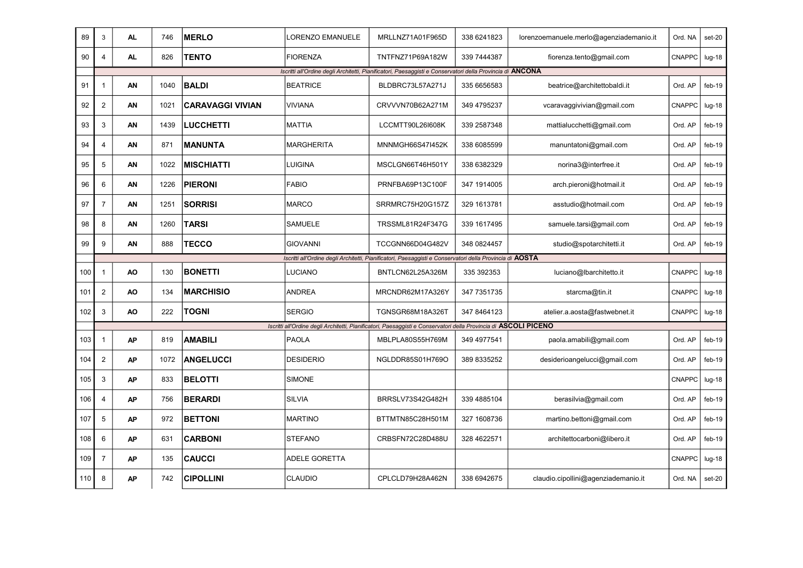| 89  | 3              | <b>AL</b> | 746  | <b>MERLO</b>            | <b>_ORENZO EMANUELE</b> | MRLLNZ71A01F965D                                                                                                 | 338 6241823 | lorenzoemanuele.merlo@agenziademanio.it | Ord. NA       | set-20   |
|-----|----------------|-----------|------|-------------------------|-------------------------|------------------------------------------------------------------------------------------------------------------|-------------|-----------------------------------------|---------------|----------|
| 90  | 4              | AL        | 826  | <b>TENTO</b>            | <b>FIORENZA</b>         | TNTFNZ71P69A182W                                                                                                 | 339 7444387 | fiorenza.tento@gmail.com                | <b>CNAPPC</b> | $lug-18$ |
|     |                |           |      |                         |                         | Iscritti all'Ordine degli Architetti, Pianificatori, Paesaggisti e Conservatori della Provincia di ANCONA        |             |                                         |               |          |
| 91  | 1              | AN        | 1040 | <b>BALDI</b>            | <b>BEATRICE</b>         | BLDBRC73L57A271J                                                                                                 | 335 6656583 | beatrice@architettobaldi.it             | Ord. AP       | $feb-19$ |
| 92  | $\overline{2}$ | AN        | 1021 | <b>CARAVAGGI VIVIAN</b> | VIVIANA                 | CRVVVN70B62A271M                                                                                                 | 349 4795237 | vcaravaggivivian@gmail.com              | <b>CNAPPC</b> | $Iug-18$ |
| 93  | 3              | AN        | 1439 | <b>LUCCHETTI</b>        | <b>MATTIA</b>           | LCCMTT90L26I608K                                                                                                 | 339 2587348 | mattialucchetti@gmail.com               | Ord. AP       | $feb-19$ |
| 94  | $\overline{4}$ | AN        | 871  | <b>MANUNTA</b>          | MARGHERITA              | <b>MNNMGH66S47I452K</b>                                                                                          | 338 6085599 | manuntatoni@gmail.com                   | Ord. AP       | $feb-19$ |
| 95  | 5              | ΑN        | 1022 | <b>MISCHIATTI</b>       | LUIGINA                 | MSCLGN66T46H501Y                                                                                                 | 338 6382329 | norina3@interfree.it                    | Ord. AP       | feb-19   |
| 96  | 6              | AN        | 1226 | <b>PIERONI</b>          | <b>FABIO</b>            | PRNFBA69P13C100F                                                                                                 | 347 1914005 | arch.pieroni@hotmail.it                 | Ord. AP       | feb-19   |
| 97  | $\overline{7}$ | AN        | 1251 | <b>SORRISI</b>          | <b>MARCO</b>            | SRRMRC75H20G157Z                                                                                                 | 329 1613781 | asstudio@hotmail.com                    | Ord. AP       | $feb-19$ |
| 98  | 8              | AN        | 1260 | <b>TARSI</b>            | <b>SAMUELE</b>          | TRSSML81R24F347G                                                                                                 | 339 1617495 | samuele.tarsi@gmail.com                 | Ord. AP       | $feb-19$ |
| 99  | 9              | AN        | 888  | <b>TECCO</b>            | <b>GIOVANNI</b>         | TCCGNN66D04G482V                                                                                                 | 348 0824457 | studio@spotarchitetti.it                | Ord. AP       | $feb-19$ |
|     |                |           |      |                         |                         | Iscritti all'Ordine degli Architetti, Pianificatori, Paesaggisti e Conservatori della Provincia di AOSTA         |             |                                         |               |          |
| 100 | $\mathbf{1}$   | AO        | 130  | <b>BONETTI</b>          | LUCIANO                 | BNTLCN62L25A326M                                                                                                 | 335 392353  | luciano@lbarchitetto.it                 | CNAPPC        | $Iug-18$ |
| 101 | $\overline{c}$ | AO        | 134  | <b>MARCHISIO</b>        | <b>ANDREA</b>           | MRCNDR62M17A326Y                                                                                                 | 347 7351735 | starcma@tin.it                          | <b>CNAPPC</b> | $lug-18$ |
| 102 | 3              | AO        | 222  | <b>TOGNI</b>            | <b>SERGIO</b>           | TGNSGR68M18A326T                                                                                                 | 347 8464123 | atelier.a.aosta@fastwebnet.it           | <b>CNAPPC</b> | $lug-18$ |
|     |                |           |      |                         |                         | Iscritti all'Ordine degli Architetti, Pianificatori, Paesaggisti e Conservatori della Provincia di ASCOLI PICENO |             |                                         |               |          |
| 103 | $\mathbf{1}$   | <b>AP</b> | 819  | <b>AMABILI</b>          | <b>PAOLA</b>            | MBLPLA80S55H769M                                                                                                 | 349 4977541 | paola.amabili@gmail.com                 | Ord. AP       | $feb-19$ |
| 104 | $\overline{2}$ | <b>AP</b> | 1072 | <b>ANGELUCCI</b>        | <b>DESIDERIO</b>        | NGLDDR85S01H769O                                                                                                 | 389 8335252 | desiderioangelucci@gmail.com            | Ord. AP       | $feb-19$ |
| 105 | 3              | <b>AP</b> | 833  | <b>BELOTTI</b>          | <b>SIMONE</b>           |                                                                                                                  |             |                                         | CNAPPC        | $Iug-18$ |
| 106 | $\overline{4}$ | АP        | 756  | <b>BERARDI</b>          | <b>SILVIA</b>           | BRRSLV73S42G482H                                                                                                 | 339 4885104 | berasilvia@gmail.com                    | Ord. AP       | $feb-19$ |
| 107 | 5              | <b>AP</b> | 972  | <b>BETTONI</b>          | <b>MARTINO</b>          | BTTMTN85C28H501M                                                                                                 | 327 1608736 | martino.bettoni@gmail.com               | Ord. AP       | feb-19   |
| 108 | 6              | <b>AP</b> | 631  | <b>CARBONI</b>          | <b>STEFANO</b>          | CRBSFN72C28D488U                                                                                                 | 328 4622571 | architettocarboni@libero.it             | Ord. AP       | $feb-19$ |
| 109 | $\overline{7}$ | <b>AP</b> | 135  | <b>CAUCCI</b>           | <b>ADELE GORETTA</b>    |                                                                                                                  |             |                                         | <b>CNAPPC</b> | $Iug-18$ |
| 110 | 8              | <b>AP</b> | 742  | <b>CIPOLLINI</b>        | CLAUDIO                 | CPLCLD79H28A462N                                                                                                 | 338 6942675 | claudio.cipollini@agenziademanio.it     | Ord. NA       | set-20   |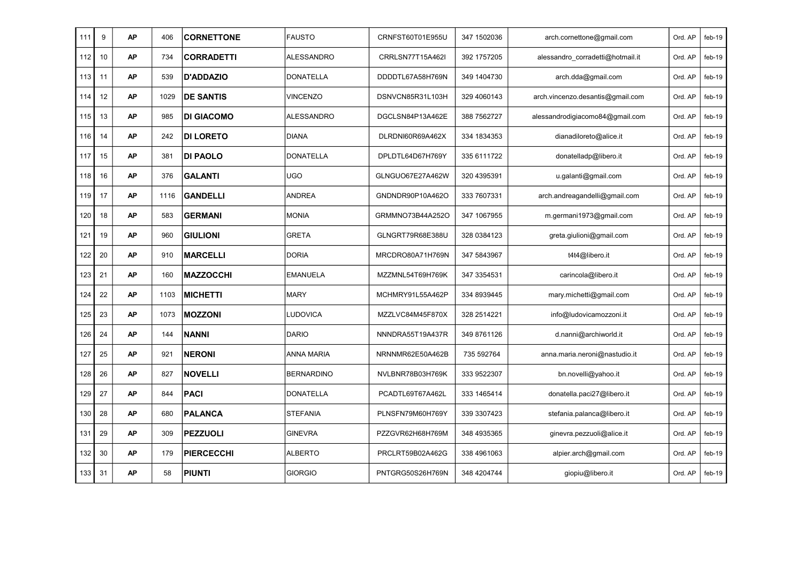| 111 | 9  | <b>AP</b> | 406  | <b>CORNETTONE</b> | <b>FAUSTO</b>     | CRNFST60T01E955U | 347 1502036  | arch.cornettone@gmail.com        | Ord, AP | feb-19   |
|-----|----|-----------|------|-------------------|-------------------|------------------|--------------|----------------------------------|---------|----------|
| 112 | 10 | AP        | 734  | <b>CORRADETTI</b> | <b>ALESSANDRO</b> | CRRLSN77T15A462I | 392 1757205  | alessandro corradetti@hotmail.it | Ord. AP | $feb-19$ |
| 113 | 11 | AP        | 539  | <b>D'ADDAZIO</b>  | <b>DONATELLA</b>  | DDDDTL67A58H769N | 349 1404730  | arch.dda@gmail.com               | Ord. AP | $feb-19$ |
| 114 | 12 | <b>AP</b> | 1029 | <b>DE SANTIS</b>  | <b>VINCENZO</b>   | DSNVCN85R31L103H | 329 4060143  | arch.vincenzo.desantis@gmail.com | Ord. AP | $feb-19$ |
| 115 | 13 | AP        | 985  | <b>DI GIACOMO</b> | <b>ALESSANDRO</b> | DGCLSN84P13A462E | 388 7562727  | alessandrodigiacomo84@gmail.com  | Ord. AP | $feb-19$ |
| 116 | 14 | <b>AP</b> | 242  | <b>DI LORETO</b>  | <b>DIANA</b>      | DLRDNI60R69A462X | 334 1834 353 | dianadiloreto@alice.it           | Ord. AP | $feb-19$ |
| 117 | 15 | AP        | 381  | <b>DI PAOLO</b>   | <b>DONATELLA</b>  | DPLDTL64D67H769Y | 335 6111722  | donatelladp@libero.it            | Ord. AP | $feb-19$ |
| 118 | 16 | <b>AP</b> | 376  | <b>GALANTI</b>    | <b>UGO</b>        | GLNGUO67E27A462W | 320 4395391  | u.galanti@gmail.com              | Ord. AP | $feb-19$ |
| 119 | 17 | <b>AP</b> | 1116 | <b>GANDELLI</b>   | <b>ANDREA</b>     | GNDNDR90P10A462O | 333 7607331  | arch.andreagandelli@gmail.com    | Ord. AP | $feb-19$ |
| 120 | 18 | <b>AP</b> | 583  | <b>GERMANI</b>    | <b>MONIA</b>      | GRMMNO73B44A252O | 347 1067955  | m.germani1973@gmail.com          | Ord. AP | $feb-19$ |
| 121 | 19 | AP        | 960  | <b>GIULIONI</b>   | <b>GRETA</b>      | GLNGRT79R68E388U | 328 0384123  | greta.giulioni@gmail.com         | Ord. AP | $feb-19$ |
| 122 | 20 | <b>AP</b> | 910  | <b>MARCELLI</b>   | <b>DORIA</b>      | MRCDRO80A71H769N | 347 5843967  | t4t4@libero.it                   | Ord, AP | $feb-19$ |
| 123 | 21 | <b>AP</b> | 160  | <b>MAZZOCCHI</b>  | <b>EMANUELA</b>   | MZZMNL54T69H769K | 347 3354531  | carincola@libero.it              | Ord. AP | $feb-19$ |
| 124 | 22 | <b>AP</b> | 1103 | <b>MICHETTI</b>   | <b>MARY</b>       | MCHMRY91L55A462P | 334 8939445  | mary.michetti@gmail.com          | Ord. AP | $feb-19$ |
| 125 | 23 | <b>AP</b> | 1073 | <b>MOZZONI</b>    | LUDOVICA          | MZZLVC84M45F870X | 328 2514221  | info@ludovicamozzoni.it          | Ord. AP | $feb-19$ |
| 126 | 24 | <b>AP</b> | 144  | <b>NANNI</b>      | <b>DARIO</b>      | NNNDRA55T19A437R | 349 8761126  | d.nanni@archiworld.it            | Ord. AP | $feb-19$ |
| 127 | 25 | AP        | 921  | <b>NERONI</b>     | <b>ANNA MARIA</b> | NRNNMR62E50A462B | 735 592764   | anna.maria.neroni@nastudio.it    | Ord. AP | $feb-19$ |
| 128 | 26 | AP        | 827  | <b>NOVELLI</b>    | <b>BERNARDINO</b> | NVLBNR78B03H769K | 333 9522307  | bn.novelli@yahoo.it              | Ord. AP | $feb-19$ |
| 129 | 27 | <b>AP</b> | 844  | PACI              | <b>DONATELLA</b>  | PCADTL69T67A462L | 333 1465414  | donatella.paci27@libero.it       | Ord. AP | $feb-19$ |
| 130 | 28 | AP        | 680  | <b>PALANCA</b>    | <b>STEFANIA</b>   | PLNSFN79M60H769Y | 339 3307423  | stefania.palanca@libero.it       | Ord. AP | $feb-19$ |
| 131 | 29 | <b>AP</b> | 309  | <b>PEZZUOLI</b>   | <b>GINEVRA</b>    | PZZGVR62H68H769M | 348 4935365  | ginevra.pezzuoli@alice.it        | Ord. AP | feb-19   |
| 132 | 30 | AP        | 179  | <b>PIERCECCHI</b> | <b>ALBERTO</b>    | PRCLRT59B02A462G | 338 4961063  | alpier.arch@gmail.com            | Ord. AP | $feb-19$ |
| 133 | 31 | <b>AP</b> | 58   | <b>PIUNTI</b>     | <b>GIORGIO</b>    | PNTGRG50S26H769N | 348 4204744  | giopiu@libero.it                 | Ord. AP | $feb-19$ |
|     |    |           |      |                   |                   |                  |              |                                  |         |          |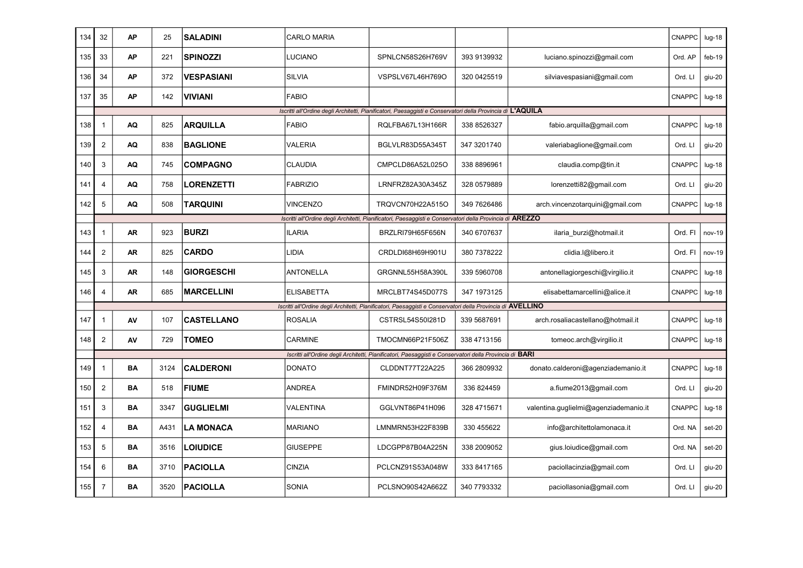| 134 | 32                      | <b>AP</b> | 25   | <b>SALADINI</b>   | <b>CARLO MARIA</b> |                                                                                                             |             |                                       | <b>CNAPPC</b> | $lug-18$ |
|-----|-------------------------|-----------|------|-------------------|--------------------|-------------------------------------------------------------------------------------------------------------|-------------|---------------------------------------|---------------|----------|
| 135 | 33                      | <b>AP</b> | 221  | <b>SPINOZZI</b>   | LUCIANO            | SPNLCN58S26H769V                                                                                            | 393 9139932 | luciano.spinozzi@gmail.com            | Ord. AP       | $feb-19$ |
| 136 | 34                      | <b>AP</b> | 372  | <b>VESPASIANI</b> | <b>SILVIA</b>      | VSPSLV67L46H769O                                                                                            | 320 0425519 | silviavespasiani@gmail.com            | Ord. LI       | giu-20   |
| 137 | 35                      | <b>AP</b> | 142  | <b>VIVIANI</b>    | <b>FABIO</b>       |                                                                                                             |             |                                       | <b>CNAPPC</b> | $lug-18$ |
|     |                         |           |      |                   |                    | Iscritti all'Ordine degli Architetti, Pianificatori, Paesaggisti e Conservatori della Provincia di L'AQUILA |             |                                       |               |          |
| 138 | $\mathbf{1}$            | AQ        | 825  | <b>ARQUILLA</b>   | <b>FABIO</b>       | RQLFBA67L13H166R                                                                                            | 338 8526327 | fabio.arquilla@gmail.com              | CNAPPC        | $Iug-18$ |
| 139 | $\overline{2}$          | AQ        | 838  | <b>BAGLIONE</b>   | VALERIA            | BGLVLR83D55A345T                                                                                            | 347 3201740 | valeriabaglione@gmail.com             | Ord. LI       | giu-20   |
| 140 | 3                       | AQ        | 745  | <b>COMPAGNO</b>   | <b>CLAUDIA</b>     | CMPCLD86A52L025O                                                                                            | 338 8896961 | claudia.comp@tin.it                   | <b>CNAPPC</b> | $lug-18$ |
| 141 | $\overline{4}$          | AQ        | 758  | <b>LORENZETTI</b> | <b>FABRIZIO</b>    | LRNFRZ82A30A345Z                                                                                            | 328 0579889 | lorenzetti82@gmail.com                | Ord. LI       | giu-20   |
| 142 | 5                       | AQ        | 508  | <b>TARQUINI</b>   | <b>VINCENZO</b>    | TRQVCN70H22A515O                                                                                            | 349 7626486 | arch.vincenzotarquini@gmail.com       | CNAPPC        | $Iug-18$ |
|     |                         |           |      |                   |                    | Iscritti all'Ordine degli Architetti, Pianificatori, Paesaggisti e Conservatori della Provincia di AREZZO   |             |                                       |               |          |
| 143 | $\mathbf{1}$            | <b>AR</b> | 923  | <b>BURZI</b>      | <b>ILARIA</b>      | BRZLRI79H65F656N                                                                                            | 340 6707637 | ilaria burzi@hotmail.it               | Ord. FI       | nov-19   |
| 144 | $\overline{2}$          | AR        | 825  | <b>CARDO</b>      | LIDIA              | CRDLDI68H69H901U                                                                                            | 380 7378222 | clidia.l@libero.it                    | Ord. FI       | nov-19   |
| 145 | 3                       | <b>AR</b> | 148  | <b>GIORGESCHI</b> | <b>ANTONELLA</b>   | GRGNNL55H58A390L                                                                                            | 339 5960708 | antonellagiorgeschi@virgilio.it       | <b>CNAPPC</b> | $Iug-18$ |
| 146 | $\overline{\mathbf{4}}$ | AR        | 685  | <b>MARCELLINI</b> | <b>ELISABETTA</b>  | MRCLBT74S45D077S                                                                                            | 347 1973125 | elisabettamarcellini@alice.it         | CNAPPC        | $lug-18$ |
|     |                         |           |      |                   |                    | Iscritti all'Ordine degli Architetti, Pianificatori, Paesaggisti e Conservatori della Provincia di AVELLINO |             |                                       |               |          |
| 147 | $\mathbf{1}$            | AV        | 107  | <b>CASTELLANO</b> | <b>ROSALIA</b>     | CSTRSL54S50I281D                                                                                            | 339 5687691 | arch.rosaliacastellano@hotmail.it     | CNAPPC        | $Iug-18$ |
| 148 | $\overline{2}$          | AV        | 729  | <b>TOMEO</b>      | <b>CARMINE</b>     | TMOCMN66P21F506Z                                                                                            | 338 4713156 | tomeoc.arch@virgilio.it               | CNAPPC        | $Iug-18$ |
|     |                         |           |      |                   |                    | Iscritti all'Ordine degli Architetti, Pianificatori, Paesaggisti e Conservatori della Provincia di BARI     |             |                                       |               |          |
| 149 | $\overline{1}$          | BA        | 3124 | <b>CALDERONI</b>  | <b>DONATO</b>      | CLDDNT77T22A225                                                                                             | 366 2809932 | donato.calderoni@agenziademanio.it    | CNAPPC        | $Iug-18$ |
| 150 | $\overline{2}$          | BA        | 518  | <b>FIUME</b>      | <b>ANDREA</b>      | FMINDR52H09F376M                                                                                            | 336 824459  | a.fiume2013@gmail.com                 | Ord. LI       | giu-20   |
| 151 | 3                       | BA        | 3347 | <b>GUGLIELMI</b>  | VALENTINA          | GGLVNT86P41H096                                                                                             | 328 4715671 | valentina.guglielmi@agenziademanio.it | CNAPPC        | $lug-18$ |
| 152 | 4                       | BA        | A431 | <b>LA MONACA</b>  | <b>MARIANO</b>     | LMNMRN53H22F839B                                                                                            | 330 455622  | info@architettolamonaca.it            | Ord. NA       | set-20   |
| 153 | 5                       | BA        | 3516 | <b>LOIUDICE</b>   | <b>GIUSEPPE</b>    | LDCGPP87B04A225N                                                                                            | 338 2009052 | gius.loiudice@gmail.com               | Ord. NA       | set-20   |
| 154 | 6                       | BA        | 3710 | <b>PACIOLLA</b>   | <b>CINZIA</b>      | PCLCNZ91S53A048W                                                                                            | 333 8417165 | paciollacinzia@gmail.com              | Ord. LI       | giu-20   |
| 155 | $\overline{7}$          | BA        | 3520 | <b>PACIOLLA</b>   | <b>SONIA</b>       | PCLSNO90S42A662Z                                                                                            | 340 7793332 | paciollasonia@gmail.com               | Ord. LI       | giu-20   |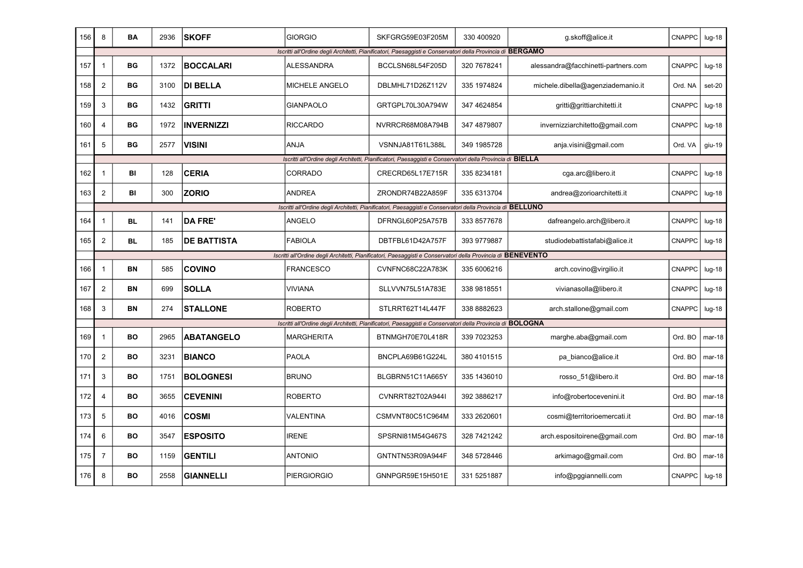| 156 | 8                       | <b>BA</b> | 2936 | <b>SKOFF</b>       | <b>GIORGIO</b>        | SKFGRG59E03F205M                                                                                             | 330 400920   | g.skoff@alice.it                    | CNAPPC        | $lug-18$ |
|-----|-------------------------|-----------|------|--------------------|-----------------------|--------------------------------------------------------------------------------------------------------------|--------------|-------------------------------------|---------------|----------|
|     |                         |           |      |                    |                       | Iscritti all'Ordine degli Architetti, Pianificatori, Paesaggisti e Conservatori della Provincia di BERGAMO   |              |                                     |               |          |
| 157 | $\mathbf{1}$            | BG        | 1372 | <b>BOCCALARI</b>   | <b>ALESSANDRA</b>     | BCCLSN68L54F205D                                                                                             | 320 7678241  | alessandra@facchinetti-partners.com | <b>CNAPPC</b> | $lug-18$ |
| 158 | $\overline{2}$          | BG        | 3100 | <b>DI BELLA</b>    | <b>MICHELE ANGELO</b> | DBLMHL71D26Z112V                                                                                             | 335 1974824  | michele.dibella@agenziademanio.it   | Ord. NA       | $set-20$ |
| 159 | 3                       | BG        | 1432 | <b>GRITTI</b>      | <b>GIANPAOLO</b>      | GRTGPL70L30A794W                                                                                             | 347 4624854  | gritti@grittiarchitetti.it          | <b>CNAPPC</b> | $lug-18$ |
| 160 | $\overline{4}$          | ВG        | 1972 | <b>INVERNIZZI</b>  | <b>RICCARDO</b>       | NVRRCR68M08A794B                                                                                             | 347 4879807  | invernizziarchitetto@gmail.com      | <b>CNAPPC</b> | $lug-18$ |
| 161 | 5                       | ВG        | 2577 | VISINI             | ANJA                  | VSNNJA81T61L388L                                                                                             | 349 1985728  | anja.visini@gmail.com               | Ord. VA       | giu-19   |
|     |                         |           |      |                    |                       | Iscritti all'Ordine degli Architetti, Pianificatori, Paesaggisti e Conservatori della Provincia di BIELLA    |              |                                     |               |          |
| 162 | $\overline{1}$          | BI        | 128  | <b>CERIA</b>       | <b>CORRADO</b>        | CRECRD65L17E715R                                                                                             | 335 8234181  | cga.arc@libero.it                   | <b>CNAPPC</b> | $Iug-18$ |
| 163 | $\overline{2}$          | BI        | 300  | <b>ZORIO</b>       | <b>ANDREA</b>         | ZRONDR74B22A859F                                                                                             | 335 6313704  | andrea@zorioarchitetti.it           | <b>CNAPPC</b> | $lug-18$ |
|     |                         |           |      |                    |                       | Iscritti all'Ordine degli Architetti, Pianificatori, Paesaggisti e Conservatori della Provincia di BELLUNO   |              |                                     |               |          |
| 164 | $\mathbf 1$             | <b>BL</b> | 141  | <b>DA FRE'</b>     | ANGELO                | DFRNGL60P25A757B                                                                                             | 333 8577678  | dafreangelo.arch@libero.it          | CNAPPC        | $Iug-18$ |
| 165 | $\overline{c}$          | <b>BL</b> | 185  | <b>DE BATTISTA</b> | <b>FABIOLA</b>        | DBTFBL61D42A757F                                                                                             | 393 9779887  | studiodebattistafabi@alice.it       | <b>CNAPPC</b> | $lug-18$ |
|     |                         |           |      |                    |                       | Iscritti all'Ordine degli Architetti, Pianificatori, Paesaggisti e Conservatori della Provincia di BENEVENTO |              |                                     |               |          |
| 166 | $\mathbf{1}$            | BN        | 585  | <b>COVINO</b>      | <b>FRANCESCO</b>      | CVNFNC68C22A783K                                                                                             | 335 6006216  | arch.covino@virgilio.it             | CNAPPC        | $Iug-18$ |
| 167 | $\overline{2}$          | BN        | 699  | <b>SOLLA</b>       | <b>VIVIANA</b>        | SLLVVN75L51A783E                                                                                             | 338 9818551  | vivianasolla@libero.it              | <b>CNAPPC</b> | $Iug-18$ |
| 168 | 3                       | BN        | 274  | <b>STALLONE</b>    | <b>ROBERTO</b>        | STLRRT62T14L447F                                                                                             | 338 8882623  | arch.stallone@gmail.com             | <b>CNAPPC</b> | $Iug-18$ |
|     |                         |           |      |                    |                       | Iscritti all'Ordine degli Architetti, Pianificatori, Paesaggisti e Conservatori della Provincia di BOLOGNA   |              |                                     |               |          |
| 169 | $\overline{1}$          | <b>BO</b> | 2965 | <b>ABATANGELO</b>  | <b>MARGHERITA</b>     | BTNMGH70E70L418R                                                                                             | 339 7023253  | marghe.aba@gmail.com                | Ord. BO       | mar-18   |
| 170 | $\overline{2}$          | <b>BO</b> | 3231 | <b>BIANCO</b>      | <b>PAOLA</b>          | BNCPLA69B61G224L                                                                                             | 380 4101515  | pa bianco@alice.it                  | Ord. BO       | $mar-18$ |
| 171 | 3                       | BO        | 1751 | <b>BOLOGNESI</b>   | <b>BRUNO</b>          | BLGBRN51C11A665Y                                                                                             | 335 1436010  | rosso 51@libero.it                  | Ord. BO       | $mar-18$ |
| 172 | $\overline{\mathbf{4}}$ | <b>BO</b> | 3655 | <b>CEVENINI</b>    | <b>ROBERTO</b>        | CVNRRT82T02A944I                                                                                             | 392 3886217  | info@robertocevenini.it             | Ord. BO       | $mar-18$ |
| 173 | 5                       | BO        | 4016 | <b>COSMI</b>       | VALENTINA             | CSMVNT80C51C964M                                                                                             | 333 26 20601 | cosmi@territorioemercati.it         | Ord. BO       | $mar-18$ |
| 174 | 6                       | <b>BO</b> | 3547 | <b>ESPOSITO</b>    | <b>IRENE</b>          | SPSRNI81M54G467S                                                                                             | 328 7421242  | arch.espositoirene@gmail.com        | Ord. BO       | $mar-18$ |
| 175 | $\overline{7}$          | BO        | 1159 | <b>GENTILI</b>     | <b>ANTONIO</b>        | GNTNTN53R09A944F                                                                                             | 348 5728446  | arkimago@gmail.com                  | Ord. BO       | $mar-18$ |
| 176 | 8                       | BO        | 2558 | <b>GIANNELLI</b>   | <b>PIERGIORGIO</b>    | GNNPGR59E15H501E                                                                                             | 331 5251887  | info@pggiannelli.com                | <b>CNAPPC</b> | $lug-18$ |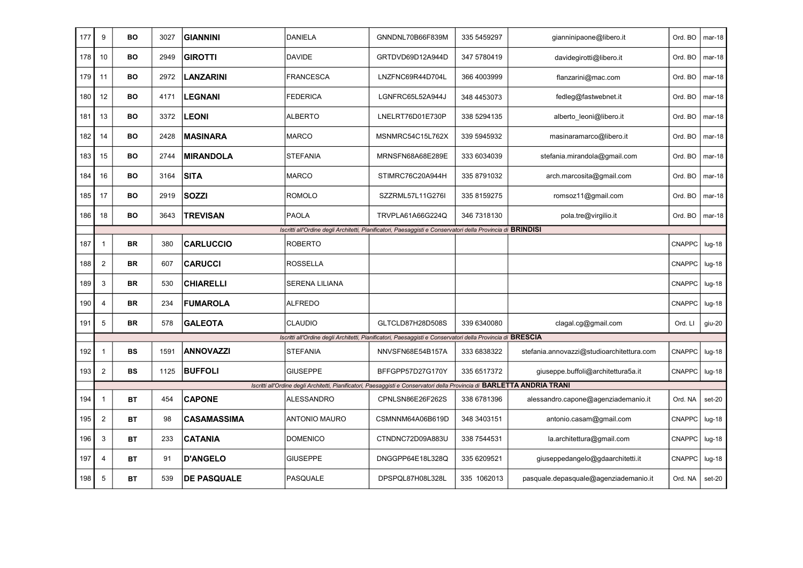| 177 | 9                       | BO        | 3027 | <b>GIANNINI</b>    | DANIELA               | GNNDNL70B66F839M                                                                                                         | 335 5459297 | gianninipaone@libero.it                   | Ord. BO       | $mar-18$ |
|-----|-------------------------|-----------|------|--------------------|-----------------------|--------------------------------------------------------------------------------------------------------------------------|-------------|-------------------------------------------|---------------|----------|
| 178 | 10                      | <b>BO</b> | 2949 | <b>GIROTTI</b>     | DAVIDE                | GRTDVD69D12A944D                                                                                                         | 347 5780419 | davidegirotti@libero.it                   | Ord. BO       | $mar-18$ |
| 179 | 11                      | <b>BO</b> | 2972 | <b>LANZARINI</b>   | <b>FRANCESCA</b>      | LNZFNC69R44D704L                                                                                                         | 366 4003999 | flanzarini@mac.com                        | Ord. BO       | $mar-18$ |
| 180 | 12                      | <b>BO</b> | 4171 | LEGNANI            | <b>FEDERICA</b>       | LGNFRC65L52A944J                                                                                                         | 348 4453073 | fedleg@fastwebnet.it                      | Ord. BO       | $mar-18$ |
| 181 | 13                      | BO        | 3372 | <b>LEONI</b>       | <b>ALBERTO</b>        | LNELRT76D01E730P                                                                                                         | 338 5294135 | alberto leoni@libero.it                   | Ord. BO       | $mar-18$ |
| 182 | 14                      | BO        | 2428 | <b>MASINARA</b>    | <b>MARCO</b>          | MSNMRC54C15L762X                                                                                                         | 339 5945932 | masinaramarco@libero.it                   | Ord. BO       | $mar-18$ |
| 183 | 15                      | <b>BO</b> | 2744 | <b>MIRANDOLA</b>   | STEFANIA              | MRNSFN68A68E289E                                                                                                         | 333 6034039 | stefania.mirandola@gmail.com              | Ord. BO       | $mar-18$ |
| 184 | 16                      | <b>BO</b> | 3164 | <b>SITA</b>        | <b>MARCO</b>          | STIMRC76C20A944H                                                                                                         | 335 8791032 | arch.marcosita@gmail.com                  | Ord. BO       | $mar-18$ |
| 185 | 17                      | <b>BO</b> | 2919 | <b>SOZZI</b>       | <b>ROMOLO</b>         | SZZRML57L11G276I                                                                                                         | 335 8159275 | romsoz11@gmail.com                        | Ord. BO       | $mar-18$ |
| 186 | 18                      | BO        | 3643 | <b>TREVISAN</b>    | <b>PAOLA</b>          | TRVPLA61A66G224Q                                                                                                         | 346 7318130 | pola.tre@virgilio.it                      | Ord. BO       | $mar-18$ |
|     |                         |           |      |                    |                       | Iscritti all'Ordine degli Architetti, Pianificatori, Paesaggisti e Conservatori della Provincia di BRINDISI              |             |                                           |               |          |
| 187 | $\overline{1}$          | <b>BR</b> | 380  | <b>CARLUCCIO</b>   | <b>ROBERTO</b>        |                                                                                                                          |             |                                           | CNAPPC        | $Iug-18$ |
| 188 | $\overline{2}$          | <b>BR</b> | 607  | <b>CARUCCI</b>     | <b>ROSSELLA</b>       |                                                                                                                          |             |                                           | <b>CNAPPC</b> | $Iug-18$ |
| 189 | 3                       | <b>BR</b> | 530  | <b>CHIARELLI</b>   | <b>SERENA LILIANA</b> |                                                                                                                          |             |                                           | CNAPPC        | $Iug-18$ |
| 190 | 4                       | <b>BR</b> | 234  | <b>FUMAROLA</b>    | <b>ALFREDO</b>        |                                                                                                                          |             |                                           | <b>CNAPPC</b> | $Iug-18$ |
| 191 | 5                       | <b>BR</b> | 578  | <b>GALEOTA</b>     | <b>CLAUDIO</b>        | GLTCLD87H28D508S                                                                                                         | 339 6340080 | clagal.cg@gmail.com                       | Ord. LI       | giu-20   |
|     |                         |           |      |                    |                       | Iscritti all'Ordine degli Architetti, Pianificatori, Paesaggisti e Conservatori della Provincia di BRESCIA               |             |                                           |               |          |
| 192 | $\mathbf{1}$            | <b>BS</b> | 1591 | <b>ANNOVAZZI</b>   | STEFANIA              | NNVSFN68E54B157A                                                                                                         | 333 6838322 | stefania.annovazzi@studioarchitettura.com | CNAPPC        | $Iug-18$ |
| 193 | $\overline{2}$          | <b>BS</b> | 1125 | <b>BUFFOLI</b>     | <b>GIUSEPPE</b>       | BFFGPP57D27G170Y                                                                                                         | 335 6517372 | giuseppe.buffoli@architettura5a.it        | <b>CNAPPC</b> | $lug-18$ |
|     |                         |           |      |                    |                       | Iscritti all'Ordine degli Architetti, Pianificatori, Paesaggisti e Conservatori della Provincia di BARLETTA ANDRIA TRANI |             |                                           |               |          |
| 194 | 1                       | BT        | 454  | <b>CAPONE</b>      | <b>ALESSANDRO</b>     | CPNLSN86E26F262S                                                                                                         | 338 6781396 | alessandro.capone@agenziademanio.it       | Ord. NA       | set-20   |
| 195 | $\overline{\mathbf{c}}$ | ВT        | 98   | <b>CASAMASSIMA</b> | ANTONIO MAURO         | CSMNNM64A06B619D                                                                                                         | 348 3403151 | antonio.casam@gmail.com                   | CNAPPC        | $Iug-18$ |
| 196 | 3                       | <b>BT</b> | 233  | <b>CATANIA</b>     | <b>DOMENICO</b>       | CTNDNC72D09A883U                                                                                                         | 338 7544531 | la.architettura@gmail.com                 | CNAPPC        | $Iug-18$ |
| 197 | 4                       | <b>BT</b> | 91   | <b>D'ANGELO</b>    | <b>GIUSEPPE</b>       | DNGGPP64E18L328Q                                                                                                         | 335 6209521 | giuseppedangelo@gdaarchitetti.it          | <b>CNAPPC</b> | $Iug-18$ |
| 198 | 5                       | ВT        | 539  | <b>DE PASQUALE</b> | PASQUALE              | DPSPQL87H08L328L                                                                                                         | 335 1062013 | pasquale.depasquale@agenziademanio.it     | Ord. NA       | set-20   |
|     |                         |           |      |                    |                       |                                                                                                                          |             |                                           |               |          |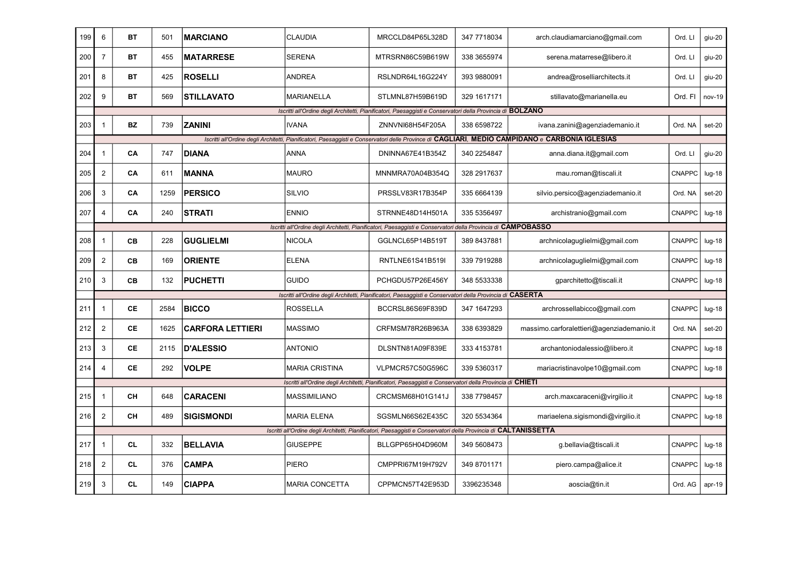| 199 | 6              | <b>BT</b> | 501  | <b>IMARCIANO</b>        | <b>CLAUDIA</b>        | MRCCLD84P65L328D                                                                                                 | 347 7718034 | arch.claudiamarciano@gmail.com                                                                                                                  | Ord. LI       | giu-20   |
|-----|----------------|-----------|------|-------------------------|-----------------------|------------------------------------------------------------------------------------------------------------------|-------------|-------------------------------------------------------------------------------------------------------------------------------------------------|---------------|----------|
| 200 | $\overline{7}$ | BT        | 455  | <b>MATARRESE</b>        | <b>SERENA</b>         | MTRSRN86C59B619W                                                                                                 | 338 3655974 | serena.matarrese@libero.it                                                                                                                      | Ord. LI       | giu-20   |
| 201 | 8              | ВT        | 425  | <b>ROSELLI</b>          | <b>ANDREA</b>         | RSLNDR64L16G224Y                                                                                                 | 393 9880091 | andrea@roselliarchitects.it                                                                                                                     | Ord. LI       | giu-20   |
| 202 | 9              | ВT        | 569  | <b>STILLAVATO</b>       | MARIANELLA            | STLMNL87H59B619D                                                                                                 | 329 1617171 | stillavato@marianella.eu                                                                                                                        | Ord. FI       | nov-19   |
|     |                |           |      |                         |                       | Iscritti all'Ordine degli Architetti, Pianificatori, Paesaggisti e Conservatori della Provincia di BOLZANO       |             |                                                                                                                                                 |               |          |
| 203 | $\overline{1}$ | BZ        | 739  | <b>ZANINI</b>           | <b>IVANA</b>          | ZNNVNI68H54F205A                                                                                                 | 338 6598722 | ivana.zanini@agenziademanio.it                                                                                                                  | Ord. NA       | set-20   |
|     |                |           |      |                         |                       |                                                                                                                  |             | Iscritti all'Ordine degli Architetti, Pianificatori, Paesaggisti e Conservatori delle Province di CAGLIARI, MEDIO CAMPIDANO e CARBONIA IGLESIAS |               |          |
| 204 | $\mathbf{1}$   | CA        | 747  | <b>DIANA</b>            | <b>ANNA</b>           | DNINNA67E41B354Z                                                                                                 | 340 2254847 | anna.diana.it@gmail.com                                                                                                                         | Ord. LI       | giu-20   |
| 205 | $\overline{2}$ | CA        | 611  | <b>MANNA</b>            | <b>MAURO</b>          | MNNMRA70A04B354Q                                                                                                 | 328 2917637 | mau.roman@tiscali.it                                                                                                                            | <b>CNAPPC</b> | $Iug-18$ |
| 206 | 3              | CA        | 1259 | <b>PERSICO</b>          | <b>SILVIO</b>         | PRSSLV83R17B354P                                                                                                 | 335 6664139 | silvio.persico@agenziademanio.it                                                                                                                | Ord. NA       | set-20   |
| 207 | $\overline{4}$ | CA        | 240  | <b>STRATI</b>           | <b>ENNIO</b>          | STRNNE48D14H501A                                                                                                 | 335 5356497 | archistranio@gmail.com                                                                                                                          | CNAPPC        | $Iug-18$ |
|     |                |           |      |                         |                       | Iscritti all'Ordine degli Architetti, Pianificatori, Paesaggisti e Conservatori della Provincia di CAMPOBASSO    |             |                                                                                                                                                 |               |          |
| 208 | $\mathbf{1}$   | CВ        | 228  | <b>GUGLIELMI</b>        | <b>NICOLA</b>         | GGLNCL65P14B519T                                                                                                 | 389 8437881 | archnicolaguglielmi@gmail.com                                                                                                                   | <b>CNAPPC</b> | $lug-18$ |
| 209 | $\overline{c}$ | CВ        | 169  | <b>ORIENTE</b>          | <b>ELENA</b>          | RNTLNE61S41B519I                                                                                                 | 339 7919288 | archnicolaguglielmi@gmail.com                                                                                                                   | CNAPPC        | $lug-18$ |
| 210 | 3              | CВ        | 132  | <b>PUCHETTI</b>         | <b>GUIDO</b>          | PCHGDU57P26E456Y                                                                                                 | 348 5533338 | gparchitetto@tiscali.it                                                                                                                         | <b>CNAPPC</b> | $lug-18$ |
|     |                |           |      |                         |                       | Iscritti all'Ordine degli Architetti, Pianificatori, Paesaggisti e Conservatori della Provincia di CASERTA       |             |                                                                                                                                                 |               |          |
| 211 | $\mathbf{1}$   | СE        | 2584 | <b>BICCO</b>            | <b>ROSSELLA</b>       | BCCRSL86S69F839D                                                                                                 | 347 1647293 | archrossellabicco@gmail.com                                                                                                                     | <b>CNAPPC</b> | $lug-18$ |
| 212 | $\overline{2}$ | СE        | 1625 | <b>CARFORA LETTIERI</b> | <b>MASSIMO</b>        | CRFMSM78R26B963A                                                                                                 | 338 6393829 | massimo.carforalettieri@agenziademanio.it                                                                                                       | Ord. NA       | $set-20$ |
| 213 | 3              | СE        | 2115 | <b>D'ALESSIO</b>        | <b>ANTONIO</b>        | DLSNTN81A09F839E                                                                                                 | 333 4153781 | archantoniodalessio@libero.it                                                                                                                   | CNAPPC        | $Iug-18$ |
| 214 | 4              | СE        | 292  | <b>VOLPE</b>            | <b>MARIA CRISTINA</b> | VLPMCR57C50G596C                                                                                                 | 339 5360317 | mariacristinavolpe10@gmail.com                                                                                                                  | <b>CNAPPC</b> | $lug-18$ |
|     |                |           |      |                         |                       | Iscritti all'Ordine degli Architetti, Pianificatori, Paesaggisti e Conservatori della Provincia di CHIETI        |             |                                                                                                                                                 |               |          |
| 215 | $\mathbf{1}$   | CН        | 648  | <b>CARACENI</b>         | MASSIMILIANO          | CRCMSM68H01G141J                                                                                                 | 338 7798457 | arch.maxcaraceni@virgilio.it                                                                                                                    | <b>CNAPPC</b> | $lug-18$ |
| 216 | $\mathbf 2$    | CН        | 489  | <b>SIGISMONDI</b>       | <b>MARIA ELENA</b>    | SGSMLN66S62E435C                                                                                                 | 320 5534364 | mariaelena.sigismondi@virgilio.it                                                                                                               | <b>CNAPPC</b> | $Iug-18$ |
|     |                |           |      |                         |                       | Iscritti all'Ordine degli Architetti, Pianificatori, Paesaggisti e Conservatori della Provincia di CALTANISSETTA |             |                                                                                                                                                 |               |          |
| 217 | $\mathbf{1}$   | <b>CL</b> | 332  | <b>BELLAVIA</b>         | <b>GIUSEPPE</b>       | BLLGPP65H04D960M                                                                                                 | 349 5608473 | g.bellavia@tiscali.it                                                                                                                           | <b>CNAPPC</b> | $lug-18$ |
| 218 | $\overline{2}$ | <b>CL</b> | 376  | <b>CAMPA</b>            | PIERO                 | CMPPRI67M19H792V                                                                                                 | 349 8701171 | piero.campa@alice.it                                                                                                                            | <b>CNAPPC</b> | $Iug-18$ |
| 219 | 3              | CL        | 149  | <b>CIAPPA</b>           | <b>MARIA CONCETTA</b> | CPPMCN57T42E953D                                                                                                 | 3396235348  | aoscia@tin.it                                                                                                                                   | Ord. AG       | $apr-19$ |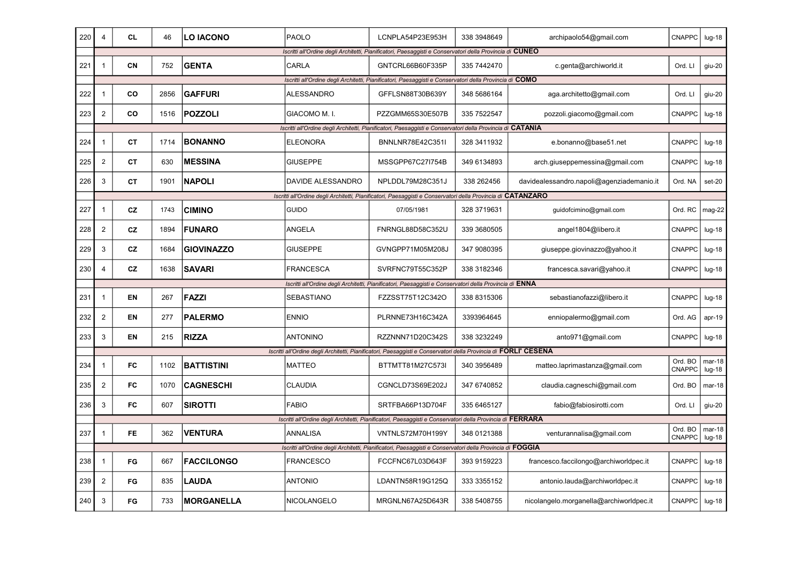| 220 | 4                       | <b>CL</b> | 46   | <b>LO IACONO</b>  | PAOLO             | LCNPLA54P23E953H                                                                                                 | 338 3948649 | archipaolo54@gmail.com                    | CNAPPC                   | $lug-18$             |
|-----|-------------------------|-----------|------|-------------------|-------------------|------------------------------------------------------------------------------------------------------------------|-------------|-------------------------------------------|--------------------------|----------------------|
|     |                         |           |      |                   |                   | Iscritti all'Ordine degli Architetti, Pianificatori, Paesaggisti e Conservatori della Provincia di CUNEO         |             |                                           |                          |                      |
| 221 | $\mathbf{1}$            | CN        | 752  | <b>GENTA</b>      | CARLA             | GNTCRL66B60F335P                                                                                                 | 335 7442470 | c.genta@archiworld.it                     | Ord. LI                  | giu-20               |
|     |                         |           |      |                   |                   | Iscritti all'Ordine degli Architetti, Pianificatori, Paesaggisti e Conservatori della Provincia di COMO          |             |                                           |                          |                      |
| 222 | $\overline{1}$          | CO        | 2856 | <b>GAFFURI</b>    | <b>ALESSANDRO</b> | GFFLSN88T30B639Y                                                                                                 | 348 5686164 | aga.architetto@gmail.com                  | Ord. LI                  | giu-20               |
| 223 | $\mathbf 2$             | CO        | 1516 | <b>POZZOLI</b>    | GIACOMO M.I.      | PZZGMM65S30E507B                                                                                                 | 335 7522547 | pozzoli.giacomo@gmail.com                 | CNAPPC                   | $Iug-18$             |
|     |                         |           |      |                   |                   | Iscritti all'Ordine degli Architetti, Pianificatori, Paesaggisti e Conservatori della Provincia di CATANIA       |             |                                           |                          |                      |
| 224 | $\mathbf{1}$            | <b>CT</b> | 1714 | <b>BONANNO</b>    | <b>ELEONORA</b>   | BNNLNR78E42C351I                                                                                                 | 328 3411932 | e.bonanno@base51.net                      | CNAPPC                   | $Iug-18$             |
| 225 | $\overline{2}$          | <b>CT</b> | 630  | <b>MESSINA</b>    | <b>GIUSEPPE</b>   | MSSGPP67C27I754B                                                                                                 | 349 6134893 | arch.giuseppemessina@gmail.com            | <b>CNAPPC</b>            | $lug-18$             |
| 226 | 3                       | <b>CT</b> | 1901 | <b>NAPOLI</b>     | DAVIDE ALESSANDRO | NPLDDL79M28C351J                                                                                                 | 338 262456  | davidealessandro.napoli@agenziademanio.it | Ord. NA                  | set-20               |
|     |                         |           |      |                   |                   | Iscritti all'Ordine degli Architetti, Pianificatori, Paesaggisti e Conservatori della Provincia di CATANZARO     |             |                                           |                          |                      |
| 227 | $\mathbf{1}$            | <b>CZ</b> | 1743 | <b>CIMINO</b>     | <b>GUIDO</b>      | 07/05/1981                                                                                                       | 328 3719631 | guidofcimino@gmail.com                    | Ord. RC                  | mag-22               |
| 228 | $\overline{\mathbf{c}}$ | <b>CZ</b> | 1894 | <b>FUNARO</b>     | ANGELA            | FNRNGL88D58C352U                                                                                                 | 339 3680505 | angel1804@libero.it                       | <b>CNAPPC</b>            | $Iug-18$             |
| 229 | 3                       | <b>CZ</b> | 1684 | <b>GIOVINAZZO</b> | <b>GIUSEPPE</b>   | GVNGPP71M05M208J                                                                                                 | 347 9080395 | giuseppe.giovinazzo@yahoo.it              | CNAPPC                   | $Iug-18$             |
| 230 | 4                       | CZ        | 1638 | <b>SAVARI</b>     | <b>FRANCESCA</b>  | SVRFNC79T55C352P                                                                                                 | 338 3182346 | francesca.savari@yahoo.it                 | CNAPPC                   | $lug-18$             |
|     |                         |           |      |                   |                   | Iscritti all'Ordine degli Architetti, Pianificatori, Paesaggisti e Conservatori della Provincia di ENNA          |             |                                           |                          |                      |
| 231 | $\overline{1}$          | <b>EN</b> | 267  | FAZZI             | SEBASTIANO        | FZZSST75T12C342O                                                                                                 | 338 8315306 | sebastianofazzi@libero.it                 | CNAPPC                   | $lug-18$             |
| 232 | $\overline{2}$          | <b>EN</b> | 277  | <b>PALERMO</b>    | <b>ENNIO</b>      | PLRNNE73H16C342A                                                                                                 | 3393964645  | enniopalermo@gmail.com                    | Ord. AG                  | apr-19               |
| 233 | 3                       | EN        | 215  | <b>RIZZA</b>      | <b>ANTONINO</b>   | RZZNNN71D20C342S                                                                                                 | 338 3232249 | anto971@gmail.com                         | <b>CNAPPC</b>            | $lug-18$             |
|     |                         |           |      |                   |                   | Iscritti all'Ordine degli Architetti, Pianificatori, Paesaggisti e Conservatori della Provincia di FORLI' CESENA |             |                                           |                          |                      |
| 234 | $\mathbf{1}$            | FC        | 1102 | <b>BATTISTINI</b> | <b>MATTEO</b>     | BTTMTT81M27C573I                                                                                                 | 340 3956489 | matteo.laprimastanza@gmail.com            | Ord. BO<br><b>CNAPPC</b> | $mar-18$<br>$lug-18$ |
| 235 | $\overline{c}$          | FC        | 1070 | <b>CAGNESCHI</b>  | <b>CLAUDIA</b>    | CGNCLD73S69E202J                                                                                                 | 347 6740852 | claudia.cagneschi@gmail.com               | Ord. BO                  | $mar-18$             |
| 236 | 3                       | FC        | 607  | <b>SIROTTI</b>    | <b>FABIO</b>      | SRTFBA66P13D704F                                                                                                 | 335 6465127 | fabio@fabiosirotti.com                    | Ord. LI                  | giu-20               |
|     |                         |           |      |                   |                   | Iscritti all'Ordine degli Architetti, Pianificatori, Paesaggisti e Conservatori della Provincia di FERRARA       |             |                                           |                          |                      |
| 237 | $\overline{1}$          | <b>FE</b> | 362  | <b>VENTURA</b>    | ANNALISA          | VNTNLS72M70H199Y                                                                                                 | 348 0121388 | venturannalisa@gmail.com                  | Ord. BO<br>CNAPPC        | $mar-18$<br>lug-18   |
|     |                         |           |      |                   |                   | Iscritti all'Ordine degli Architetti, Pianificatori, Paesaggisti e Conservatori della Provincia di FOGGIA        |             |                                           |                          |                      |
| 238 | $\mathbf{1}$            | FG        | 667  | <b>FACCILONGO</b> | FRANCESCO         | FCCFNC67L03D643F                                                                                                 | 393 9159223 | francesco.faccilongo@archiworldpec.it     | <b>CNAPPC</b>            | $lug-18$             |
| 239 | $\overline{\mathbf{c}}$ | FG        | 835  | <b>LAUDA</b>      | <b>ANTONIO</b>    | LDANTN58R19G125Q                                                                                                 | 333 3355152 | antonio.lauda@archiworldpec.it            | CNAPPC                   | $lug-18$             |
| 240 | 3                       | FG        | 733  | <b>MORGANELLA</b> | NICOLANGELO       | MRGNLN67A25D643R                                                                                                 | 338 5408755 | nicolangelo.morganella@archiworldpec.it   | <b>CNAPPC</b>            | $Iug-18$             |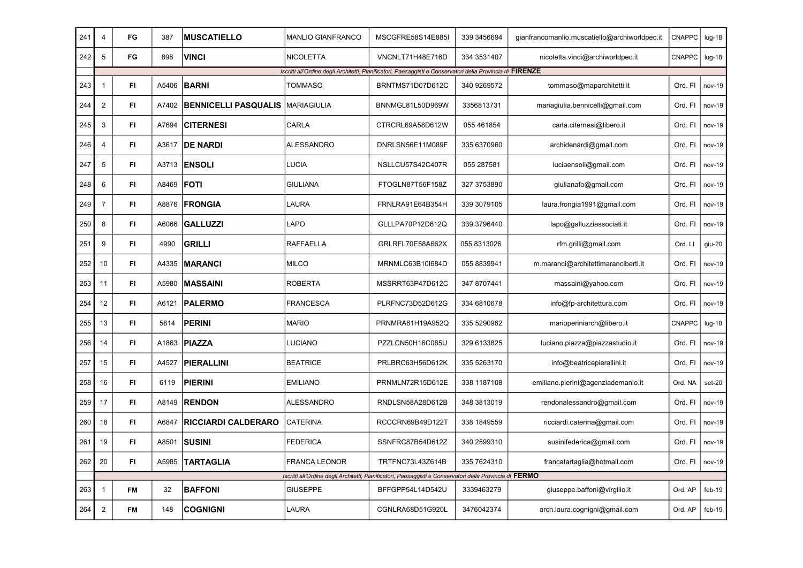| 241 | 4              | FG        | 387   | <b>MUSCATIELLO</b>          | <b>MANLIO GIANFRANCO</b> | MSCGFRE58S14E885I                                                                                          | 339 345 6694 | gianfrancomanlio.muscatiello@archiworldpec.it | CNAPPC  | $lug-18$ |
|-----|----------------|-----------|-------|-----------------------------|--------------------------|------------------------------------------------------------------------------------------------------------|--------------|-----------------------------------------------|---------|----------|
| 242 | 5              | FG        | 898   | VINCI                       | <b>NICOLETTA</b>         | VNCNLT71H48E716D                                                                                           | 334 3531407  | nicoletta.vinci@archiworldpec.it              | CNAPPC  | $Iug-18$ |
|     |                |           |       |                             |                          | Iscritti all'Ordine degli Architetti, Pianificatori, Paesaggisti e Conservatori della Provincia di FIRENZE |              |                                               |         |          |
| 243 | $\mathbf{1}$   | FI        | A5406 | <b>BARNI</b>                | TOMMASO                  | BRNTMS71D07D612C                                                                                           | 340 9269572  | tommaso@maparchitetti.it                      | Ord. FI | nov-19   |
| 244 | $\overline{c}$ | FI        | A7402 | <b>BENNICELLI PASQUALIS</b> | MARIAGIULIA              | BNNMGL81L50D969W                                                                                           | 3356813731   | mariagiulia.bennicelli@gmail.com              | Ord. FI | nov-19   |
| 245 | 3              | FI.       | A7694 | <b>CITERNESI</b>            | CARLA                    | CTRCRL69A58D612W                                                                                           | 055 461854   | carla.citernesi@libero.it                     | Ord. FI | nov-19   |
| 246 | $\overline{4}$ | FI.       | A3617 | <b>DE NARDI</b>             | <b>ALESSANDRO</b>        | DNRLSN56E11M089F                                                                                           | 335 6370960  | archidenardi@gmail.com                        | Ord. FI | nov-19   |
| 247 | 5              | FI.       | A3713 | <b>ENSOLI</b>               | LUCIA                    | NSLLCU57S42C407R                                                                                           | 055 287581   | luciaensoli@gmail.com                         | Ord. FI | nov-19   |
| 248 | 6              | FI.       | A8469 | <b>FOTI</b>                 | <b>GIULIANA</b>          | FTOGLN87T56F158Z                                                                                           | 327 3753890  | giulianafo@gmail.com                          | Ord. FI | nov-19   |
| 249 | $\overline{7}$ | FI.       | A8876 | <b>FRONGIA</b>              | LAURA                    | FRNLRA91E64B354H                                                                                           | 339 3079105  | laura.frongia1991@gmail.com                   | Ord. FI | nov-19   |
| 250 | 8              | FI.       | A6066 | <b>GALLUZZI</b>             | LAPO                     | GLLLPA70P12D612Q                                                                                           | 339 3796440  | lapo@galluzziassociati.it                     | Ord. FI | nov-19   |
| 251 | 9              | FI.       | 4990  | <b>GRILLI</b>               | <b>RAFFAELLA</b>         | GRLRFL70E58A662X                                                                                           | 055 8313026  | rfm.grilli@gmail.com                          | Ord. LI | giu-20   |
| 252 | 10             | FI.       | A4335 | <b>MARANCI</b>              | <b>MILCO</b>             | MRNMLC63B10I684D                                                                                           | 055 8839941  | m.maranci@architettimaranciberti.it           | Ord. FI | nov-19   |
| 253 | 11             | FI.       | A5980 | <b>MASSAINI</b>             | <b>ROBERTA</b>           | MSSRRT63P47D612C                                                                                           | 347 8707441  | massaini@yahoo.com                            | Ord. FI | nov-19   |
| 254 | 12             | FI.       | A6121 | <b>PALERMO</b>              | <b>FRANCESCA</b>         | PLRFNC73D52D612G                                                                                           | 334 6810678  | info@fp-architettura.com                      | Ord. FI | nov-19   |
| 255 | 13             | FI.       | 5614  | PERINI                      | <b>MARIO</b>             | PRNMRA61H19A952Q                                                                                           | 335 5290962  | marioperiniarch@libero.it                     | CNAPPC  | $Iug-18$ |
| 256 | 14             | FI.       | A1863 | PIAZZA                      | LUCIANO                  | PZZLCN50H16C085U                                                                                           | 329 6133825  | luciano.piazza@piazzastudio.it                | Ord. FI | nov-19   |
| 257 | 15             | FI.       | A4527 | PIERALLINI                  | <b>BEATRICE</b>          | PRLBRC63H56D612K                                                                                           | 335 5263170  | info@beatricepierallini.it                    | Ord. FI | nov-19   |
| 258 | 16             | FI        | 6119  | <b>PIERINI</b>              | <b>EMILIANO</b>          | PRNMLN72R15D612E                                                                                           | 338 1187108  | emiliano.pierini@agenziademanio.it            | Ord. NA | set-20   |
| 259 | 17             | FI        | A8149 | <b>RENDON</b>               | <b>ALESSANDRO</b>        | RNDLSN58A28D612B                                                                                           | 348 3813019  | rendonalessandro@gmail.com                    | Ord. FI | nov-19   |
| 260 | 18             | FI        | A6847 | <b>RICCIARDI CALDERARO</b>  | <b>CATERINA</b>          | RCCCRN69B49D122T                                                                                           | 338 1849559  | ricciardi.caterina@gmail.com                  | Ord. FI | nov-19   |
| 261 | 19             | FI        | A8501 | <b>SUSINI</b>               | <b>FEDERICA</b>          | SSNFRC87B54D612Z                                                                                           | 340 2599310  | susinifederica@gmail.com                      | Ord. FI | nov-19   |
| 262 | 20             | FI        | A5985 | TARTAGLIA                   | <b>FRANCA LEONOR</b>     | TRTFNC73L43Z614B                                                                                           | 335 7624310  | francatartaglia@hotmail.com                   | Ord. FI | nov-19   |
|     |                |           |       |                             |                          | Iscritti all'Ordine degli Architetti, Pianificatori, Paesaggisti e Conservatori della Provincia di FERMO   |              |                                               |         |          |
| 263 | $\mathbf{1}$   | <b>FM</b> | 32    | <b>BAFFONI</b>              | <b>GIUSEPPE</b>          | BFFGPP54L14D542U                                                                                           | 3339463279   | giuseppe.baffoni@virgilio.it                  | Ord. AP | feb-19   |
| 264 | $\sqrt{2}$     | FM        | 148   | <b>COGNIGNI</b>             | LAURA                    | CGNLRA68D51G920L                                                                                           | 3476042374   | arch.laura.cognigni@gmail.com                 | Ord. AP | $feb-19$ |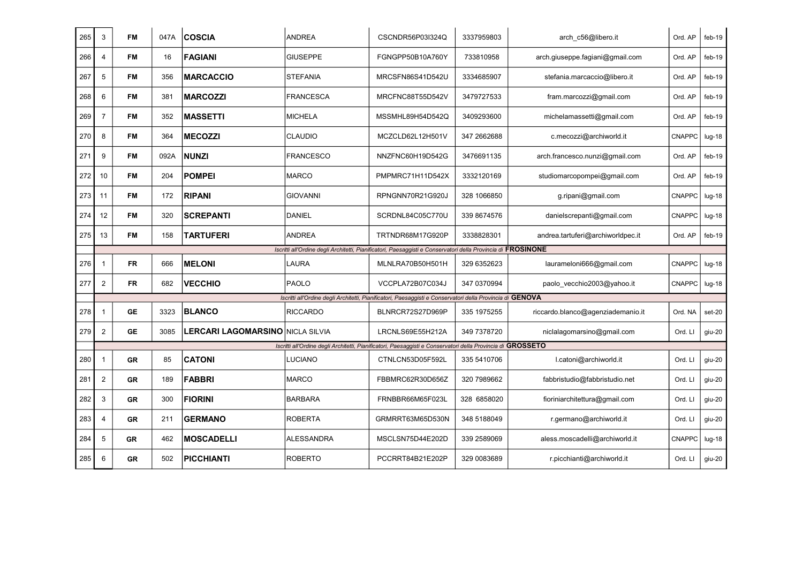| 265 | 3                       | <b>FM</b> | 047A | <b>COSCIA</b>                            | <b>ANDREA</b>     | CSCNDR56P03I324Q                                                                                             | 3337959803   | arch c56@libero.it                | Ord. AP       | feb-19   |
|-----|-------------------------|-----------|------|------------------------------------------|-------------------|--------------------------------------------------------------------------------------------------------------|--------------|-----------------------------------|---------------|----------|
| 266 | $\overline{4}$          | <b>FM</b> | 16   | <b>FAGIANI</b>                           | <b>GIUSEPPE</b>   | FGNGPP50B10A760Y                                                                                             | 733810958    | arch.giuseppe.fagiani@gmail.com   | Ord. AP       | $feb-19$ |
| 267 | 5                       | <b>FM</b> | 356  | <b>MARCACCIO</b>                         | <b>STEFANIA</b>   | MRCSFN86S41D542U                                                                                             | 3334685907   | stefania.marcaccio@libero.it      | Ord. AP       | $feb-19$ |
| 268 | 6                       | <b>FM</b> | 381  | <b>MARCOZZI</b>                          | <b>FRANCESCA</b>  | MRCFNC88T55D542V                                                                                             | 3479727533   | fram.marcozzi@gmail.com           | Ord. AP       | $feb-19$ |
| 269 | $\overline{7}$          | FM        | 352  | <b>MASSETTI</b>                          | <b>MICHELA</b>    | MSSMHL89H54D542Q                                                                                             | 3409293600   | michelamassetti@gmail.com         | Ord. AP       | feb-19   |
| 270 | 8                       | <b>FM</b> | 364  | <b>MECOZZI</b>                           | <b>CLAUDIO</b>    | MCZCLD62L12H501V                                                                                             | 347 266 2688 | c.mecozzi@archiworld.it           | CNAPPC        | $Iug-18$ |
| 271 | 9                       | <b>FM</b> | 092A | <b>NUNZI</b>                             | <b>FRANCESCO</b>  | NNZFNC60H19D542G                                                                                             | 3476691135   | arch.francesco.nunzi@gmail.com    | Ord. AP       | $feb-19$ |
| 272 | 10                      | FM        | 204  | <b>POMPEI</b>                            | <b>MARCO</b>      | PMPMRC71H11D542X                                                                                             | 3332120169   | studiomarcopompei@gmail.com       | Ord. AP       | feb-19   |
| 273 | 11                      | <b>FM</b> | 172  | <b>RIPANI</b>                            | <b>GIOVANNI</b>   | RPNGNN70R21G920J                                                                                             | 328 1066850  | g.ripani@gmail.com                | <b>CNAPPC</b> | $lug-18$ |
| 274 | 12                      | <b>FM</b> | 320  | <b>SCREPANTI</b>                         | <b>DANIEL</b>     | SCRDNL84C05C770U                                                                                             | 339 8674576  | danielscrepanti@gmail.com         | <b>CNAPPC</b> | $lug-18$ |
| 275 | 13                      | FM        | 158  | TARTUFERI                                | ANDREA            | TRTNDR68M17G920P                                                                                             | 3338828301   | andrea.tartuferi@archiworldpec.it | Ord. AP       | $feb-19$ |
|     |                         |           |      |                                          |                   | Iscritti all'Ordine degli Architetti, Pianificatori, Paesaggisti e Conservatori della Provincia di FROSINONE |              |                                   |               |          |
| 276 | $\mathbf 1$             | <b>FR</b> | 666  | <b>MELONI</b>                            | LAURA             | MLNLRA70B50H501H                                                                                             | 329 6352623  | laurameloni666@gmail.com          | CNAPPC        | $Iug-18$ |
| 277 | $\overline{c}$          | <b>FR</b> | 682  | <b>VECCHIO</b>                           | <b>PAOLO</b>      | VCCPLA72B07C034J                                                                                             | 347 0370994  | paolo_vecchio2003@yahoo.it        | CNAPPC        | $lug-18$ |
|     |                         |           |      |                                          |                   | Iscritti all'Ordine degli Architetti, Pianificatori, Paesaggisti e Conservatori della Provincia di GENOVA    |              |                                   |               |          |
| 278 | -1                      | <b>GE</b> | 3323 | <b>BLANCO</b>                            | <b>RICCARDO</b>   | BLNRCR72S27D969P                                                                                             | 335 1975255  | riccardo.blanco@agenziademanio.it | Ord. NA       | set-20   |
| 279 | $\overline{2}$          | <b>GE</b> | 3085 | <b>LERCARI LAGOMARSINO INICLA SILVIA</b> |                   | LRCNLS69E55H212A                                                                                             | 349 7378720  | niclalagomarsino@gmail.com        | Ord. Ll       | giu-20   |
|     |                         |           |      |                                          |                   | Iscritti all'Ordine degli Architetti, Pianificatori, Paesaggisti e Conservatori della Provincia di GROSSETO  |              |                                   |               |          |
| 280 | $\overline{\mathbf{1}}$ | <b>GR</b> | 85   | <b>CATONI</b>                            | LUCIANO           | CTNLCN53D05F592L                                                                                             | 335 5410706  | I.catoni@archiworld.it            | Ord. LI       | giu-20   |
| 281 | $\overline{2}$          | <b>GR</b> | 189  | <b>FABBRI</b>                            | <b>MARCO</b>      | FBBMRC62R30D656Z                                                                                             | 320 7989662  | fabbristudio@fabbristudio.net     | Ord. LI       | giu-20   |
| 282 | 3                       | <b>GR</b> | 300  | <b>FIORINI</b>                           | <b>BARBARA</b>    | FRNBBR66M65F023L                                                                                             | 328 6858020  | fioriniarchitettura@gmail.com     | Ord. LI       | giu-20   |
| 283 | $\overline{4}$          | <b>GR</b> | 211  | <b>GERMANO</b>                           | <b>ROBERTA</b>    | GRMRRT63M65D530N                                                                                             | 348 5188049  | r.germano@archiworld.it           | Ord. LI       | giu-20   |
| 284 | 5                       | GR        | 462  | <b>MOSCADELLI</b>                        | <b>ALESSANDRA</b> | MSCLSN75D44E202D                                                                                             | 339 2589069  | aless.moscadelli@archiworld.it    | <b>CNAPPC</b> | $Iug-18$ |
| 285 | 6                       | <b>GR</b> | 502  | PICCHIANTI                               | <b>ROBERTO</b>    | PCCRRT84B21E202P                                                                                             | 329 0083689  | r.picchianti@archiworld.it        | Ord. LI       | giu-20   |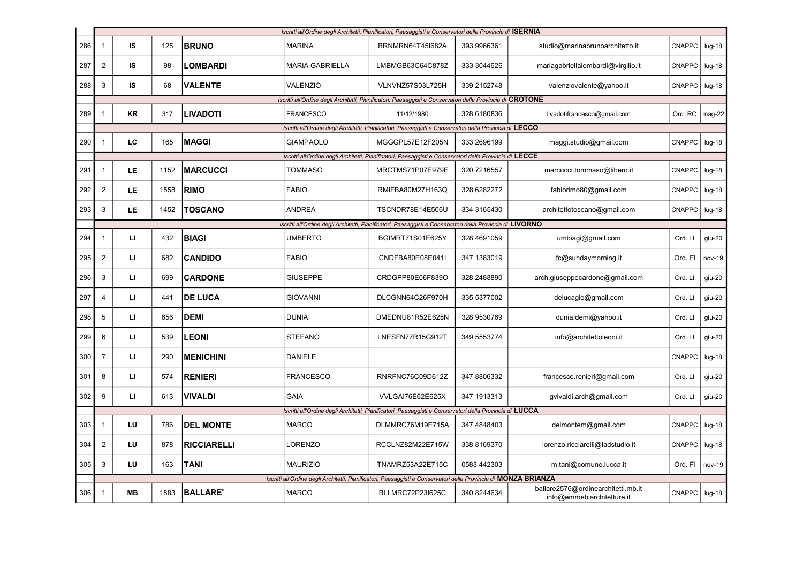|     | Iscritti all'Ordine degli Architetti, Pianificatori, Paesaggisti e Conservatori della Provincia di ISERNIA |           |      |                    |                  |                                                                                                                  |              |                                                                  |               |          |
|-----|------------------------------------------------------------------------------------------------------------|-----------|------|--------------------|------------------|------------------------------------------------------------------------------------------------------------------|--------------|------------------------------------------------------------------|---------------|----------|
| 286 | 1                                                                                                          | IS        | 125  | <b>BRUNO</b>       | <b>MARINA</b>    | BRNMRN64T45I682A                                                                                                 | 393 9966361  | studio@marinabrunoarchitetto.it                                  | <b>CNAPPC</b> | $lug-18$ |
| 287 | $\overline{2}$                                                                                             | IS        | 98   | <b>LOMBARDI</b>    | MARIA GABRIELLA  | LMBMGB63C64C878Z                                                                                                 | 333 3044626  | mariagabriellalombardi@virgilio.it                               | <b>CNAPPC</b> | $Iug-18$ |
| 288 | 3                                                                                                          | IS        | 68   | <b>VALENTE</b>     | VALENZIO         | VLNVNZ57S03L725H                                                                                                 | 339 2152748  | valenziovalente@yahoo.it                                         | <b>CNAPPC</b> | $Iug-18$ |
|     |                                                                                                            |           |      |                    |                  | Iscritti all'Ordine degli Architetti, Pianificatori, Paesaggisti e Conservatori della Provincia di CROTONE       |              |                                                                  |               |          |
| 289 | $\mathbf{1}$                                                                                               | <b>KR</b> | 317  | <b>LIVADOTI</b>    | <b>FRANCESCO</b> | 11/12/1980                                                                                                       | 328 6180836  | livadotifrancesco@gmail.com                                      | Ord. RC       | $mag-22$ |
|     |                                                                                                            |           |      |                    |                  | Iscritti all'Ordine degli Architetti, Pianificatori, Paesaggisti e Conservatori della Provincia di LECCO         |              |                                                                  |               |          |
| 290 | $\mathbf{1}$                                                                                               | LC.       | 165  | <b>MAGGI</b>       | <b>GIAMPAOLO</b> | MGGGPL57E12F205N                                                                                                 | 333 2696199  | maggi.studio@gmail.com                                           | <b>CNAPPC</b> | $Iug-18$ |
|     |                                                                                                            |           |      |                    |                  | Iscritti all'Ordine degli Architetti, Pianificatori, Paesaggisti e Conservatori della Provincia di LECCE         |              |                                                                  |               |          |
| 291 | $\mathbf{1}$                                                                                               | LE.       | 1152 | <b>MARCUCCI</b>    | <b>TOMMASO</b>   | MRCTMS71P07E979E                                                                                                 | 320 7216557  | marcucci.tommaso@libero.it                                       | <b>CNAPPC</b> | $lug-18$ |
| 292 | $\overline{2}$                                                                                             | LE        | 1558 | <b>RIMO</b>        | <b>FABIO</b>     | RMIFBA80M27H163Q                                                                                                 | 328 6282272  | fabiorimo80@gmail.com                                            | CNAPPC        | $Iug-18$ |
| 293 | 3                                                                                                          | LE        | 1452 | <b>TOSCANO</b>     | <b>ANDREA</b>    | TSCNDR78E14E506U                                                                                                 | 334 3165430  | architettotoscano@gmail.com                                      | <b>CNAPPC</b> | $lug-18$ |
|     |                                                                                                            |           |      |                    |                  | Iscritti all'Ordine degli Architetti, Pianificatori, Paesaggisti e Conservatori della Provincia di LIVORNO       |              |                                                                  |               |          |
| 294 | $\mathbf{1}$                                                                                               | ш         | 432  | <b>BIAGI</b>       | <b>UMBERTO</b>   | <b>BGIMRT71S01E625Y</b>                                                                                          | 328 469 1059 | umbiagi@gmail.com                                                | Ord. LI       | giu-20   |
| 295 | $\overline{2}$                                                                                             | Ц         | 682  | <b>CANDIDO</b>     | <b>FABIO</b>     | CNDFBA80E08E041I                                                                                                 | 347 1383019  | fc@sundaymorning.it                                              | Ord. FI       | nov-19   |
| 296 | 3                                                                                                          | Ц         | 699  | <b>CARDONE</b>     | <b>GIUSEPPE</b>  | CRDGPP80E06F839O                                                                                                 | 328 2488890  | arch.giuseppecardone@gmail.com                                   | Ord. LI       | giu-20   |
| 297 | 4                                                                                                          | Ц         | 441  | <b>DE LUCA</b>     | <b>GIOVANNI</b>  | DLCGNN64C26F970H                                                                                                 | 335 5377002  | delucagio@gmail.com                                              | Ord. LI       | giu-20   |
| 298 | 5                                                                                                          | ш         | 656  | <b>DEMI</b>        | <b>DUNIA</b>     | DMEDNU81R52E625N                                                                                                 | 328 9530769  | dunia.demi@yahoo.it                                              | Ord. Ll       | giu-20   |
| 299 | 6                                                                                                          | Ц         | 539  | <b>LEONI</b>       | <b>STEFANO</b>   | LNESFN77R15G912T                                                                                                 | 349 5553774  | info@architettoleoni.it                                          | Ord. LI       | giu-20   |
| 300 | 7                                                                                                          | Ц         | 290  | <b>MENICHINI</b>   | <b>DANIELE</b>   |                                                                                                                  |              |                                                                  | CNAPPC        | $lug-18$ |
| 301 | 8                                                                                                          | ы         | 574  | <b>RENIERI</b>     | FRANCESCO        | RNRFNC76C09D612Z                                                                                                 | 347 8806332  | francesco.renieri@gmail.com                                      | Ord. LI       | giu-20   |
| 302 | 9                                                                                                          | ы         | 613  | <b>VIVALDI</b>     | <b>GAIA</b>      | VVLGAI76E62E625X                                                                                                 | 347 1913313  | gvivaldi.arch@gmail.com                                          | Ord. LI       | giu-20   |
|     |                                                                                                            |           |      |                    |                  | Iscritti all'Ordine degli Architetti, Pianificatori, Paesaggisti e Conservatori della Provincia di LUCCA         |              |                                                                  |               |          |
| 303 | $\mathbf{1}$                                                                                               | LU        | 786  | <b>DEL MONTE</b>   | <b>MARCO</b>     | DLMMRC76M19E715A                                                                                                 | 347 4848403  | delmontem@gmail.com                                              | CNAPPC        | $lug-18$ |
| 304 | $\overline{2}$                                                                                             | LU        | 878  | <b>RICCIARELLI</b> | LORENZO          | RCCLNZ82M22E715W                                                                                                 | 338 8169370  | lorenzo.ricciarelli@ladstudio.it                                 | CNAPPC        | $lug-18$ |
| 305 | 3                                                                                                          | LU        | 163  | <b>TANI</b>        | <b>MAURIZIO</b>  | TNAMRZ53A22E715C                                                                                                 | 0583 442303  | m.tani@comune.lucca.it                                           | Ord. FI       | nov-19   |
|     |                                                                                                            |           |      |                    |                  | Iscritti all'Ordine degli Architetti, Pianificatori, Paesaggisti e Conservatori della Provincia di MONZA BRIANZA |              |                                                                  |               |          |
| 306 | $\overline{1}$                                                                                             | MВ        | 1883 | <b>BALLARE'</b>    | <b>MARCO</b>     | BLLMRC72P23I625C                                                                                                 | 340 8244634  | ballare2576@ordinearchitetti.mb.it<br>info@emmebiarchitetture.it | <b>CNAPPC</b> | $lug-18$ |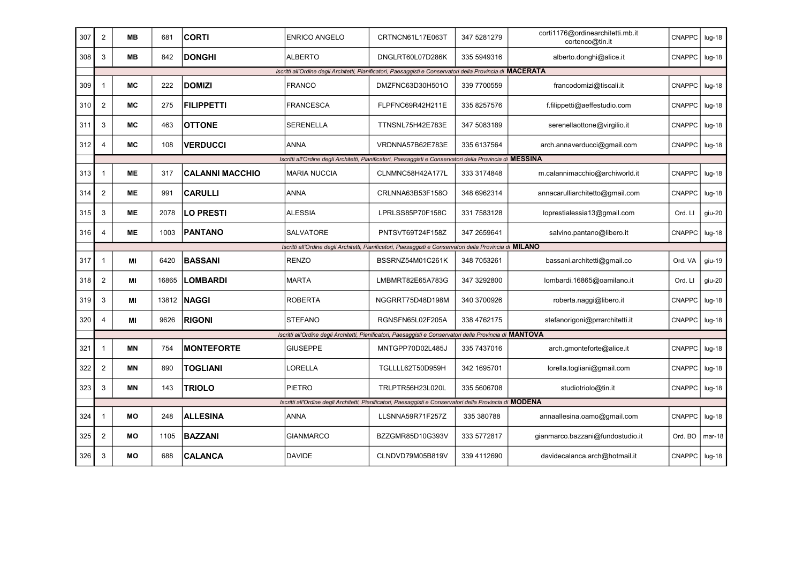| 307 | $\overline{2}$ | MВ        | 681   | <b>CORTI</b>           | <b>ENRICO ANGELO</b> | CRTNCN61L17E063T                                                                                            | 347 5281279 | corti1176@ordinearchitetti.mb.it<br>cortenco@tin.it | CNAPPC        | $lug-18$ |
|-----|----------------|-----------|-------|------------------------|----------------------|-------------------------------------------------------------------------------------------------------------|-------------|-----------------------------------------------------|---------------|----------|
| 308 | 3              | MВ        | 842   | <b>DONGHI</b>          | <b>ALBERTO</b>       | DNGLRT60L07D286K                                                                                            | 335 5949316 | alberto.donghi@alice.it                             | <b>CNAPPC</b> | $Iug-18$ |
|     |                |           |       |                        |                      | Iscritti all'Ordine degli Architetti, Pianificatori, Paesaggisti e Conservatori della Provincia di MACERATA |             |                                                     |               |          |
| 309 | -1             | <b>MC</b> | 222   | <b>DOMIZI</b>          | <b>FRANCO</b>        | DMZFNC63D30H501O                                                                                            | 339 7700559 | francodomizi@tiscali.it                             | CNAPPC        | $Iug-18$ |
| 310 | $\overline{2}$ | МC        | 275   | <b>FILIPPETTI</b>      | <b>FRANCESCA</b>     | FLPFNC69R42H211E                                                                                            | 335 8257576 | f.filippetti@aeffestudio.com                        | <b>CNAPPC</b> | $Iug-18$ |
| 311 | 3              | <b>MC</b> | 463   | <b>OTTONE</b>          | <b>SERENELLA</b>     | TTNSNL75H42E783E                                                                                            | 347 5083189 | serenellaottone@virgilio.it                         | <b>CNAPPC</b> | $Iug-18$ |
| 312 | $\overline{4}$ | МC        | 108   | <b>VERDUCCI</b>        | <b>ANNA</b>          | VRDNNA57B62E783E                                                                                            | 335 6137564 | arch.annaverducci@gmail.com                         | <b>CNAPPC</b> | $Iug-18$ |
|     |                |           |       |                        |                      | Iscritti all'Ordine degli Architetti, Pianificatori, Paesaggisti e Conservatori della Provincia di MESSINA  |             |                                                     |               |          |
| 313 | -1             | <b>ME</b> | 317   | <b>CALANNI MACCHIO</b> | <b>MARIA NUCCIA</b>  | CLNMNC58H42A177L                                                                                            | 333 3174848 | m.calannimacchio@archiworld.it                      | <b>CNAPPC</b> | $lug-18$ |
| 314 | $\overline{2}$ | ME        | 991   | <b>CARULLI</b>         | <b>ANNA</b>          | CRLNNA63B53F158O                                                                                            | 348 6962314 | annacarulliarchitetto@gmail.com                     | <b>CNAPPC</b> | $Iug-18$ |
| 315 | 3              | ME        | 2078  | <b>LO PRESTI</b>       | <b>ALESSIA</b>       | LPRLSS85P70F158C                                                                                            | 331 7583128 | loprestialessia13@gmail.com                         | Ord. LI       | giu-20   |
| 316 | $\overline{4}$ | МE        | 1003  | PANTANO                | SALVATORE            | PNTSVT69T24F158Z                                                                                            | 347 2659641 | salvino.pantano@libero.it                           | CNAPPC        | $lug-18$ |
|     |                |           |       |                        |                      | Iscritti all'Ordine degli Architetti, Pianificatori, Paesaggisti e Conservatori della Provincia di MILANO   |             |                                                     |               |          |
| 317 | $\overline{1}$ | МI        | 6420  | <b>BASSANI</b>         | <b>RENZO</b>         | BSSRNZ54M01C261K                                                                                            | 348 7053261 | bassani.architetti@gmail.co                         | Ord. VA       | giu-19   |
| 318 | $\overline{2}$ | МI        | 16865 | <b>LOMBARDI</b>        | <b>MARTA</b>         | LMBMRT82E65A783G                                                                                            | 347 3292800 | lombardi.16865@oamilano.it                          | Ord. Ll       | $giu-20$ |
| 319 | 3              | MI        | 13812 | <b>NAGGI</b>           | <b>ROBERTA</b>       | NGGRRT75D48D198M                                                                                            | 340 3700926 | roberta.naggi@libero.it                             | <b>CNAPPC</b> | $Iug-18$ |
| 320 | $\overline{4}$ | МI        | 9626  | <b>RIGONI</b>          | <b>STEFANO</b>       | RGNSFN65L02F205A                                                                                            | 338 4762175 | stefanorigoni@prrarchitetti.it                      | <b>CNAPPC</b> | $Iug-18$ |
|     |                |           |       |                        |                      | Iscritti all'Ordine degli Architetti, Pianificatori, Paesaggisti e Conservatori della Provincia di MANTOVA  |             |                                                     |               |          |
| 321 | -1             | <b>MN</b> | 754   | <b>IMONTEFORTE</b>     | <b>GIUSEPPE</b>      | MNTGPP70D02L485J                                                                                            | 335 7437016 | arch.gmonteforte@alice.it                           | <b>CNAPPC</b> | $lug-18$ |
| 322 | $\overline{c}$ | ΜN        | 890   | <b>TOGLIANI</b>        | <b>_ORELLA</b>       | TGLLLL62T50D959H                                                                                            | 342 1695701 | lorella.togliani@gmail.com                          | <b>CNAPPC</b> | $lug-18$ |
| 323 | 3              | <b>MN</b> | 143   | <b>TRIOLO</b>          | <b>PIETRO</b>        | TRLPTR56H23L020L                                                                                            | 335 5606708 | studiotriolo@tin.it                                 | CNAPPC        | $Iug-18$ |
|     |                |           |       |                        |                      | Iscritti all'Ordine degli Architetti, Pianificatori, Paesaggisti e Conservatori della Provincia di MODENA   |             |                                                     |               |          |
| 324 | -1             | MО        | 248   | <b>ALLESINA</b>        | <b>ANNA</b>          | LLSNNA59R71F257Z                                                                                            | 335 380788  | annaallesina.oamo@gmail.com                         | CNAPPC        | $lug-18$ |
| 325 | $\overline{2}$ | МO        | 1105  | <b>BAZZANI</b>         | <b>GIANMARCO</b>     | BZZGMR85D10G393V                                                                                            | 333 5772817 | gianmarco.bazzani@fundostudio.it                    | Ord. BO       | $mar-18$ |
| 326 | 3              | MО        | 688   | <b>CALANCA</b>         | <b>DAVIDE</b>        | CLNDVD79M05B819V                                                                                            | 339 4112690 | davidecalanca.arch@hotmail.it                       | CNAPPC        | $Iug-18$ |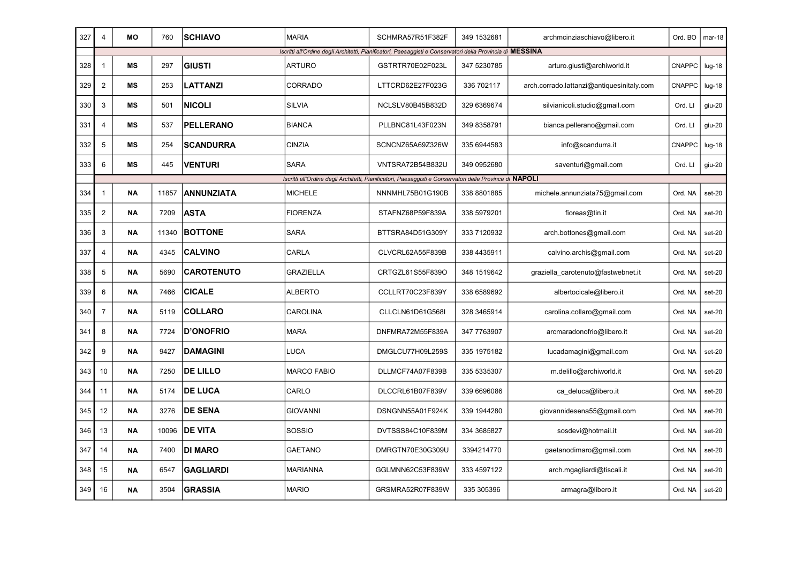| 327 | 4                       | <b>MO</b> | 760   | <b>SCHIAVO</b>    | <b>MARIA</b>       | SCHMRA57R51F382F                                                                                           | 349 1532681 | archmcinziaschiavo@libero.it              | Ord. BO       | $mar-18$ |
|-----|-------------------------|-----------|-------|-------------------|--------------------|------------------------------------------------------------------------------------------------------------|-------------|-------------------------------------------|---------------|----------|
|     |                         |           |       |                   |                    | Iscritti all'Ordine degli Architetti, Pianificatori, Paesaggisti e Conservatori della Provincia di MESSINA |             |                                           |               |          |
| 328 | $\mathbf 1$             | MS        | 297   | <b>GIUSTI</b>     | <b>ARTURO</b>      | GSTRTR70E02F023L                                                                                           | 347 5230785 | arturo.giusti@archiworld.it               | <b>CNAPPC</b> | $Iug-18$ |
| 329 | $\overline{c}$          | ΜS        | 253   | LATTANZI          | <b>CORRADO</b>     | LTTCRD62E27F023G                                                                                           | 336 702117  | arch.corrado.lattanzi@antiquesinitaly.com | CNAPPC        | $Iug-18$ |
| 330 | 3                       | MS        | 501   | <b>NICOLI</b>     | <b>SILVIA</b>      | NCLSLV80B45B832D                                                                                           | 329 6369674 | silvianicoli.studio@gmail.com             | Ord. Ll       | giu-20   |
| 331 | $\overline{4}$          | MS        | 537   | <b>PELLERANO</b>  | <b>BIANCA</b>      | PLLBNC81L43F023N                                                                                           | 349 8358791 | bianca.pellerano@gmail.com                | Ord. LI       | giu-20   |
| 332 | 5                       | <b>MS</b> | 254   | <b>SCANDURRA</b>  | <b>CINZIA</b>      | SCNCNZ65A69Z326W                                                                                           | 335 6944583 | info@scandurra.it                         | <b>CNAPPC</b> | $Iug-18$ |
| 333 | 6                       | MS        | 445   | <b>VENTURI</b>    | <b>SARA</b>        | VNTSRA72B54B832U                                                                                           | 349 0952680 | saventuri@gmail.com                       | Ord. LI       | giu-20   |
|     |                         |           |       |                   |                    | Iscritti all'Ordine degli Architetti, Pianificatori, Paesaggisti e Conservatori delle Province di NAPOLI   |             |                                           |               |          |
| 334 | $\overline{1}$          | ΝA        | 11857 | <b>ANNUNZIATA</b> | <b>MICHELE</b>     | NNNMHL75B01G190B                                                                                           | 338 8801885 | michele.annunziata75@gmail.com            | Ord. NA       | set-20   |
| 335 | $\overline{\mathbf{c}}$ | <b>NA</b> | 7209  | <b>ASTA</b>       | <b>FIORENZA</b>    | STAFNZ68P59F839A                                                                                           | 338 5979201 | fioreas@tin.it                            | Ord. NA       | set-20   |
| 336 | 3                       | <b>NA</b> | 11340 | <b>BOTTONE</b>    | <b>SARA</b>        | BTTSRA84D51G309Y                                                                                           | 333 7120932 | arch.bottones@gmail.com                   | Ord. NA       | set-20   |
| 337 | $\overline{4}$          | <b>NA</b> | 4345  | <b>CALVINO</b>    | CARLA              | CLVCRL62A55F839B                                                                                           | 338 4435911 | calvino.archis@gmail.com                  | Ord. NA       | set-20   |
| 338 | 5                       | <b>NA</b> | 5690  | <b>CAROTENUTO</b> | <b>GRAZIELLA</b>   | CRTGZL61S55F839O                                                                                           | 348 1519642 | graziella_carotenuto@fastwebnet.it        | Ord. NA       | set-20   |
| 339 | 6                       | <b>NA</b> | 7466  | <b>CICALE</b>     | <b>ALBERTO</b>     | CCLLRT70C23F839Y                                                                                           | 338 6589692 | albertocicale@libero.it                   | Ord. NA       | set-20   |
| 340 | $\overline{7}$          | ΝA        | 5119  | <b>COLLARO</b>    | <b>CAROLINA</b>    | CLLCLN61D61G568I                                                                                           | 328 3465914 | carolina.collaro@gmail.com                | Ord. NA       | set-20   |
| 341 | 8                       | <b>NA</b> | 7724  | <b>D'ONOFRIO</b>  | <b>MARA</b>        | DNFMRA72M55F839A                                                                                           | 347 7763907 | arcmaradonofrio@libero.it                 | Ord. NA       | set-20   |
| 342 | 9                       | ΝA        | 9427  | <b>DAMAGINI</b>   | LUCA               | DMGLCU77H09L259S                                                                                           | 335 1975182 | lucadamagini@gmail.com                    | Ord. NA       | set-20   |
| 343 | 10                      | <b>NA</b> | 7250  | DE LILLO          | <b>MARCO FABIO</b> | DLLMCF74A07F839B                                                                                           | 335 5335307 | m.delillo@archiworld.it                   | Ord. NA       | set-20   |
| 344 | 11                      | <b>NA</b> | 5174  | <b>DE LUCA</b>    | CARLO              | DLCCRL61B07F839V                                                                                           | 339 6696086 | ca_deluca@libero.it                       | Ord. NA       | set-20   |
| 345 | 12                      | ΝA        | 3276  | <b>DE SENA</b>    | <b>GIOVANNI</b>    | DSNGNN55A01F924K                                                                                           | 339 1944280 | giovannidesena55@gmail.com                | Ord. NA       | set-20   |
| 346 | 13                      | <b>NA</b> | 10096 | <b>DE VITA</b>    | SOSSIO             | DVTSSS84C10F839M                                                                                           | 334 3685827 | sosdevi@hotmail.it                        | Ord. NA       | set-20   |
| 347 | 14                      | <b>NA</b> | 7400  | <b>DI MARO</b>    | <b>GAETANO</b>     | DMRGTN70E30G309U                                                                                           | 3394214770  | gaetanodimaro@gmail.com                   | Ord. NA       | set-20   |
| 348 | 15                      | ΝA        | 6547  | <b>GAGLIARDI</b>  | <b>MARIANNA</b>    | GGLMNN62C53F839W                                                                                           | 333 4597122 | arch.mgagliardi@tiscali.it                | Ord. NA       | set-20   |
| 349 | 16                      | ΝA        | 3504  | <b>GRASSIA</b>    | <b>MARIO</b>       | GRSMRA52R07F839W                                                                                           | 335 305396  | armagra@libero.it                         | Ord. NA       | set-20   |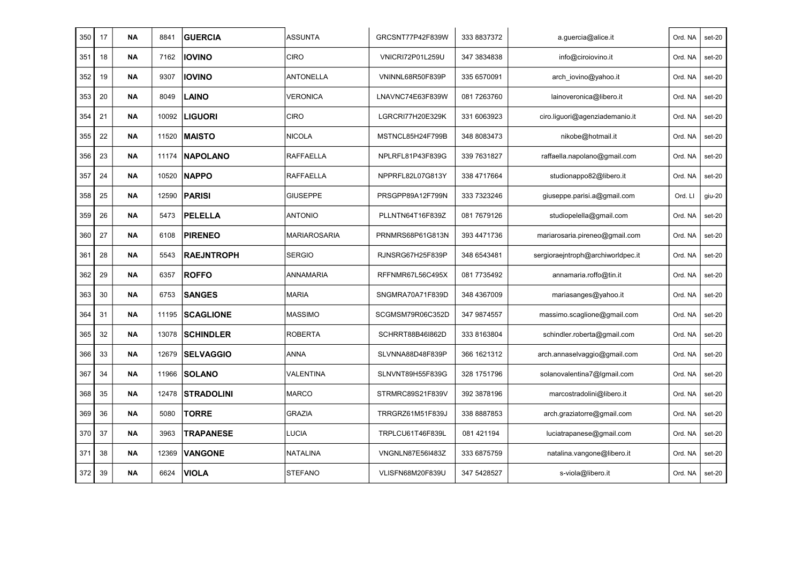| 350 | 17 | <b>NA</b> | 8841  | <b>GUERCIA</b>    | ASSUNTA             | GRCSNT77P42F839W | 333 8837372 | a.guercia@alice.it                | Ord. NA | set-20 |
|-----|----|-----------|-------|-------------------|---------------------|------------------|-------------|-----------------------------------|---------|--------|
| 351 | 18 | ΝA        | 7162  | <b>IOVINO</b>     | <b>CIRO</b>         | VNICRI72P01L259U | 347 3834838 | info@ciroiovino.it                | Ord. NA | set-20 |
| 352 | 19 | <b>NA</b> | 9307  | <b>IOVINO</b>     | <b>ANTONELLA</b>    | VNINNL68R50F839P | 335 6570091 | arch iovino@yahoo.it              | Ord. NA | set-20 |
| 353 | 20 | ΝA        | 8049  | <b>LAINO</b>      | VERONICA            | LNAVNC74E63F839W | 081 7263760 | lainoveronica@libero.it           | Ord. NA | set-20 |
| 354 | 21 | <b>NA</b> | 10092 | <b>LIGUORI</b>    | <b>CIRO</b>         | LGRCRI77H20E329K | 331 6063923 | ciro.liguori@agenziademanio.it    | Ord. NA | set-20 |
| 355 | 22 | <b>NA</b> | 11520 | <b>MAISTO</b>     | <b>NICOLA</b>       | MSTNCL85H24F799B | 348 8083473 | nikobe@hotmail.it                 | Ord. NA | set-20 |
| 356 | 23 | <b>NA</b> | 11174 | <b>NAPOLANO</b>   | RAFFAELLA           | NPLRFL81P43F839G | 339 7631827 | raffaella.napolano@gmail.com      | Ord. NA | set-20 |
| 357 | 24 | <b>NA</b> | 10520 | <b>NAPPO</b>      | RAFFAELLA           | NPPRFL82L07G813Y | 338 4717664 | studionappo82@libero.it           | Ord. NA | set-20 |
| 358 | 25 | <b>NA</b> | 12590 | <b>PARISI</b>     | <b>GIUSEPPE</b>     | PRSGPP89A12F799N | 333 7323246 | giuseppe.parisi.a@gmail.com       | Ord. LI | giu-20 |
| 359 | 26 | <b>NA</b> | 5473  | <b>PELELLA</b>    | <b>ANTONIO</b>      | PLLNTN64T16F839Z | 081 7679126 | studiopelella@gmail.com           | Ord. NA | set-20 |
| 360 | 27 | <b>NA</b> | 6108  | <b>PIRENEO</b>    | <b>MARIAROSARIA</b> | PRNMRS68P61G813N | 393 4471736 | mariarosaria.pireneo@gmail.com    | Ord. NA | set-20 |
| 361 | 28 | <b>NA</b> | 5543  | <b>RAEJNTROPH</b> | <b>SERGIO</b>       | RJNSRG67H25F839P | 348 6543481 | sergioraejntroph@archiworldpec.it | Ord. NA | set-20 |
| 362 | 29 | <b>NA</b> | 6357  | <b>ROFFO</b>      | ANNAMARIA           | RFFNMR67L56C495X | 081 7735492 | annamaria.roffo@tin.it            | Ord. NA | set-20 |
| 363 | 30 | ΝA        | 6753  | <b>SANGES</b>     | <b>MARIA</b>        | SNGMRA70A71F839D | 348 4367009 | mariasanges@yahoo.it              | Ord. NA | set-20 |
| 364 | 31 | <b>NA</b> | 11195 | <b>SCAGLIONE</b>  | <b>MASSIMO</b>      | SCGMSM79R06C352D | 347 9874557 | massimo.scaglione@gmail.com       | Ord. NA | set-20 |
| 365 | 32 | ΝA        | 13078 | <b>SCHINDLER</b>  | ROBERTA             | SCHRRT88B46I862D | 333 8163804 | schindler.roberta@gmail.com       | Ord. NA | set-20 |
| 366 | 33 | <b>NA</b> | 12679 | <b>SELVAGGIO</b>  | <b>ANNA</b>         | SLVNNA88D48F839P | 366 1621312 | arch.annaselvaggio@gmail.com      | Ord. NA | set-20 |
| 367 | 34 | <b>NA</b> | 11966 | <b>SOLANO</b>     | VALENTINA           | SLNVNT89H55F839G | 328 1751796 | solanovalentina7@lgmail.com       | Ord. NA | set-20 |
| 368 | 35 | <b>NA</b> | 12478 | <b>STRADOLINI</b> | <b>MARCO</b>        | STRMRC89S21F839V | 392 3878196 | marcostradolini@libero.it         | Ord. NA | set-20 |
| 369 | 36 | ΝA        | 5080  | <b>TORRE</b>      | GRAZIA              | TRRGRZ61M51F839J | 338 8887853 | arch.graziatorre@gmail.com        | Ord. NA | set-20 |
| 370 | 37 | ΝA        | 3963  | <b>TRAPANESE</b>  | LUCIA               | TRPLCU61T46F839L | 081 421194  | luciatrapanese@gmail.com          | Ord. NA | set-20 |
| 371 | 38 | <b>NA</b> | 12369 | <b>VANGONE</b>    | <b>NATALINA</b>     | VNGNLN87E56I483Z | 333 6875759 | natalina.vangone@libero.it        | Ord. NA | set-20 |
| 372 | 39 | ΝA        | 6624  | <b>VIOLA</b>      | <b>STEFANO</b>      | VLISFN68M20F839U | 347 5428527 | s-viola@libero.it                 | Ord. NA | set-20 |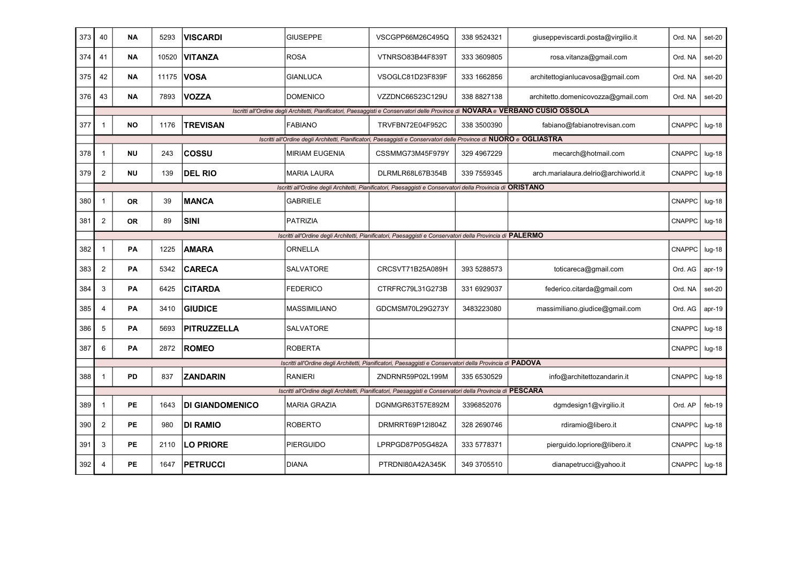| 373 | 40             | ΝA        | 5293  | VISCARDI               | <b>GIUSEPPE</b>       | VSCGPP66M26C495Q                                                                                                                | 338 9524321 | giuseppeviscardi.posta@virgilio.it   | Ord. NA       | set-20   |
|-----|----------------|-----------|-------|------------------------|-----------------------|---------------------------------------------------------------------------------------------------------------------------------|-------------|--------------------------------------|---------------|----------|
| 374 | 41             | <b>NA</b> | 10520 | <b>VITANZA</b>         | <b>ROSA</b>           | VTNRSO83B44F839T                                                                                                                | 333 3609805 | rosa.vitanza@gmail.com               | Ord. NA       | set-20   |
| 375 | 42             | <b>NA</b> | 11175 | <b>VOSA</b>            | <b>GIANLUCA</b>       | VSOGLC81D23F839F                                                                                                                | 333 1662856 | architettogianlucavosa@gmail.com     | Ord. NA       | set-20   |
| 376 | 43             | <b>NA</b> | 7893  | <b>VOZZA</b>           | <b>DOMENICO</b>       | VZZDNC66S23C129U                                                                                                                | 338 8827138 | architetto.domenicovozza@gmail.com   | Ord. NA       | set-20   |
|     |                |           |       |                        |                       | Iscritti all'Ordine degli Architetti, Pianificatori, Paesaggisti e Conservatori delle Province di NOVARA e VERBANO CUSIO OSSOLA |             |                                      |               |          |
| 377 | $\mathbf 1$    | <b>NO</b> | 1176  | <b>TREVISAN</b>        | <b>FABIANO</b>        | TRVFBN72E04F952C                                                                                                                | 338 3500390 | fabiano@fabianotrevisan.com          | <b>CNAPPC</b> | $lug-18$ |
|     |                |           |       |                        |                       | Iscritti all'Ordine degli Architetti, Pianificatori, Paesaggisti e Conservatori delle Province di NUORO e OGLIASTRA             |             |                                      |               |          |
| 378 | $\mathbf{1}$   | <b>NU</b> | 243   | COSSU                  | <b>MIRIAM EUGENIA</b> | CSSMMG73M45F979Y                                                                                                                | 329 4967229 | mecarch@hotmail.com                  | <b>CNAPPC</b> | $Iug-18$ |
| 379 | $\overline{2}$ | <b>NU</b> | 139   | <b>DEL RIO</b>         | <b>MARIA LAURA</b>    | DLRMLR68L67B354B                                                                                                                | 339 7559345 | arch.marialaura.delrio@archiworld.it | <b>CNAPPC</b> | $lug-18$ |
|     |                |           |       |                        |                       | Iscritti all'Ordine degli Architetti, Pianificatori, Paesaggisti e Conservatori della Provincia di ORISTANO                     |             |                                      |               |          |
| 380 | $\mathbf{1}$   | <b>OR</b> | 39    | <b>MANCA</b>           | <b>GABRIELE</b>       |                                                                                                                                 |             |                                      | <b>CNAPPC</b> | $Iug-18$ |
| 381 | $\overline{2}$ | <b>OR</b> | 89    | <b>SINI</b>            | <b>PATRIZIA</b>       |                                                                                                                                 |             |                                      | <b>CNAPPC</b> | $lug-18$ |
|     |                |           |       |                        |                       | Iscritti all'Ordine degli Architetti, Pianificatori, Paesaggisti e Conservatori della Provincia di PALERMO                      |             |                                      |               |          |
| 382 | $\mathbf{1}$   | PA        | 1225  | <b>AMARA</b>           | ORNELLA               |                                                                                                                                 |             |                                      | <b>CNAPPC</b> | $Iug-18$ |
| 383 | $\overline{c}$ | PA        | 5342  | <b>CARECA</b>          | SALVATORE             | CRCSVT71B25A089H                                                                                                                | 393 5288573 | toticareca@gmail.com                 | Ord. AG       | $apr-19$ |
| 384 | 3              | PA        | 6425  | <b>CITARDA</b>         | <b>FEDERICO</b>       | CTRFRC79L31G273B                                                                                                                | 331 6929037 | federico.citarda@gmail.com           | Ord. NA       | $set-20$ |
| 385 | 4              | PA        | 3410  | <b>GIUDICE</b>         | <b>MASSIMILIANO</b>   | GDCMSM70L29G273Y                                                                                                                | 3483223080  | massimiliano.giudice@gmail.com       | Ord. AG       | $apr-19$ |
| 386 | 5              | PA        | 5693  | <b>PITRUZZELLA</b>     | <b>SALVATORE</b>      |                                                                                                                                 |             |                                      | <b>CNAPPC</b> | $Iug-18$ |
| 387 | 6              | PA        | 2872  | <b>ROMEO</b>           | <b>ROBERTA</b>        |                                                                                                                                 |             |                                      | CNAPPC        | $lug-18$ |
|     |                |           |       |                        |                       | Iscritti all'Ordine degli Architetti, Pianificatori, Paesaggisti e Conservatori della Provincia di PADOVA                       |             |                                      |               |          |
| 388 | $\mathbf 1$    | <b>PD</b> | 837   | <b>ZANDARIN</b>        | <b>RANIERI</b>        | ZNDRNR59P02L199M                                                                                                                | 335 6530529 | info@architettozandarin.it           | <b>CNAPPC</b> | $lug-18$ |
|     |                |           |       |                        |                       | Iscritti all'Ordine degli Architetti, Pianificatori, Paesaggisti e Conservatori della Provincia di PESCARA                      |             |                                      |               |          |
| 389 | $\mathbf 1$    | <b>PE</b> | 1643  | <b>DI GIANDOMENICO</b> | <b>MARIA GRAZIA</b>   | DGNMGR63T57E892M                                                                                                                | 3396852076  | dgmdesign1@virgilio.it               | Ord. AP       | $feb-19$ |
| 390 | $\overline{c}$ | PE        | 980   | <b>DI RAMIO</b>        | <b>ROBERTO</b>        | DRMRRT69P12I804Z                                                                                                                | 328 2690746 | rdiramio@libero.it                   | <b>CNAPPC</b> | $Iug-18$ |
| 391 | 3              | PE        | 2110  | <b>LO PRIORE</b>       | <b>PIERGUIDO</b>      | LPRPGD87P05G482A                                                                                                                | 333 5778371 | pierguido.lopriore@libero.it         | <b>CNAPPC</b> | $Iug-18$ |
| 392 | 4              | PE        | 1647  | <b>PETRUCCI</b>        | <b>DIANA</b>          | PTRDNI80A42A345K                                                                                                                | 349 3705510 | dianapetrucci@yahoo.it               | <b>CNAPPC</b> | $Iug-18$ |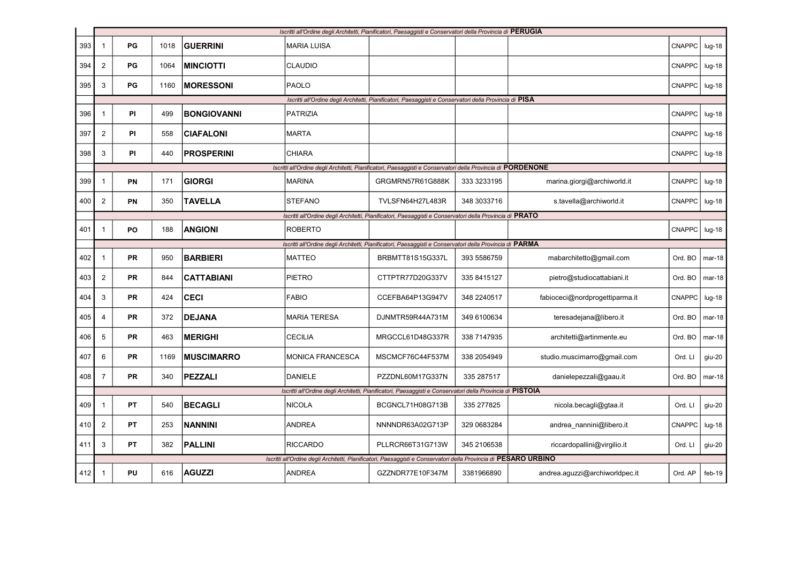|     |                |           |      |                    |                         | Iscritti all'Ordine degli Architetti, Pianificatori, Paesaggisti e Conservatori della Provincia di PERUGIA       |             |                                |               |          |
|-----|----------------|-----------|------|--------------------|-------------------------|------------------------------------------------------------------------------------------------------------------|-------------|--------------------------------|---------------|----------|
| 393 | $\mathbf{1}$   | PG        | 1018 | <b>GUERRINI</b>    | <b>MARIA LUISA</b>      |                                                                                                                  |             |                                | <b>CNAPPC</b> | $lug-18$ |
| 394 | $\overline{2}$ | PG        | 1064 | <b>MINCIOTTI</b>   | <b>CLAUDIO</b>          |                                                                                                                  |             |                                | <b>CNAPPC</b> | $Iug-18$ |
| 395 | 3              | PG        | 1160 | <b>MORESSONI</b>   | PAOLO                   |                                                                                                                  |             |                                | <b>CNAPPC</b> | $Iug-18$ |
|     |                |           |      |                    |                         | Iscritti all'Ordine degli Architetti, Pianificatori, Paesaggisti e Conservatori della Provincia di PISA          |             |                                |               |          |
| 396 | $\mathbf{1}$   | PI        | 499  | <b>BONGIOVANNI</b> | <b>PATRIZIA</b>         |                                                                                                                  |             |                                | <b>CNAPPC</b> | $lug-18$ |
| 397 | $\overline{2}$ | <b>PI</b> | 558  | <b>CIAFALONI</b>   | <b>MARTA</b>            |                                                                                                                  |             |                                | <b>CNAPPC</b> | $Iug-18$ |
| 398 | $\mathbf{3}$   | <b>PI</b> | 440  | <b>PROSPERINI</b>  | <b>CHIARA</b>           |                                                                                                                  |             |                                | CNAPPC        | $Iug-18$ |
|     |                |           |      |                    |                         | Iscritti all'Ordine degli Architetti, Pianificatori, Paesaggisti e Conservatori della Provincia di PORDENONE     |             |                                |               |          |
| 399 | 1              | PN        | 171  | <b>GIORGI</b>      | <b>MARINA</b>           | GRGMRN57R61G888K                                                                                                 | 333 3233195 | marina.giorgi@archiworld.it    | <b>CNAPPC</b> | $Iug-18$ |
| 400 | $\overline{2}$ | <b>PN</b> | 350  | <b>TAVELLA</b>     | <b>STEFANO</b>          | TVLSFN64H27L483R                                                                                                 | 348 3033716 | s.tavella@archiworld.it        | <b>CNAPPC</b> | $Iug-18$ |
|     |                |           |      |                    |                         | Iscritti all'Ordine degli Architetti, Pianificatori, Paesaggisti e Conservatori della Provincia di PRATO         |             |                                |               |          |
| 401 | $\overline{1}$ | PO        | 188  | <b>ANGIONI</b>     | <b>ROBERTO</b>          |                                                                                                                  |             |                                | <b>CNAPPC</b> | $Iug-18$ |
|     |                |           |      |                    |                         | Iscritti all'Ordine degli Architetti, Pianificatori, Paesaggisti e Conservatori della Provincia di PARMA         |             |                                |               |          |
| 402 | $\mathbf 1$    | PR        | 950  | <b>BARBIERI</b>    | <b>MATTEO</b>           | BRBMTT81S15G337L                                                                                                 | 393 5586759 | mabarchitetto@gmail.com        | Ord. BO       | $mar-18$ |
| 403 | $\overline{2}$ | <b>PR</b> | 844  | <b>CATTABIANI</b>  | PIETRO                  | CTTPTR77D20G337V                                                                                                 | 335 8415127 | pietro@studiocattabiani.it     | Ord. BO       | $mar-18$ |
| 404 | 3              | <b>PR</b> | 424  | <b>CECI</b>        | <b>FABIO</b>            | CCEFBA64P13G947V                                                                                                 | 348 2240517 | fabioceci@nordprogettiparma.it | <b>CNAPPC</b> | $lug-18$ |
| 405 | 4              | PR        | 372  | <b>DEJANA</b>      | <b>MARIA TERESA</b>     | DJNMTR59R44A731M                                                                                                 | 349 6100634 | teresadejana@libero.it         | Ord. BO       | $mar-18$ |
| 406 | 5              | <b>PR</b> | 463  | <b>MERIGHI</b>     | <b>CECILIA</b>          | MRGCCL61D48G337R                                                                                                 | 338 7147935 | architetti@artinmente.eu       | Ord. BO       | $mar-18$ |
| 407 | 6              | PR        | 1169 | <b>MUSCIMARRO</b>  | <b>MONICA FRANCESCA</b> | MSCMCF76C44F537M                                                                                                 | 338 2054949 | studio.muscimarro@gmail.com    | Ord. LI       | $giu-20$ |
| 408 | $\overline{7}$ | <b>PR</b> | 340  | <b>PEZZALI</b>     | <b>DANIELE</b>          | PZZDNL60M17G337N                                                                                                 | 335 287517  | danielepezzali@gaau.it         | Ord. BO       | mar-18   |
|     |                |           |      |                    |                         | Iscritti all'Ordine degli Architetti, Pianificatori, Paesaggisti e Conservatori della Provincia di PISTOIA       |             |                                |               |          |
| 409 | $\mathbf 1$    | ΡT        | 540  | <b>BECAGLI</b>     | <b>NICOLA</b>           | BCGNCL71H08G713B                                                                                                 | 335 277825  | nicola.becagli@gtaa.it         | Ord. LI       | giu-20   |
| 410 | $\overline{2}$ | <b>PT</b> | 253  | <b>NANNINI</b>     | ANDREA                  | NNNNDR63A02G713P                                                                                                 | 329 0683284 | andrea nannini@libero.it       | <b>CNAPPC</b> | $lug-18$ |
| 411 | 3              | ΡT        | 382  | <b>PALLINI</b>     | <b>RICCARDO</b>         | PLLRCR66T31G713W                                                                                                 | 345 2106538 | riccardopallini@virgilio.it    | Ord. LI       | giu-20   |
|     |                |           |      |                    |                         | Iscritti all'Ordine degli Architetti, Pianificatori, Paesaggisti e Conservatori della Provincia di PESARO URBINO |             |                                |               |          |
| 412 | $\mathbf{1}$   | PU        | 616  | <b>AGUZZI</b>      | ANDREA                  | GZZNDR77E10F347M                                                                                                 | 3381966890  | andrea.aguzzi@archiworldpec.it | Ord. AP       | $feb-19$ |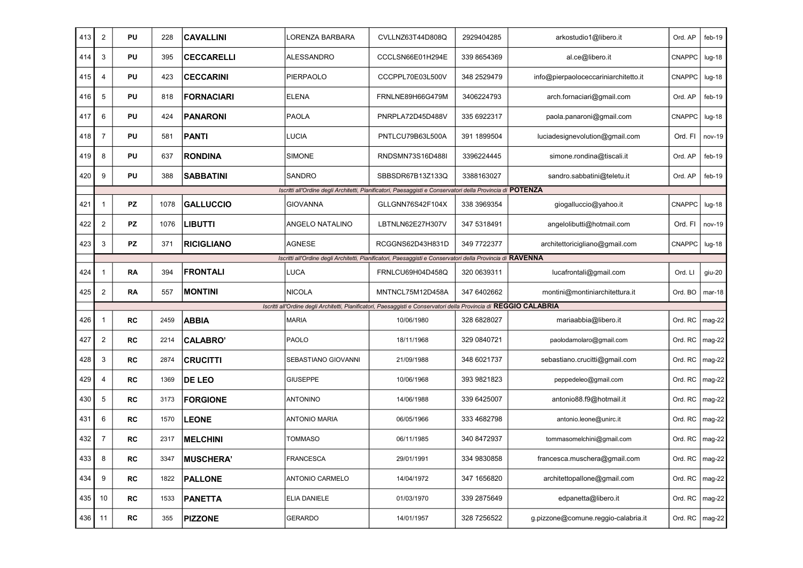| 413 | $\overline{2}$          | PU | 228  | <b>CAVALLINI</b>  | LORENZA BARBARA      | CVLLNZ63T44D808Q                                                                                                   | 2929404285   | arkostudio1@libero.it                | Ord. AP          | $feb-19$ |
|-----|-------------------------|----|------|-------------------|----------------------|--------------------------------------------------------------------------------------------------------------------|--------------|--------------------------------------|------------------|----------|
| 414 | 3                       | PU | 395  | <b>CECCARELLI</b> | ALESSANDRO           | CCCLSN66E01H294E                                                                                                   | 339 8654369  | al.ce@libero.it                      | <b>CNAPPC</b>    | $Iug-18$ |
| 415 | 4                       | PU | 423  | <b>CECCARINI</b>  | <b>PIERPAOLO</b>     | CCCPPL70E03L500V                                                                                                   | 348 2529479  | info@pierpaoloceccariniarchitetto.it | <b>CNAPPC</b>    | $Iug-18$ |
| 416 | 5                       | PU | 818  | <b>FORNACIARI</b> | <b>ELENA</b>         | FRNLNE89H66G479M                                                                                                   | 3406224793   | arch.fornaciari@gmail.com            | Ord. AP          | $feb-19$ |
| 417 | 6                       | PU | 424  | PANARONI          | <b>PAOLA</b>         | PNRPLA72D45D488V                                                                                                   | 335 6922317  | paola.panaroni@gmail.com             | CNAPPC           | $lug-18$ |
| 418 | $\overline{7}$          | PU | 581  | <b>PANTI</b>      | LUCIA                | PNTLCU79B63L500A                                                                                                   | 391 1899504  | luciadesignevolution@gmail.com       | Ord. FI          | $nov-19$ |
| 419 | 8                       | PU | 637  | <b>RONDINA</b>    | <b>SIMONE</b>        | RNDSMN73S16D488I                                                                                                   | 3396224445   | simone.rondina@tiscali.it            | Ord. AP          | $feb-19$ |
| 420 | 9                       | PU | 388  | <b>SABBATINI</b>  | SANDRO               | SBBSDR67B13Z133Q                                                                                                   | 3388163027   | sandro.sabbatini@teletu.it           | Ord. AP          | $feb-19$ |
|     |                         |    |      |                   |                      | Iscritti all'Ordine degli Architetti, Pianificatori, Paesaggisti e Conservatori della Provincia di POTENZA         |              |                                      |                  |          |
| 421 | 1                       | PZ | 1078 | <b>GALLUCCIO</b>  | GIOVANNA             | GLLGNN76S42F104X                                                                                                   | 338 3969354  | giogalluccio@yahoo.it                | CNAPPC           | $Iug-18$ |
| 422 | $\overline{c}$          | PZ | 1076 | <b>LIBUTTI</b>    | ANGELO NATALINO      | LBTNLN62E27H307V                                                                                                   | 347 5318491  | angelolibutti@hotmail.com            | Ord. FI          | nov-19   |
| 423 | 3                       | PZ | 371  | <b>RICIGLIANO</b> | <b>AGNESE</b>        | RCGGNS62D43H831D                                                                                                   | 349 7722377  | architettoricigliano@gmail.com       | <b>CNAPPC</b>    | $Iug-18$ |
|     |                         |    |      |                   |                      | Iscritti all'Ordine degli Architetti, Pianificatori, Paesaggisti e Conservatori della Provincia di RAVENNA         |              |                                      |                  |          |
| 424 | 1                       | RA | 394  | <b>FRONTALI</b>   | <b>LUCA</b>          | FRNLCU69H04D458Q                                                                                                   | 320 0639311  | lucafrontali@gmail.com               | Ord. LI          | $giu-20$ |
| 425 | $\overline{\mathbf{c}}$ | RA | 557  | <b>MONTINI</b>    | <b>NICOLA</b>        | MNTNCL75M12D458A                                                                                                   | 347 6402662  | montini@montiniarchitettura.it       | Ord. BO          | $mar-18$ |
|     |                         |    |      |                   |                      | Iscritti all'Ordine degli Architetti, Pianificatori, Paesaggisti e Conservatori della Provincia di REGGIO CALABRIA |              |                                      |                  |          |
| 426 | $\mathbf{1}$            | RC | 2459 | <b>ABBIA</b>      | MARIA                | 10/06/1980                                                                                                         | 328 6828027  | mariaabbia@libero.it                 | Ord. RC          | $mag-22$ |
| 427 | $\overline{c}$          | RC | 2214 | <b>CALABRO'</b>   | PAOLO                | 18/11/1968                                                                                                         | 329 0840721  | paolodamolaro@gmail.com              | Ord. RC          | mag-22   |
| 428 | 3                       | RC | 2874 | <b>CRUCITTI</b>   | SEBASTIANO GIOVANNI  | 21/09/1988                                                                                                         | 348 6021737  | sebastiano.crucitti@gmail.com        | Ord. RC          | mag-22   |
| 429 | 4                       | RC | 1369 | <b>DE LEO</b>     | <b>GIUSEPPE</b>      | 10/06/1968                                                                                                         | 393 9821823  | peppedeleo@gmail.com                 | Ord. RC          | mag-22   |
| 430 | 5                       | RC | 3173 | <b>FORGIONE</b>   | <b>ANTONINO</b>      | 14/06/1988                                                                                                         | 339 6425007  | antonio88.f9@hotmail.it              | Ord. RC          | $mag-22$ |
| 431 | 6                       | RC | 1570 | <b>LEONE</b>      | <b>ANTONIO MARIA</b> | 06/05/1966                                                                                                         | 333 4682798  | antonio.leone@unirc.it               | Ord. RC          | mag-22   |
| 432 | $\overline{7}$          | RC | 2317 | <b>MELCHINI</b>   | <b>TOMMASO</b>       | 06/11/1985                                                                                                         | 340 8472937  | tommasomelchini@gmail.com            | Ord. RC          | mag-22   |
| 433 | $\,8\,$                 | RC | 3347 | <b>MUSCHERA'</b>  | <b>FRANCESCA</b>     | 29/01/1991                                                                                                         | 334 9830858  | francesca.muschera@gmail.com         | Ord. RC   mag-22 |          |
| 434 | 9                       | RC | 1822 | <b>PALLONE</b>    | ANTONIO CARMELO      | 14/04/1972                                                                                                         | 347 1656820  | architettopallone@gmail.com          | Ord. $RC$        | $mag-22$ |
| 435 | 10                      | RC | 1533 | PANETTA           | ELIA DANIELE         | 01/03/1970                                                                                                         | 339 2875 649 | edpanetta@libero.it                  | Ord. RC          | $mag-22$ |
|     |                         |    |      |                   |                      |                                                                                                                    |              |                                      |                  |          |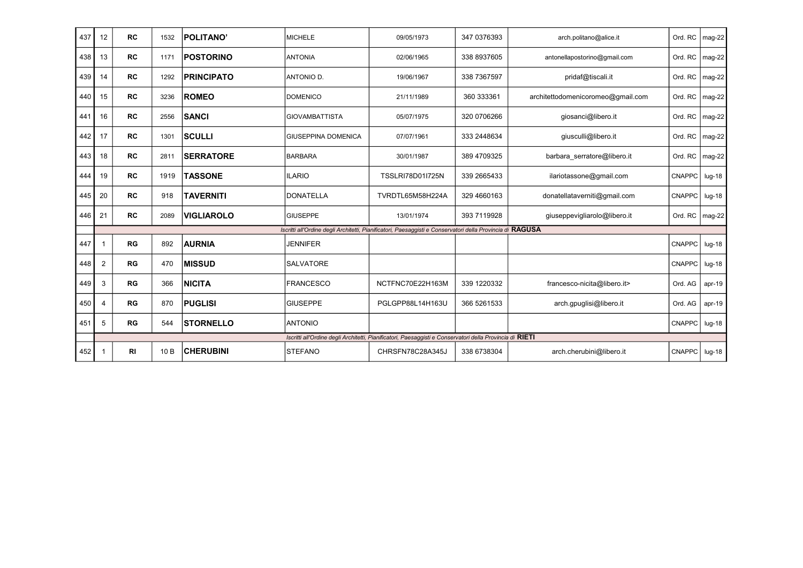| 437 | 12           | <b>RC</b>      | 1532            | <b>POLITANO'</b>  | <b>MICHELE</b>             | 09/05/1973                                                                                                | 347 0376393 | arch.politano@alice.it            | Ord. RC       | mag-22   |
|-----|--------------|----------------|-----------------|-------------------|----------------------------|-----------------------------------------------------------------------------------------------------------|-------------|-----------------------------------|---------------|----------|
| 438 | 13           | <b>RC</b>      | 1171            | <b>POSTORINO</b>  | <b>ANTONIA</b>             | 02/06/1965                                                                                                | 338 8937605 | antonellapostorino@gmail.com      | Ord. RC       | mag-22   |
| 439 | 14           | <b>RC</b>      | 1292            | <b>PRINCIPATO</b> | ANTONIO D.                 | 19/06/1967                                                                                                | 338 7367597 | pridaf@tiscali.it                 | Ord. RC       | mag-22   |
| 440 | 15           | <b>RC</b>      | 3236            | <b>ROMEO</b>      | <b>DOMENICO</b>            | 21/11/1989                                                                                                | 360 333361  | architettodomenicoromeo@gmail.com | Ord. RC       | mag-22   |
| 441 | 16           | <b>RC</b>      | 2556            | <b>SANCI</b>      | <b>GIOVAMBATTISTA</b>      | 05/07/1975                                                                                                | 320 0706266 | giosanci@libero.it                | Ord. RC       | mag-22   |
| 442 | 17           | <b>RC</b>      | 1301            | <b>SCULLI</b>     | <b>GIUSEPPINA DOMENICA</b> | 07/07/1961                                                                                                | 333 2448634 | giusculli@libero.it               | Ord. RC       | mag-22   |
| 443 | 18           | <b>RC</b>      | 2811            | <b>SERRATORE</b>  | <b>BARBARA</b>             | 30/01/1987                                                                                                | 389 4709325 | barbara serratore@libero.it       | Ord. RC       | mag-22   |
| 444 | 19           | <b>RC</b>      | 1919            | <b>TASSONE</b>    | <b>ILARIO</b>              | <b>TSSLRI78D01I725N</b>                                                                                   | 339 2665433 | ilariotassone@gmail.com           | <b>CNAPPC</b> | $lug-18$ |
| 445 | 20           | <b>RC</b>      | 918             | <b>TAVERNITI</b>  | <b>DONATELLA</b>           | TVRDTL65M58H224A                                                                                          | 329 4660163 | donatellataverniti@gmail.com      | <b>CNAPPC</b> | $lug-18$ |
| 446 | 21           | RC             | 2089            | <b>VIGLIAROLO</b> | <b>GIUSEPPE</b>            | 13/01/1974                                                                                                | 393 7119928 | giuseppevigliarolo@libero.it      | Ord. RC       | mag-22   |
|     |              |                |                 |                   |                            | Iscritti all'Ordine degli Architetti, Pianificatori, Paesaggisti e Conservatori della Provincia di RAGUSA |             |                                   |               |          |
| 447 | 1            | RG             | 892             | <b>AURNIA</b>     | <b>JENNIFER</b>            |                                                                                                           |             |                                   | <b>CNAPPC</b> | $lug-18$ |
| 448 | 2            | RG             | 470             | <b>IMISSUD</b>    | SALVATORE                  |                                                                                                           |             |                                   | <b>CNAPPC</b> | $lug-18$ |
| 449 | 3            | RG             | 366             | <b>NICITA</b>     | <b>FRANCESCO</b>           | NCTFNC70E22H163M                                                                                          | 339 1220332 | francesco-nicita@libero.it>       | Ord. AG       | $apr-19$ |
| 450 | 4            | RG             | 870             | <b>PUGLISI</b>    | <b>GIUSEPPE</b>            | PGLGPP88L14H163U                                                                                          | 366 5261533 | arch.gpuglisi@libero.it           | Ord. AG       | apr-19   |
| 451 | 5            | RG             | 544             | <b>STORNELLO</b>  | <b>ANTONIO</b>             |                                                                                                           |             |                                   | <b>CNAPPC</b> | $lug-18$ |
|     |              |                |                 |                   |                            | Iscritti all'Ordine degli Architetti, Pianificatori, Paesaggisti e Conservatori della Provincia di RIETI  |             |                                   |               |          |
| 452 | $\mathbf{1}$ | R <sub>l</sub> | 10 <sub>B</sub> | <b>CHERUBINI</b>  | <b>STEFANO</b>             | CHRSFN78C28A345J                                                                                          | 338 6738304 | arch.cherubini@libero.it          | <b>CNAPPC</b> | $Iug-18$ |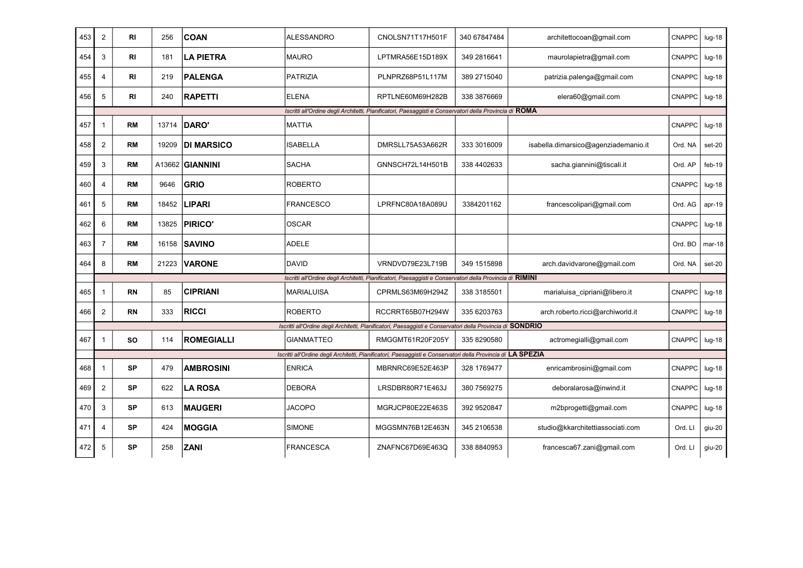| 453 | 2              | <b>RI</b> | 256   | <b>COAN</b>       | <b>ALESSANDRO</b> | CNOLSN71T17H501F                                                                                             | 340 67847484 | architettocoan@gmail.com             | <b>CNAPPC</b> | $lug-18$ |
|-----|----------------|-----------|-------|-------------------|-------------------|--------------------------------------------------------------------------------------------------------------|--------------|--------------------------------------|---------------|----------|
| 454 | 3              | RI        | 181   | <b>LA PIETRA</b>  | <b>MAURO</b>      | LPTMRA56E15D189X                                                                                             | 349 2816641  | maurolapietra@gmail.com              | <b>CNAPPC</b> | $lug-18$ |
| 455 | $\overline{4}$ | RI        | 219   | <b>PALENGA</b>    | PATRIZIA          | PLNPRZ68P51L117M                                                                                             | 389 2715040  | patrizia.palenga@gmail.com           | <b>CNAPPC</b> | $lug-18$ |
| 456 | 5              | RI        | 240   | <b>RAPETTI</b>    | ELENA             | RPTLNE60M69H282B                                                                                             | 338 3876669  | elera60@gmail.com                    | <b>CNAPPC</b> | $lug-18$ |
|     |                |           |       |                   |                   | Iscritti all'Ordine degli Architetti, Pianificatori, Paesaggisti e Conservatori della Provincia di ROMA      |              |                                      |               |          |
| 457 | $\mathbf{1}$   | <b>RM</b> | 13714 | DARO'             | <b>MATTIA</b>     |                                                                                                              |              |                                      | <b>CNAPPC</b> | $lug-18$ |
| 458 | 2              | <b>RM</b> | 19209 | <b>DI MARSICO</b> | ISABELLA          | DMRSLL75A53A662R                                                                                             | 333 3016009  | isabella.dimarsico@agenziademanio.it | Ord. NA       | set-20   |
| 459 | 3              | <b>RM</b> |       | A13662 GIANNINI   | <b>SACHA</b>      | GNNSCH72L14H501B                                                                                             | 338 4402633  | sacha.giannini@tiscali.it            | Ord. AP       | feb-19   |
| 460 | $\overline{4}$ | <b>RM</b> | 9646  | GRIO              | <b>ROBERTO</b>    |                                                                                                              |              |                                      | <b>CNAPPC</b> | $lug-18$ |
| 461 | 5              | <b>RM</b> | 18452 | <b>LIPARI</b>     | <b>FRANCESCO</b>  | LPRFNC80A18A089U                                                                                             | 3384201162   | francescolipari@gmail.com            | Ord. AG       | $apr-19$ |
| 462 | 6              | <b>RM</b> | 13825 | <b>PIRICO</b>     | <b>OSCAR</b>      |                                                                                                              |              |                                      | <b>CNAPPC</b> | $lug-18$ |
| 463 | $\overline{7}$ | <b>RM</b> | 16158 | <b>SAVINO</b>     | ADELE             |                                                                                                              |              |                                      | Ord. BO       | $mar-18$ |
| 464 | 8              | <b>RM</b> | 21223 | <b>VARONE</b>     | DAVID             | VRNDVD79E23L719B                                                                                             | 349 1515898  | arch.davidvarone@gmail.com           | Ord. NA       | set-20   |
|     |                |           |       |                   |                   | Iscritti all'Ordine degli Architetti, Pianificatori, Paesaggisti e Conservatori della Provincia di RIMINI    |              |                                      |               |          |
| 465 | $\mathbf{1}$   | <b>RN</b> | 85    | <b>CIPRIANI</b>   | <b>MARIALUISA</b> | CPRMLS63M69H294Z                                                                                             | 338 3185501  | marialuisa_cipriani@libero.it        | <b>CNAPPC</b> | $lug-18$ |
| 466 | 2              | <b>RN</b> | 333   | <b>RICCI</b>      | <b>ROBERTO</b>    | RCCRRT65B07H294W                                                                                             | 335 6203763  | arch.roberto.ricci@archiworld.it     | <b>CNAPPC</b> | $lug-18$ |
|     |                |           |       |                   |                   | Iscritti all'Ordine degli Architetti, Pianificatori, Paesaggisti e Conservatori della Provincia di SONDRIO   |              |                                      |               |          |
| 467 | $\mathbf{1}$   | <b>SO</b> | 114   | <b>ROMEGIALLI</b> | <b>GIANMATTEO</b> | RMGGMT61R20F205Y                                                                                             | 335 8290580  | actromegialli@gmail.com              | CNAPPC        | $lug-18$ |
|     |                |           |       |                   |                   | Iscritti all'Ordine degli Architetti, Pianificatori, Paesaggisti e Conservatori della Provincia di LA SPEZIA |              |                                      |               |          |
| 468 | $\mathbf{1}$   | <b>SP</b> | 479   | <b>AMBROSINI</b>  | <b>ENRICA</b>     | MBRNRC69E52E463P                                                                                             | 328 1769477  | enricambrosini@gmail.com             | <b>CNAPPC</b> | $lug-18$ |
| 469 | 2              | <b>SP</b> | 622   | <b>LA ROSA</b>    | DEBORA            | LRSDBR80R71E463J                                                                                             | 380 7569275  | deboralarosa@inwind.it               | <b>CNAPPC</b> | $lug-18$ |
| 470 | 3              | <b>SP</b> | 613   | <b>MAUGERI</b>    | <b>JACOPO</b>     | MGRJCP80E22E463S                                                                                             | 392 9520847  | m2bprogetti@gmail.com                | <b>CNAPPC</b> | $lug-18$ |
| 471 | $\overline{4}$ | <b>SP</b> | 424   | <b>MOGGIA</b>     | <b>SIMONE</b>     | MGGSMN76B12E463N                                                                                             | 345 2106538  | studio@kkarchitettiassociati.com     | Ord. LI       | giu-20   |
| 472 | 5              | <b>SP</b> | 258   | <b>ZANI</b>       | <b>FRANCESCA</b>  | ZNAFNC67D69E463Q                                                                                             | 338 8840953  | francesca67.zani@gmail.com           | Ord. LI       | giu-20   |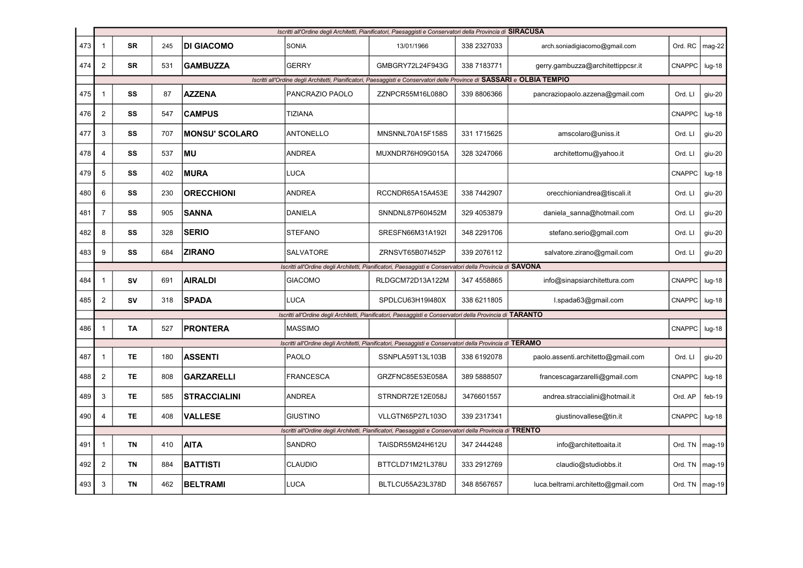|     |                          |           |     |                       |                  | Iscritti all'Ordine degli Architetti, Pianificatori, Paesaggisti e Conservatori della Provincia di SIRACUSA              |              |                                    |               |                |
|-----|--------------------------|-----------|-----|-----------------------|------------------|--------------------------------------------------------------------------------------------------------------------------|--------------|------------------------------------|---------------|----------------|
| 473 | 1                        | SR        | 245 | <b>DI GIACOMO</b>     | <b>SONIA</b>     | 13/01/1966                                                                                                               | 338 2327033  | arch.soniadigiacomo@gmail.com      | Ord. RC       | mag-22         |
| 474 | $\overline{2}$           | <b>SR</b> | 531 | <b>GAMBUZZA</b>       | <b>GERRY</b>     | GMBGRY72L24F943G                                                                                                         | 338 7183771  | gerry.gambuzza@architettippcsr.it  | CNAPPC        | $Iug-18$       |
|     |                          |           |     |                       |                  | Iscritti all'Ordine degli Architetti, Pianificatori, Paesaggisti e Conservatori delle Province di SASSARI e OLBIA TEMPIO |              |                                    |               |                |
| 475 | $\overline{\phantom{a}}$ | SS        | 87  | <b>AZZENA</b>         | PANCRAZIO PAOLO  | ZZNPCR55M16L088O                                                                                                         | 339 8806366  | pancraziopaolo.azzena@gmail.com    | Ord. LI       | giu-20         |
| 476 | $\overline{2}$           | SS        | 547 | <b>CAMPUS</b>         | <b>TIZIANA</b>   |                                                                                                                          |              |                                    | <b>CNAPPC</b> | $lug-18$       |
| 477 | 3                        | SS        | 707 | <b>MONSU' SCOLARO</b> | <b>ANTONELLO</b> | MNSNNL70A15F158S                                                                                                         | 331 1715625  | amscolaro@uniss.it                 | Ord. LI       | giu-20         |
| 478 | 4                        | SS        | 537 | <b>MU</b>             | <b>ANDREA</b>    | MUXNDR76H09G015A                                                                                                         | 328 3247066  | architettomu@yahoo.it              | Ord. LI       | giu-20         |
| 479 | 5                        | SS        | 402 | <b>MURA</b>           | LUCA             |                                                                                                                          |              |                                    | CNAPPC        | $Iug-18$       |
| 480 | 6                        | SS        | 230 | <b>ORECCHIONI</b>     | ANDREA           | RCCNDR65A15A453E                                                                                                         | 338 7442907  | orecchioniandrea@tiscali.it        | Ord. LI       | giu-20         |
| 481 | $\overline{7}$           | SS        | 905 | <b>SANNA</b>          | <b>DANIELA</b>   | SNNDNL87P60I452M                                                                                                         | 329 4053879  | daniela_sanna@hotmail.com          | Ord. LI       | giu-20         |
| 482 | 8                        | SS        | 328 | <b>SERIO</b>          | <b>STEFANO</b>   | SRESFN66M31A192I                                                                                                         | 348 2291706  | stefano.serio@gmail.com            | Ord. LI       | giu-20         |
| 483 | 9                        | SS        | 684 | <b>ZIRANO</b>         | SALVATORE        | ZRNSVT65B07I452P                                                                                                         | 339 2076112  | salvatore.zirano@gmail.com         | Ord. LI       | giu-20         |
|     |                          |           |     |                       |                  | Iscritti all'Ordine degli Architetti, Pianificatori, Paesaggisti e Conservatori della Provincia di SAVONA                |              |                                    |               |                |
| 484 | $\mathbf{1}$             | SV        | 691 | <b>AIRALDI</b>        | <b>GIACOMO</b>   | RLDGCM72D13A122M                                                                                                         | 347 4558865  | info@sinapsiarchitettura.com       | <b>CNAPPC</b> | $lug-18$       |
| 485 | $\overline{2}$           | SV        | 318 | <b>SPADA</b>          | <b>LUCA</b>      | SPDLCU63H19I480X                                                                                                         | 338 6211805  | l.spada63@gmail.com                | CNAPPC        | $lug-18$       |
|     |                          |           |     |                       |                  | Iscritti all'Ordine degli Architetti, Pianificatori, Paesaggisti e Conservatori della Provincia di TARANTO               |              |                                    |               |                |
| 486 | 1                        | TA        | 527 | <b>PRONTERA</b>       | <b>MASSIMO</b>   |                                                                                                                          |              |                                    | <b>CNAPPC</b> | $lug-18$       |
|     |                          |           |     |                       |                  | Iscritti all'Ordine degli Architetti, Pianificatori, Paesaggisti e Conservatori della Provincia di TERAMO                |              |                                    |               |                |
| 487 | $\mathbf{1}$             | <b>TE</b> | 180 | <b>ASSENTI</b>        | <b>PAOLO</b>     | SSNPLA59T13L103B                                                                                                         | 338 6192078  | paolo.assenti.architetto@gmail.com | Ord. LI       | giu-20         |
| 488 | $\overline{2}$           | <b>TE</b> | 808 | <b>GARZARELLI</b>     | <b>FRANCESCA</b> | GRZFNC85E53E058A                                                                                                         | 389 5888507  | francescagarzarelli@gmail.com      | <b>CNAPPC</b> | $lug-18$       |
| 489 | 3                        | TE        | 585 | <b>STRACCIALINI</b>   | <b>ANDREA</b>    | STRNDR72E12E058J                                                                                                         | 3476601557   | andrea.straccialini@hotmail.it     | Ord. AP       | $feb-19$       |
| 490 | 4                        | TE        | 408 | <b>VALLESE</b>        | <b>GIUSTINO</b>  | VLLGTN65P27L103O                                                                                                         | 339 2317341  | giustinovallese@tin.it             | CNAPPC        | $lug-18$       |
|     |                          |           |     |                       |                  | Iscritti all'Ordine degli Architetti, Pianificatori, Paesaggisti e Conservatori della Provincia di TRENTO                |              |                                    |               |                |
| 491 | 1                        | ΤN        | 410 | <b>AITA</b>           | SANDRO           | TAISDR55M24H612U                                                                                                         | 347 2444248  | info@architettoaita.it             | Ord. TN       | $mag-19$       |
| 492 | $\overline{2}$           | ΤN        | 884 | <b>BATTISTI</b>       | <b>CLAUDIO</b>   | BTTCLD71M21L378U                                                                                                         | 333 291 2769 | claudio@studiobbs.it               | Ord. TN       | $mag-19$       |
| 493 | 3                        | TN        | 462 | <b>BELTRAMI</b>       | LUCA             | BLTLCU55A23L378D                                                                                                         | 348 8567657  | luca.beltrami.architetto@gmail.com | Ord. TN       | $\vert$ mag-19 |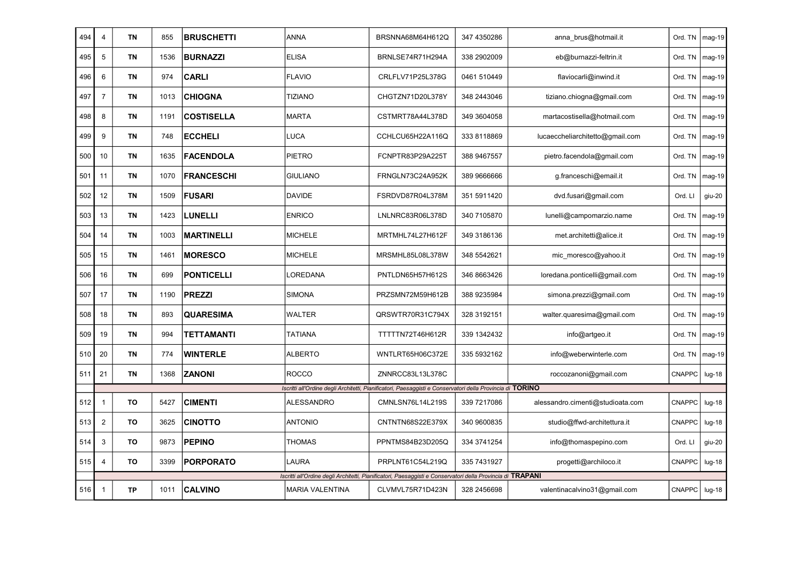| 494 | 4              | <b>TN</b> | 855  | <b>BRUSCHETTI</b> | <b>ANNA</b>            | BRSNNA68M64H612Q                                                                                           | 347 4350286  | anna brus@hotmail.it             | Ord. TN       | mag-19   |
|-----|----------------|-----------|------|-------------------|------------------------|------------------------------------------------------------------------------------------------------------|--------------|----------------------------------|---------------|----------|
| 495 | 5              | <b>TN</b> | 1536 | <b>BURNAZZI</b>   | <b>ELISA</b>           | BRNLSE74R71H294A                                                                                           | 338 290 2009 | eb@burnazzi-feltrin.it           | Ord. TN       | $mag-19$ |
| 496 | 6              | <b>TN</b> | 974  | CARLI             | <b>FLAVIO</b>          | CRLFLV71P25L378G                                                                                           | 0461 510449  | flaviocarli@inwind.it            | Ord. TN       | mag-19   |
| 497 | $\overline{7}$ | ΤN        | 1013 | <b>CHIOGNA</b>    | TIZIANO                | CHGTZN71D20L378Y                                                                                           | 348 2443046  | tiziano.chiogna@gmail.com        | Ord. TN       | $mag-19$ |
| 498 | 8              | ΤN        | 1191 | <b>COSTISELLA</b> | <b>MARTA</b>           | CSTMRT78A44L378D                                                                                           | 349 3604058  | martacostisella@hotmail.com      | Ord. TN       | mag-19   |
| 499 | 9              | TN        | 748  | <b>ECCHELI</b>    | LUCA                   | CCHLCU65H22A116Q                                                                                           | 333 8118869  | lucaeccheliarchitetto@gmail.com  | Ord. TN       | mag-19   |
| 500 | 10             | <b>TN</b> | 1635 | <b>FACENDOLA</b>  | PIETRO                 | FCNPTR83P29A225T                                                                                           | 388 9467557  | pietro.facendola@gmail.com       | Ord. TN       | mag-19   |
| 501 | 11             | <b>TN</b> | 1070 | <b>FRANCESCHI</b> | <b>GIULIANO</b>        | FRNGLN73C24A952K                                                                                           | 389 9666666  | g.franceschi@email.it            | Ord. TN       | mag-19   |
| 502 | 12             | TN        | 1509 | <b>FUSARI</b>     | <b>DAVIDE</b>          | FSRDVD87R04L378M                                                                                           | 351 5911420  | dvd.fusari@gmail.com             | Ord. LI       | giu-20   |
| 503 | 13             | TN        | 1423 | LUNELLI           | <b>ENRICO</b>          | LNLNRC83R06L378D                                                                                           | 340 7105870  | lunelli@campomarzio.name         | Ord. TN       | mag-19   |
| 504 | 14             | ΤN        | 1003 | <b>MARTINELLI</b> | <b>MICHELE</b>         | MRTMHL74L27H612F                                                                                           | 349 3186136  | met.architetti@alice.it          | Ord. TN       | mag-19   |
| 505 | 15             | TN        | 1461 | <b>MORESCO</b>    | <b>MICHELE</b>         | MRSMHL85L08L378W                                                                                           | 348 5542621  | mic_moresco@yahoo.it             | Ord. TN       | mag-19   |
| 506 | 16             | TN        | 699  | <b>PONTICELLI</b> | _OREDANA               | PNTLDN65H57H612S                                                                                           | 346 8663426  | loredana.ponticelli@gmail.com    | Ord. TN       | $mag-19$ |
| 507 | 17             | ΤN        | 1190 | <b>PREZZI</b>     | <b>SIMONA</b>          | PRZSMN72M59H612B                                                                                           | 388 9235984  | simona.prezzi@gmail.com          | Ord. TN       | $mag-19$ |
| 508 | 18             | ΤN        | 893  | <b>QUARESIMA</b>  | WALTER                 | QRSWTR70R31C794X                                                                                           | 328 3192151  | walter.quaresima@gmail.com       | Ord. TN       | mag-19   |
| 509 | 19             | <b>TN</b> | 994  | TETTAMANTI        | <b>TATIANA</b>         | TTTTTN72T46H612R                                                                                           | 339 1342432  | info@artgeo.it                   | Ord. TN       | mag-19   |
| 510 | 20             | <b>TN</b> | 774  | <b>WINTERLE</b>   | <b>ALBERTO</b>         | WNTLRT65H06C372E                                                                                           | 335 5932162  | info@weberwinterle.com           | Ord. TN       | $mag-19$ |
| 511 | 21             | <b>TN</b> | 1368 | <b>ZANONI</b>     | <b>ROCCO</b>           | ZNNRCC83L13L378C                                                                                           |              | roccozanoni@gmail.com            | CNAPPC        | $lug-18$ |
|     |                |           |      |                   |                        | Iscritti all'Ordine degli Architetti, Pianificatori, Paesaggisti e Conservatori della Provincia di TORINO  |              |                                  |               |          |
| 512 | $\mathbf{1}$   | TO        | 5427 | <b>CIMENTI</b>    | <b>ALESSANDRO</b>      | CMNLSN76L14L219S                                                                                           | 339 7217086  | alessandro.cimenti@studioata.com | CNAPPC        | $lug-18$ |
| 513 | $\overline{2}$ | то        | 3625 | <b>CINOTTO</b>    | ANTONIO                | CNTNTN68S22E379X                                                                                           | 340 9600835  | studio@ffwd-architettura.it      | <b>CNAPPC</b> | $lug-18$ |
| 514 | 3              | TO        | 9873 | <b>PEPINO</b>     | <b>THOMAS</b>          | PPNTMS84B23D205Q                                                                                           | 334 374 1254 | info@thomaspepino.com            | Ord. LI       | giu-20   |
| 515 | 4              | TO        | 3399 | <b>PORPORATO</b>  | LAURA                  | PRPLNT61C54L219Q                                                                                           | 335 7431927  | progetti@archiloco.it            | CNAPPC        | $lug-18$ |
|     |                |           |      |                   |                        | Iscritti all'Ordine degli Architetti, Pianificatori, Paesaggisti e Conservatori della Provincia di TRAPANI |              |                                  |               |          |
| 516 | $\mathbf{1}$   | <b>TP</b> | 1011 | <b>CALVINO</b>    | <b>MARIA VALENTINA</b> | CLVMVL75R71D423N                                                                                           | 328 2456698  | valentinacalvino31@gmail.com     | <b>CNAPPC</b> | $lug-18$ |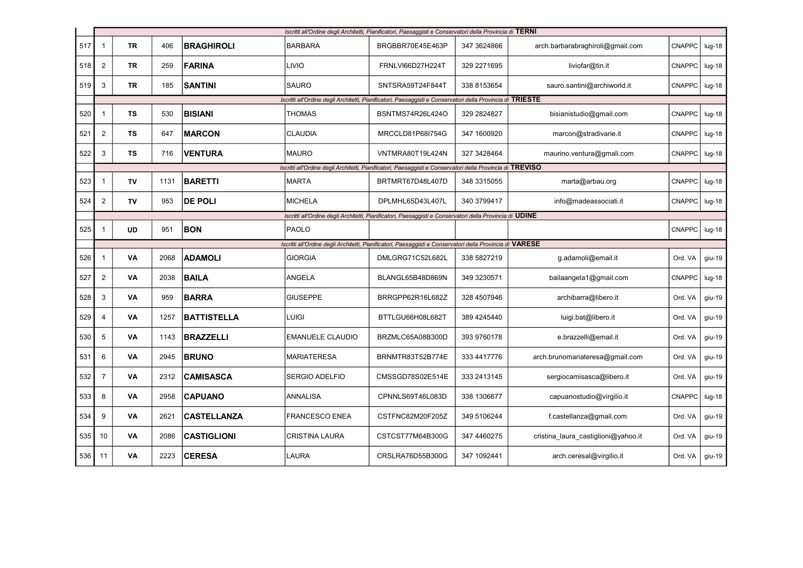|     |                                                                                                            | Iscritti all'Ordine degli Architetti, Pianificatori, Paesaggisti e Conservatori della Provincia di TERNI |      |                    |                         |                                                                                                            |             |                                     |               |          |  |  |
|-----|------------------------------------------------------------------------------------------------------------|----------------------------------------------------------------------------------------------------------|------|--------------------|-------------------------|------------------------------------------------------------------------------------------------------------|-------------|-------------------------------------|---------------|----------|--|--|
| 517 | $\mathbf{1}$                                                                                               | <b>TR</b>                                                                                                | 406  | <b>BRAGHIROLI</b>  | <b>BARBARA</b>          | BRGBBR70E45E463P                                                                                           | 347 3624866 | arch.barbarabraghiroli@gmail.com    | CNAPPC        | $lug-18$ |  |  |
| 518 | $\overline{2}$                                                                                             | <b>TR</b>                                                                                                | 259  | <b>FARINA</b>      | LIVIO                   | FRNLVI66D27H224T                                                                                           | 329 2271695 | liviofar@tin.it                     | <b>CNAPPC</b> | $Iug-18$ |  |  |
| 519 | 3                                                                                                          | TR                                                                                                       | 185  | <b>SANTINI</b>     | <b>SAURO</b>            | SNTSRA59T24F844T                                                                                           | 338 8153654 | sauro.santini@archiworld.it         | <b>CNAPPC</b> | $Iug-18$ |  |  |
|     | Iscritti all'Ordine degli Architetti, Pianificatori, Paesaggisti e Conservatori della Provincia di TRIESTE |                                                                                                          |      |                    |                         |                                                                                                            |             |                                     |               |          |  |  |
| 520 | $\mathbf{1}$                                                                                               | <b>TS</b>                                                                                                | 530  | <b>BISIANI</b>     | THOMAS                  | BSNTMS74R26L424O                                                                                           | 329 2824827 | bisianistudio@gmail.com             | <b>CNAPPC</b> | $lug-18$ |  |  |
| 521 | $\overline{2}$                                                                                             | <b>TS</b>                                                                                                | 647  | <b>MARCON</b>      | <b>CLAUDIA</b>          | MRCCLD81P68I754G                                                                                           | 347 1600920 | marcon@stradivarie.it               | <b>CNAPPC</b> | $Iug-18$ |  |  |
| 522 | 3                                                                                                          | TS                                                                                                       | 716  | <b>VENTURA</b>     | <b>MAURO</b>            | VNTMRA80T19L424N                                                                                           | 327 3428464 | maurino.ventura@gmali.com           | <b>CNAPPC</b> | $Iug-18$ |  |  |
|     |                                                                                                            |                                                                                                          |      |                    |                         | Iscritti all'Ordine degli Architetti, Pianificatori, Paesaggisti e Conservatori della Provincia di TREVISO |             |                                     |               |          |  |  |
| 523 | $\mathbf{1}$                                                                                               | <b>TV</b>                                                                                                | 1131 | <b>BARETTI</b>     | <b>MARTA</b>            | BRTMRT67D48L407D                                                                                           | 348 3315055 | marta@arbau.org                     | CNAPPC        | $lug-18$ |  |  |
| 524 | $\overline{2}$                                                                                             | TV                                                                                                       | 953  | <b>DE POLI</b>     | <b>MICHELA</b>          | DPLMHL65D43L407L                                                                                           | 340 3799417 | info@madeassociati.it               | <b>CNAPPC</b> | $lug-18$ |  |  |
|     | Iscritti all'Ordine degli Architetti, Pianificatori, Paesaggisti e Conservatori della Provincia di UDINE   |                                                                                                          |      |                    |                         |                                                                                                            |             |                                     |               |          |  |  |
| 525 | $\mathbf{1}$                                                                                               | UD                                                                                                       | 951  | <b>BON</b>         | <b>PAOLO</b>            |                                                                                                            |             |                                     | <b>CNAPPC</b> | $lug-18$ |  |  |
|     |                                                                                                            |                                                                                                          |      |                    |                         | Iscritti all'Ordine degli Architetti, Pianificatori, Paesaggisti e Conservatori della Provincia di VARESE  |             |                                     |               |          |  |  |
| 526 | $\mathbf{1}$                                                                                               | VA                                                                                                       | 2068 | <b>ADAMOLI</b>     | <b>GIORGIA</b>          | DMLGRG71C52L682L                                                                                           | 338 5827219 | g.adamoli@email.it                  | Ord. VA       | giu-19   |  |  |
| 527 | $\overline{2}$                                                                                             | VA                                                                                                       | 2038 | <b>BAILA</b>       | ANGELA                  | BLANGL65B48D869N                                                                                           | 349 3230571 | bailaangela1@gmail.com              | CNAPPC        | $lug-18$ |  |  |
| 528 | 3                                                                                                          | VA                                                                                                       | 959  | <b>BARRA</b>       | <b>GIUSEPPE</b>         | BRRGPP62R16L682Z                                                                                           | 328 4507946 | archibarra@libero.it                | Ord. VA       | giu-19   |  |  |
| 529 | 4                                                                                                          | VA                                                                                                       | 1257 | <b>BATTISTELLA</b> | Luigi                   | BTTLGU66H08L682T                                                                                           | 389 4245440 | luigi.bat@libero.it                 | Ord. VA       | giu-19   |  |  |
| 530 | 5                                                                                                          | VA                                                                                                       | 1143 | <b>BRAZZELLI</b>   | <b>EMANUELE CLAUDIO</b> | BRZMLC65A08B300D                                                                                           | 393 9760178 | e.brazzelli@email.it                | Ord. VA       | giu-19   |  |  |
| 531 | 6                                                                                                          | VA                                                                                                       | 2945 | <b>BRUNO</b>       | <b>MARIATERESA</b>      | BRNMTR83T52B774E                                                                                           | 333 4417776 | arch.brunomariateresa@gmail.com     | Ord, VA       | giu-19   |  |  |
| 532 | $\overline{7}$                                                                                             | VA                                                                                                       | 2312 | <b>CAMISASCA</b>   | SERGIO ADELFIO          | CMSSGD78S02E514E                                                                                           | 333 2413145 | sergiocamisasca@libero.it           | Ord. VA       | giu-19   |  |  |
| 533 | 8                                                                                                          | VA                                                                                                       | 2958 | <b>CAPUANO</b>     | ANNALISA                | CPNNLS69T46L083D                                                                                           | 338 1306677 | capuanostudio@virgilio.it           | <b>CNAPPC</b> | $lug-18$ |  |  |
| 534 | 9                                                                                                          | VA                                                                                                       | 2621 | <b>CASTELLANZA</b> | <b>FRANCESCO ENEA</b>   | CSTFNC82M20F205Z                                                                                           | 349 5106244 | f.castellanza@gmail.com             | Ord. VA       | giu-19   |  |  |
| 535 | 10                                                                                                         | VA                                                                                                       | 2086 | <b>CASTIGLIONI</b> | <b>CRISTINA LAURA</b>   | CSTCST77M64B300G                                                                                           | 347 4460275 | cristina laura castiglioni@yahoo.it | Ord. VA       | giu-19   |  |  |
| 536 | 11                                                                                                         | VA                                                                                                       | 2223 | <b>CERESA</b>      | LAURA                   | CRSLRA76D55B300G                                                                                           | 347 1092441 | arch.ceresal@virgilio.it            | Ord. VA       | $giu-19$ |  |  |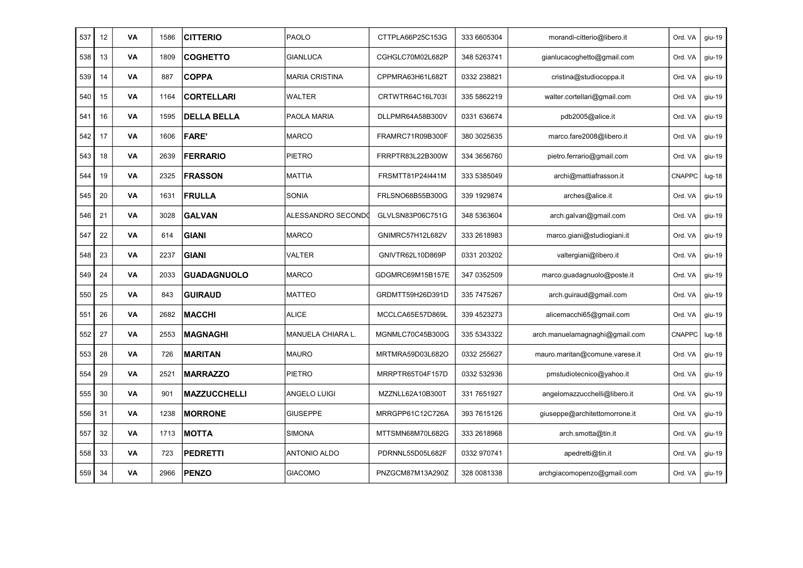| 537 | 12 | VA        | 1586 | <b>CITTERIO</b>     | PAOLO                 | CTTPLA66P25C153G | 333 6605304 | morandi-citterio@libero.it     | Ord. VA       | giu-19   |
|-----|----|-----------|------|---------------------|-----------------------|------------------|-------------|--------------------------------|---------------|----------|
| 538 | 13 | VA        | 1809 | <b>COGHETTO</b>     | <b>GIANLUCA</b>       | CGHGLC70M02L682P | 348 5263741 | gianlucacoghetto@gmail.com     | Ord. VA       | giu-19   |
| 539 | 14 | VA        | 887  | <b>COPPA</b>        | <b>MARIA CRISTINA</b> | CPPMRA63H61L682T | 0332 238821 | cristina@studiocoppa.it        | Ord. VA       | giu-19   |
| 540 | 15 | VA        | 1164 | <b>CORTELLARI</b>   | <b>WALTER</b>         | CRTWTR64C16L703I | 335 5862219 | walter.cortellari@gmail.com    | Ord. VA       | giu-19   |
| 541 | 16 | VA        | 1595 | <b>DELLA BELLA</b>  | PAOLA MARIA           | DLLPMR64A58B300V | 0331 636674 | pdb2005@alice.it               | Ord. VA       | giu-19   |
| 542 | 17 | VA        | 1606 | <b>FARE'</b>        | <b>MARCO</b>          | FRAMRC71R09B300F | 380 3025635 | marco.fare2008@libero.it       | Ord. VA       | giu-19   |
| 543 | 18 | VA        | 2639 | <b>FERRARIO</b>     | PIETRO                | FRRPTR83L22B300W | 334 3656760 | pietro.ferrario@gmail.com      | Ord. VA       | giu-19   |
| 544 | 19 | VA        | 2325 | <b>FRASSON</b>      | <b>MATTIA</b>         | FRSMTT81P24I441M | 333 5385049 | archi@mattiafrasson.it         | CNAPPC        | lug-18   |
| 545 | 20 | VA        | 1631 | FRULLA              | <b>SONIA</b>          | FRLSNO68B55B300G | 339 1929874 | arches@alice.it                | Ord. VA       | giu-19   |
| 546 | 21 | VA        | 3028 | <b>GALVAN</b>       | ALESSANDRO SECONDO    | GLVLSN83P06C751G | 348 5363604 | arch.galvan@gmail.com          | Ord. VA       | giu-19   |
| 547 | 22 | <b>VA</b> | 614  | <b>GIANI</b>        | <b>MARCO</b>          | GNIMRC57H12L682V | 333 2618983 | marco.giani@studiogiani.it     | Ord. VA       | giu-19   |
| 548 | 23 | VA        | 2237 | <b>GIANI</b>        | VALTER                | GNIVTR62L10D869P | 0331 203202 | valtergiani@libero.it          | Ord. VA       | giu-19   |
| 549 | 24 | VA        | 2033 | <b>GUADAGNUOLO</b>  | <b>MARCO</b>          | GDGMRC69M15B157E | 347 0352509 | marco.guadagnuolo@poste.it     | Ord. VA       | giu-19   |
| 550 | 25 | VA        | 843  | <b>GUIRAUD</b>      | <b>MATTEO</b>         | GRDMTT59H26D391D | 335 7475267 | arch.guiraud@gmail.com         | Ord. VA       | giu-19   |
| 551 | 26 | VA        | 2682 | <b>MACCHI</b>       | <b>ALICE</b>          | MCCLCA65E57D869L | 339 4523273 | alicemacchi65@gmail.com        | Ord. VA       | giu-19   |
| 552 | 27 | VA        | 2553 | <b>MAGNAGHI</b>     | MANUELA CHIARA L.     | MGNMLC70C45B300G | 335 5343322 | arch.manuelamagnaghi@gmail.com | <b>CNAPPC</b> | $lug-18$ |
| 553 | 28 | VA        | 726  | <b>MARITAN</b>      | <b>MAURO</b>          | MRTMRA59D03L682O | 0332 255627 | mauro.maritan@comune.varese.it | Ord. VA       | giu-19   |
| 554 | 29 | VA        | 2521 | <b>MARRAZZO</b>     | <b>PIETRO</b>         | MRRPTR65T04F157D | 0332 532936 | pmstudiotecnico@yahoo.it       | Ord. VA       | giu-19   |
| 555 | 30 | VA        | 901  | <b>MAZZUCCHELLI</b> | <b>ANGELO LUIGI</b>   | MZZNLL62A10B300T | 331 7651927 | angelomazzucchelli@libero.it   | Ord. VA       | giu-19   |
| 556 | 31 | VA        | 1238 | <b>MORRONE</b>      | <b>GIUSEPPE</b>       | MRRGPP61C12C726A | 393 7615126 | giuseppe@architettomorrone.it  | Ord. VA       | giu-19   |
| 557 | 32 | VA        | 1713 | <b>MOTTA</b>        | SIMONA                | MTTSMN68M70L682G | 333 2618968 | arch.smotta@tin.it             | Ord. VA       | giu-19   |
| 558 | 33 | VA        | 723  | <b>PEDRETTI</b>     | <b>ANTONIO ALDO</b>   | PDRNNL55D05L682F | 0332 970741 | apedretti@tin.it               | Ord. VA       | giu-19   |
| 559 | 34 | VA        | 2966 | <b>PENZO</b>        | <b>GIACOMO</b>        | PNZGCM87M13A290Z | 328 0081338 | archgiacomopenzo@gmail.com     | Ord. VA       | $giu-19$ |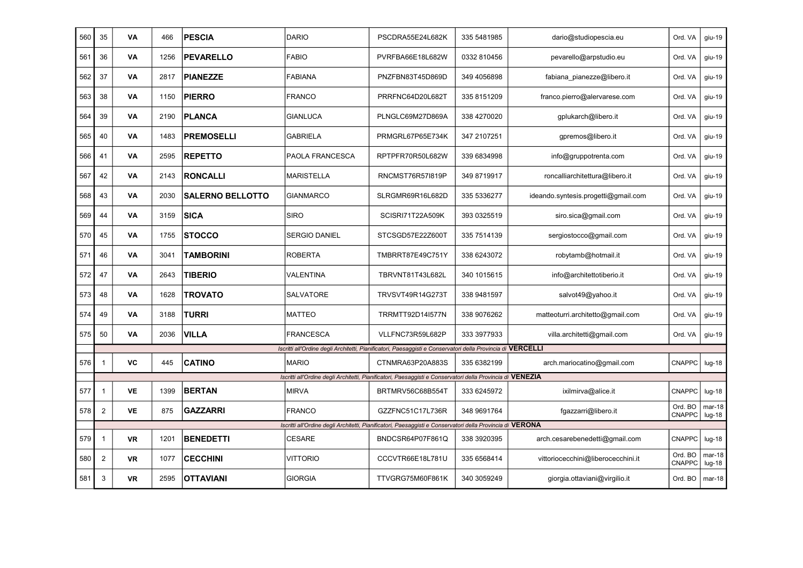| 560 | 35             | VA        | 466  | <b>PESCIA</b>           | <b>DARIO</b>         | PSCDRA55E24L682K                                                                                            | 335 5481985 | dario@studiopescia.eu               | Ord. VA                  | giu-19               |
|-----|----------------|-----------|------|-------------------------|----------------------|-------------------------------------------------------------------------------------------------------------|-------------|-------------------------------------|--------------------------|----------------------|
| 561 | 36             | VA        | 1256 | <b>PEVARELLO</b>        | <b>FABIO</b>         | PVRFBA66E18L682W                                                                                            | 0332 810456 | pevarello@arpstudio.eu              | Ord. VA                  | $giu-19$             |
| 562 | 37             | VA        | 2817 | <b>PIANEZZE</b>         | <b>FABIANA</b>       | PNZFBN83T45D869D                                                                                            | 349 4056898 | fabiana pianezze@libero.it          | Ord. VA                  | giu-19               |
| 563 | 38             | VA        | 1150 | <b>PIERRO</b>           | FRANCO               | PRRFNC64D20L682T                                                                                            | 335 8151209 | franco.pierro@alervarese.com        | Ord. VA                  | giu-19               |
| 564 | 39             | VA        | 2190 | <b>PLANCA</b>           | <b>GIANLUCA</b>      | PLNGLC69M27D869A                                                                                            | 338 4270020 | qplukarch@libero.it                 | Ord. VA                  | giu-19               |
| 565 | 40             | VA        | 1483 | <b>PREMOSELLI</b>       | <b>GABRIELA</b>      | PRMGRL67P65E734K                                                                                            | 347 2107251 | gpremos@libero.it                   | Ord. VA                  | giu-19               |
| 566 | 41             | VA        | 2595 | <b>REPETTO</b>          | PAOLA FRANCESCA      | RPTPFR70R50L682W                                                                                            | 339 6834998 | info@gruppotrenta.com               | Ord. VA                  | giu-19               |
| 567 | 42             | VA        | 2143 | <b>RONCALLI</b>         | <b>MARISTELLA</b>    | RNCMST76R57I819P                                                                                            | 349 8719917 | roncalliarchitettura@libero.it      | Ord. VA                  | giu-19               |
| 568 | 43             | VA        | 2030 | <b>SALERNO BELLOTTO</b> | <b>GIANMARCO</b>     | SLRGMR69R16L682D                                                                                            | 335 5336277 | ideando.syntesis.progetti@gmail.com | Ord, VA                  | giu-19               |
| 569 | 44             | VA        | 3159 | <b>SICA</b>             | <b>SIRO</b>          | SCISRI71T22A509K                                                                                            | 393 0325519 | siro.sica@gmail.com                 | Ord. VA                  | giu-19               |
| 570 | 45             | VA        | 1755 | <b>STOCCO</b>           | <b>SERGIO DANIEL</b> | STCSGD57E22Z600T                                                                                            | 335 7514139 | sergiostocco@gmail.com              | Ord. VA                  | giu-19               |
| 571 | 46             | VA        | 3041 | <b>TAMBORINI</b>        | <b>ROBERTA</b>       | TMBRRT87E49C751Y                                                                                            | 338 6243072 | robytamb@hotmail.it                 | Ord. VA                  | giu-19               |
| 572 | 47             | VA        | 2643 | <b>TIBERIO</b>          | VALENTINA            | TBRVNT81T43L682L                                                                                            | 340 1015615 | info@architettotiberio.it           | Ord. VA                  | giu-19               |
| 573 | 48             | VA        | 1628 | <b>TROVATO</b>          | <b>SALVATORE</b>     | TRVSVT49R14G273T                                                                                            | 338 9481597 | salvot49@yahoo.it                   | Ord, VA                  | giu-19               |
| 574 | 49             | VA        | 3188 | <b>TURRI</b>            | <b>MATTEO</b>        | TRRMTT92D14I577N                                                                                            | 338 9076262 | matteoturri.architetto@gmail.com    | Ord. VA                  | giu-19               |
| 575 | 50             | VA        | 2036 | <b>VILLA</b>            | <b>FRANCESCA</b>     | VLLFNC73R59L682P                                                                                            | 333 3977933 | villa.architetti@gmail.com          | Ord. VA                  | giu-19               |
|     |                |           |      |                         |                      | Iscritti all'Ordine degli Architetti, Pianificatori, Paesaggisti e Conservatori della Provincia di VERCELLI |             |                                     |                          |                      |
| 576 | $\mathbf{1}$   | VC        | 445  | <b>CATINO</b>           | <b>MARIO</b>         | CTNMRA63P20A883S                                                                                            | 335 6382199 | arch.mariocatino@gmail.com          | <b>CNAPPC</b>            | $lug-18$             |
|     |                |           |      |                         |                      | Iscritti all'Ordine degli Architetti, Pianificatori, Paesaggisti e Conservatori della Provincia di VENEZIA  |             |                                     |                          |                      |
| 577 | $\mathbf{1}$   | <b>VE</b> | 1399 | <b>BERTAN</b>           | <b>MIRVA</b>         | BRTMRV56C68B554T                                                                                            | 333 6245972 | ixilmirva@alice.it                  | CNAPPC                   | $lug-18$             |
| 578 | $\overline{2}$ | VE        | 875  | <b>GAZZARRI</b>         | <b>FRANCO</b>        | GZZFNC51C17L736R                                                                                            | 348 9691764 | fgazzarri@libero.it                 | Ord. BO<br><b>CNAPPC</b> | $mar-18$<br>$lug-18$ |
|     |                |           |      |                         |                      | Iscritti all'Ordine degli Architetti, Pianificatori, Paesaggisti e Conservatori della Provincia di VERONA   |             |                                     |                          |                      |
| 579 | $\mathbf{1}$   | <b>VR</b> | 1201 | <b>BENEDETTI</b>        | <b>CESARE</b>        | BNDCSR64P07F861Q                                                                                            | 338 3920395 | arch.cesarebenedetti@gmail.com      | <b>CNAPPC</b>            | $lug-18$             |
| 580 | $\overline{2}$ | <b>VR</b> | 1077 | <b>CECCHINI</b>         | <b>VITTORIO</b>      | CCCVTR66E18L781U                                                                                            | 335 6568414 | vittoriocecchini@liberocecchini.it  | Ord. BO<br><b>CNAPPC</b> | $mar-18$<br>$Iug-18$ |
| 581 | 3              | VR        | 2595 | <b>OTTAVIANI</b>        | <b>GIORGIA</b>       | TTVGRG75M60F861K                                                                                            | 340 3059249 | giorgia.ottaviani@virgilio.it       | Ord. BO                  | $mar-18$             |